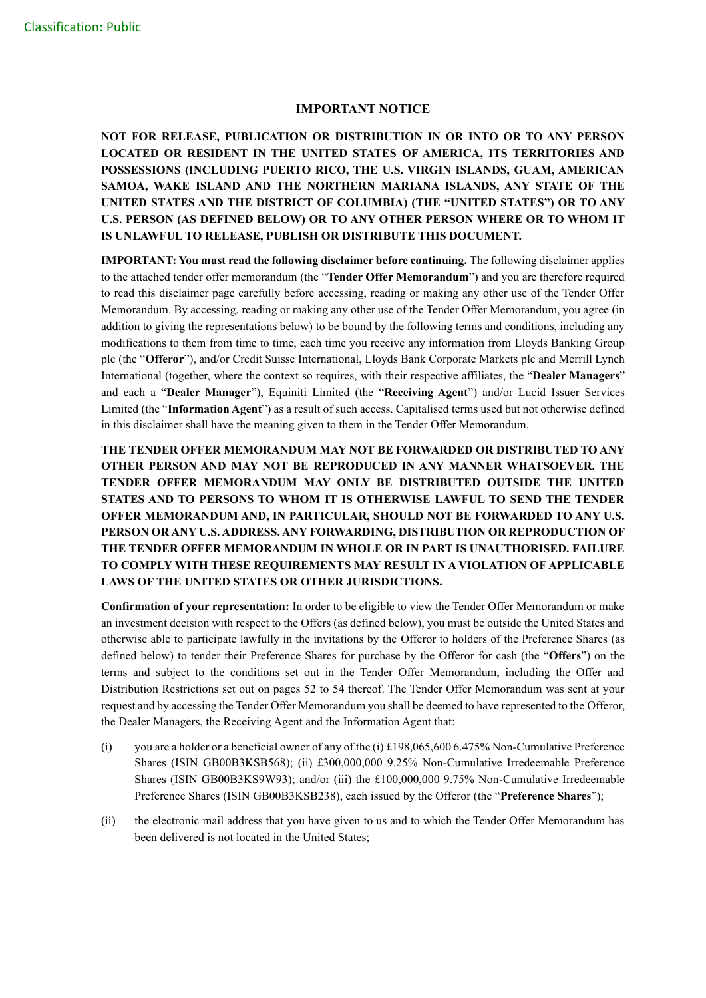## **IMPORTANT NOTICE**

**NOT FOR RELEASE, PUBLICATION OR DISTRIBUTION IN OR INTO OR TO ANY PERSON LOCATED OR RESIDENT IN THE UNITED STATES OF AMERICA, ITS TERRITORIES AND POSSESSIONS (INCLUDING PUERTO RICO, THE U.S. VIRGIN ISLANDS, GUAM, AMERICAN SAMOA, WAKE ISLAND AND THE NORTHERN MARIANA ISLANDS, ANY STATE OF THE UNITED STATES AND THE DISTRICT OF COLUMBIA) (THE "UNITED STATES") OR TO ANY U.S. PERSON (AS DEFINED BELOW) OR TO ANY OTHER PERSON WHERE OR TO WHOM IT IS UNLAWFUL TO RELEASE, PUBLISH OR DISTRIBUTE THIS DOCUMENT.**

**IMPORTANT: You must read the following disclaimer before continuing.** The following disclaimer applies to the attached tender offer memorandum (the "**Tender Offer Memorandum**") and you are therefore required to read this disclaimer page carefully before accessing, reading or making any other use of the Tender Offer Memorandum. By accessing, reading or making any other use of the Tender Offer Memorandum, you agree (in addition to giving the representations below) to be bound by the following terms and conditions, including any modifications to them from time to time, each time you receive any information from Lloyds Banking Group plc (the "**Offeror**"), and/or Credit Suisse International, Lloyds Bank Corporate Markets plc and Merrill Lynch International (together, where the context so requires, with their respective affiliates, the "**Dealer Managers**" and each a "**Dealer Manager**"), Equiniti Limited (the "**Receiving Agent**") and/or Lucid Issuer Services Limited (the "**Information Agent**") as a result of such access. Capitalised terms used but not otherwise defined in this disclaimer shall have the meaning given to them in the Tender Offer Memorandum.

**THE TENDER OFFER MEMORANDUM MAY NOT BE FORWARDED OR DISTRIBUTED TO ANY OTHER PERSON AND MAY NOT BE REPRODUCED IN ANY MANNER WHATSOEVER. THE TENDER OFFER MEMORANDUM MAY ONLY BE DISTRIBUTED OUTSIDE THE UNITED STATES AND TO PERSONS TO WHOM IT IS OTHERWISE LAWFUL TO SEND THE TENDER OFFER MEMORANDUM AND, IN PARTICULAR, SHOULD NOT BE FORWARDED TO ANY U.S. PERSON OR ANY U.S. ADDRESS. ANY FORWARDING, DISTRIBUTION OR REPRODUCTION OF THE TENDER OFFER MEMORANDUM IN WHOLE OR IN PART IS UNAUTHORISED. FAILURE TO COMPLY WITH THESE REQUIREMENTS MAY RESULT IN A VIOLATION OF APPLICABLE LAWS OF THE UNITED STATES OR OTHER JURISDICTIONS.**

**Confirmation of your representation:** In order to be eligible to view the Tender Offer Memorandum or make an investment decision with respect to the Offers (as defined below), you must be outside the United States and otherwise able to participate lawfully in the invitations by the Offeror to holders of the Preference Shares (as defined below) to tender their Preference Shares for purchase by the Offeror for cash (the "**Offers**") on the terms and subject to the conditions set out in the Tender Offer Memorandum, including the Offer and Distribution Restrictions set out on pages 52 to 54 thereof. The Tender Offer Memorandum was sent at your request and by accessing the Tender Offer Memorandum you shall be deemed to have represented to the Offeror, the Dealer Managers, the Receiving Agent and the Information Agent that:

- (i) you are a holder or a beneficial owner of any of the (i)  $\pounds$ 198,065,600 6.475% Non-Cumulative Preference Shares (ISIN GB00B3KSB568); (ii) £300,000,000 9.25% Non-Cumulative Irredeemable Preference Shares (ISIN GB00B3KS9W93); and/or (iii) the £100,000,000 9.75% Non-Cumulative Irredeemable Preference Shares (ISIN GB00B3KSB238), each issued by the Offeror (the "**Preference Shares**");
- (ii) the electronic mail address that you have given to us and to which the Tender Offer Memorandum has been delivered is not located in the United States;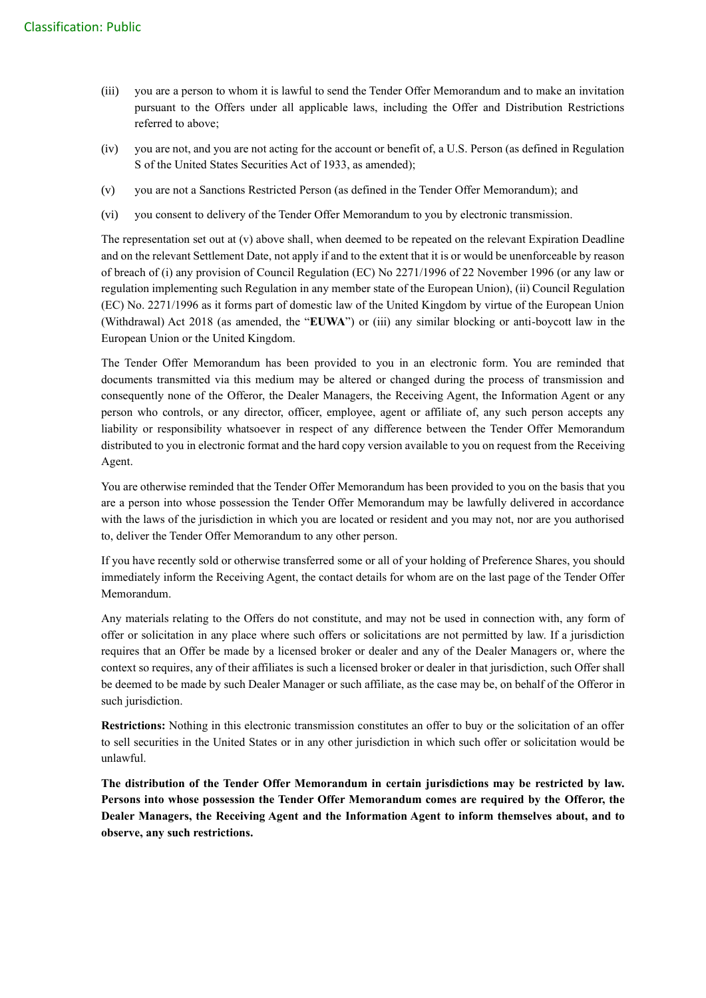- (iii) you are a person to whom it is lawful to send the Tender Offer Memorandum and to make an invitation pursuant to the Offers under all applicable laws, including the Offer and Distribution Restrictions referred to above;
- (iv) you are not, and you are not acting for the account or benefit of, a U.S. Person (as defined in Regulation S of the United States Securities Act of 1933, as amended);
- (v) you are not a Sanctions Restricted Person (as defined in the Tender Offer Memorandum); and
- (vi) you consent to delivery of the Tender Offer Memorandum to you by electronic transmission.

The representation set out at (v) above shall, when deemed to be repeated on the relevant Expiration Deadline and on the relevant Settlement Date, not apply if and to the extent that it is or would be unenforceable by reason of breach of (i) any provision of Council Regulation (EC) No 2271/1996 of 22 November 1996 (or any law or regulation implementing such Regulation in any member state of the European Union), (ii) Council Regulation (EC) No. 2271/1996 as it forms part of domestic law of the United Kingdom by virtue of the European Union (Withdrawal) Act 2018 (as amended, the "**EUWA**") or (iii) any similar blocking or anti-boycott law in the European Union or the United Kingdom.

The Tender Offer Memorandum has been provided to you in an electronic form. You are reminded that documents transmitted via this medium may be altered or changed during the process of transmission and consequently none of the Offeror, the Dealer Managers, the Receiving Agent, the Information Agent or any person who controls, or any director, officer, employee, agent or affiliate of, any such person accepts any liability or responsibility whatsoever in respect of any difference between the Tender Offer Memorandum distributed to you in electronic format and the hard copy version available to you on request from the Receiving Agent.

You are otherwise reminded that the Tender Offer Memorandum has been provided to you on the basis that you are a person into whose possession the Tender Offer Memorandum may be lawfully delivered in accordance with the laws of the jurisdiction in which you are located or resident and you may not, nor are you authorised to, deliver the Tender Offer Memorandum to any other person.

If you have recently sold or otherwise transferred some or all of your holding of Preference Shares, you should immediately inform the Receiving Agent, the contact details for whom are on the last page of the Tender Offer Memorandum.

Any materials relating to the Offers do not constitute, and may not be used in connection with, any form of offer or solicitation in any place where such offers or solicitations are not permitted by law. If a jurisdiction requires that an Offer be made by a licensed broker or dealer and any of the Dealer Managers or, where the context so requires, any of their affiliates is such a licensed broker or dealer in that jurisdiction, such Offer shall be deemed to be made by such Dealer Manager or such affiliate, as the case may be, on behalf of the Offeror in such jurisdiction.

**Restrictions:** Nothing in this electronic transmission constitutes an offer to buy or the solicitation of an offer to sell securities in the United States or in any other jurisdiction in which such offer or solicitation would be unlawful.

**The distribution of the Tender Offer Memorandum in certain jurisdictions may be restricted by law. Persons into whose possession the Tender Offer Memorandum comes are required by the Offeror, the Dealer Managers, the Receiving Agent and the Information Agent to inform themselves about, and to observe, any such restrictions.**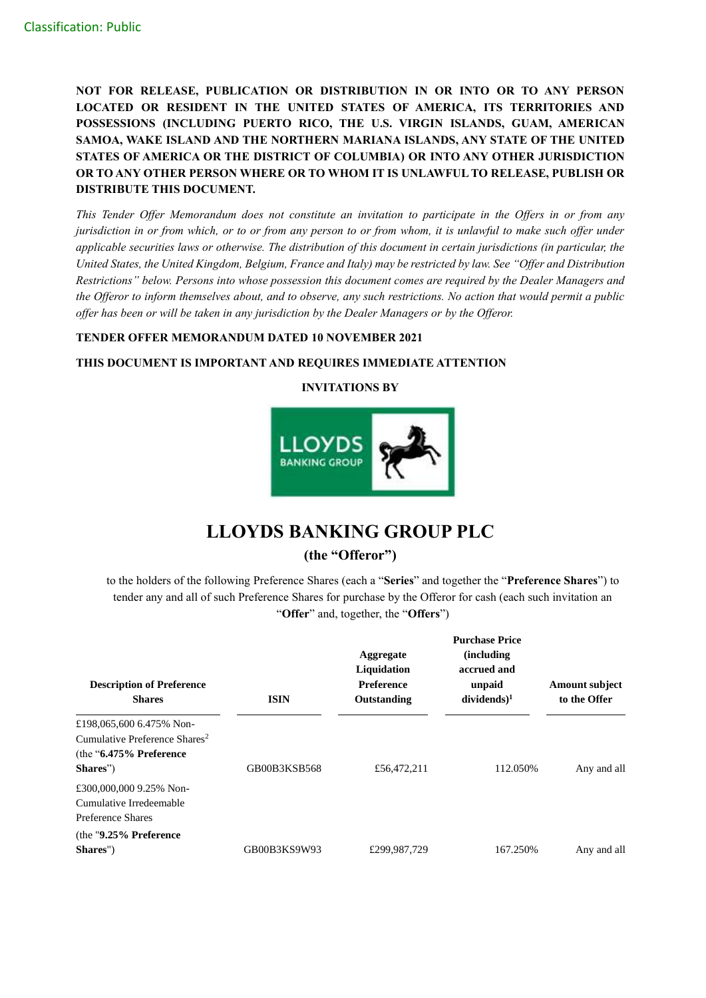**NOT FOR RELEASE, PUBLICATION OR DISTRIBUTION IN OR INTO OR TO ANY PERSON LOCATED OR RESIDENT IN THE UNITED STATES OF AMERICA, ITS TERRITORIES AND POSSESSIONS (INCLUDING PUERTO RICO, THE U.S. VIRGIN ISLANDS, GUAM, AMERICAN SAMOA, WAKE ISLAND AND THE NORTHERN MARIANA ISLANDS, ANY STATE OF THE UNITED STATES OF AMERICA OR THE DISTRICT OF COLUMBIA) OR INTO ANY OTHER JURISDICTION OR TO ANY OTHER PERSON WHERE OR TO WHOM IT IS UNLAWFUL TO RELEASE, PUBLISH OR DISTRIBUTE THIS DOCUMENT.**

*This Tender Offer Memorandum does not constitute an invitation to participate in the Offers in or from any jurisdiction in or from which, or to or from any person to or from whom, it is unlawful to make such offer under applicable securities laws or otherwise. The distribution of this document in certain jurisdictions (in particular, the United States, the United Kingdom, Belgium, France and Italy) may be restricted by law. See "Offer and Distribution Restrictions" below. Persons into whose possession this document comes are required by the Dealer Managers and the Offeror to inform themselves about, and to observe, any such restrictions. No action that would permit a public offer has been or will be taken in any jurisdiction by the Dealer Managers or by the Offeror.*

## **TENDER OFFER MEMORANDUM DATED 10 NOVEMBER 2021**

## **THIS DOCUMENT IS IMPORTANT AND REQUIRES IMMEDIATE ATTENTION**



## **INVITATIONS BY**

# **LLOYDS BANKING GROUP PLC**

## **(the "Offeror")**

to the holders of the following Preference Shares (each a "**Series**" and together the "**Preference Shares**") to tender any and all of such Preference Shares for purchase by the Offeror for cash (each such invitation an "**Offer**" and, together, the "**Offers**")

| <b>Description of Preference</b><br><b>Shares</b>                                                               | <b>ISIN</b>  | Aggregate<br>Liquidation<br><b>Preference</b><br>Outstanding | <b>Purchase Price</b><br><i>(including)</i><br>accrued and<br>unpaid<br>$dividends)^1$ | <b>Amount subject</b><br>to the Offer |
|-----------------------------------------------------------------------------------------------------------------|--------------|--------------------------------------------------------------|----------------------------------------------------------------------------------------|---------------------------------------|
| £198,065,600 6.475% Non-<br>Cumulative Preference Shares <sup>2</sup><br>(the $"6.475\%$ Preference<br>Shares") | GB00B3KSB568 | £56,472,211                                                  | 112.050%                                                                               | Any and all                           |
| £300,000,000 9.25% Non-<br>Cumulative Irredeemable<br>Preference Shares<br>(the $"9.25\%$ Preference            |              |                                                              |                                                                                        |                                       |
| Shares")                                                                                                        | GB00B3KS9W93 | £299,987,729                                                 | 167.250%                                                                               | Any and all                           |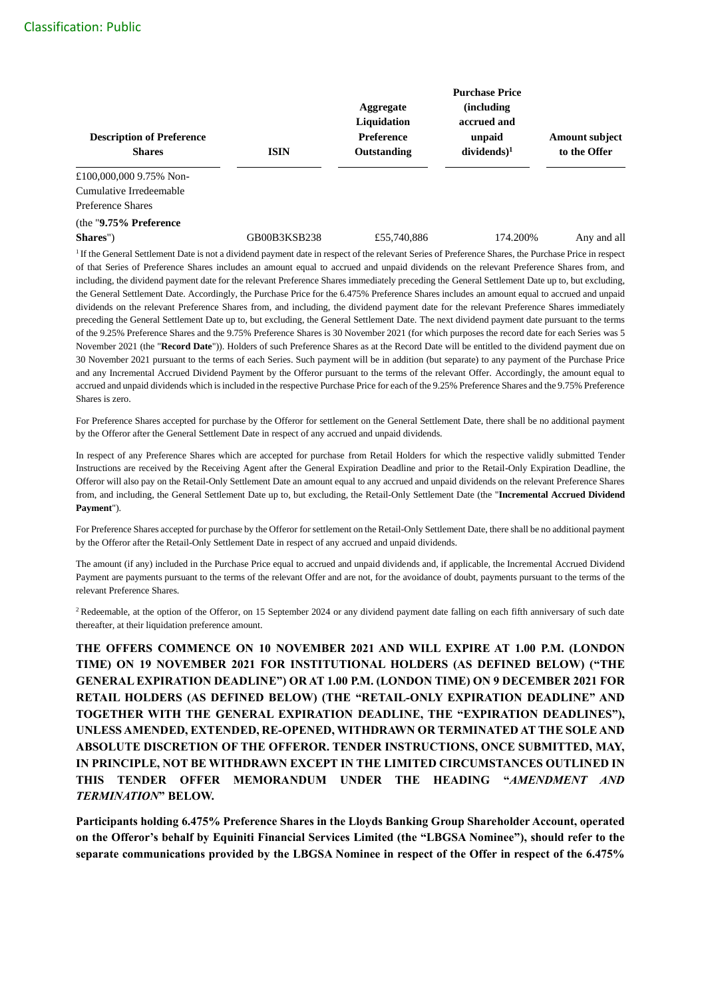| <b>Description of Preference</b><br><b>Shares</b>                                                                                                                | <b>ISIN</b>  | Aggregate<br>Liquidation<br><b>Preference</b><br>Outstanding | <b>Purchase Price</b><br><i>(including)</i><br>accrued and<br>unpaid<br>$dividends)^1$ | <b>Amount subject</b><br>to the Offer |
|------------------------------------------------------------------------------------------------------------------------------------------------------------------|--------------|--------------------------------------------------------------|----------------------------------------------------------------------------------------|---------------------------------------|
| £100,000,000 9.75% Non-                                                                                                                                          |              |                                                              |                                                                                        |                                       |
| Cumulative Irredeemable                                                                                                                                          |              |                                                              |                                                                                        |                                       |
| Preference Shares                                                                                                                                                |              |                                                              |                                                                                        |                                       |
| (the $"9.75\%$ Preference                                                                                                                                        |              |                                                              |                                                                                        |                                       |
| Shares")                                                                                                                                                         | GB00B3KSB238 | £55,740,886                                                  | 174.200%                                                                               | Any and all                           |
| <sup>1</sup> If the General Settlement Date is not a dividend payment date in respect of the relevant Series of Preference Shares, the Purchase Price in respect |              |                                                              |                                                                                        |                                       |

of that Series of Preference Shares includes an amount equal to accrued and unpaid dividends on the relevant Preference Shares from, and including, the dividend payment date for the relevant Preference Shares immediately preceding the General Settlement Date up to, but excluding, the General Settlement Date. Accordingly, the Purchase Price for the 6.475% Preference Shares includes an amount equal to accrued and unpaid dividends on the relevant Preference Shares from, and including, the dividend payment date for the relevant Preference Shares immediately preceding the General Settlement Date up to, but excluding, the General Settlement Date. The next dividend payment date pursuant to the terms of the 9.25% Preference Shares and the 9.75% Preference Shares is 30 November 2021 (for which purposes the record date for each Series was 5 November 2021 (the "**Record Date**")). Holders of such Preference Shares as at the Record Date will be entitled to the dividend payment due on 30 November 2021 pursuant to the terms of each Series. Such payment will be in addition (but separate) to any payment of the Purchase Price and any Incremental Accrued Dividend Payment by the Offeror pursuant to the terms of the relevant Offer. Accordingly, the amount equal to accrued and unpaid dividends which is included in the respective Purchase Price for each of the 9.25% Preference Shares and the 9.75% Preference Shares is zero.

For Preference Shares accepted for purchase by the Offeror for settlement on the General Settlement Date, there shall be no additional payment by the Offeror after the General Settlement Date in respect of any accrued and unpaid dividends.

In respect of any Preference Shares which are accepted for purchase from Retail Holders for which the respective validly submitted Tender Instructions are received by the Receiving Agent after the General Expiration Deadline and prior to the Retail-Only Expiration Deadline, the Offeror will also pay on the Retail-Only Settlement Date an amount equal to any accrued and unpaid dividends on the relevant Preference Shares from, and including, the General Settlement Date up to, but excluding, the Retail-Only Settlement Date (the "**Incremental Accrued Dividend Payment**").

For Preference Shares accepted for purchase by the Offeror for settlement on the Retail-Only Settlement Date, there shall be no additional payment by the Offeror after the Retail-Only Settlement Date in respect of any accrued and unpaid dividends.

The amount (if any) included in the Purchase Price equal to accrued and unpaid dividends and, if applicable, the Incremental Accrued Dividend Payment are payments pursuant to the terms of the relevant Offer and are not, for the avoidance of doubt, payments pursuant to the terms of the relevant Preference Shares.

<sup>2</sup> Redeemable, at the option of the Offeror, on 15 September 2024 or any dividend payment date falling on each fifth anniversary of such date thereafter, at their liquidation preference amount.

**THE OFFERS COMMENCE ON 10 NOVEMBER 2021 AND WILL EXPIRE AT 1.00 P.M. (LONDON TIME) ON 19 NOVEMBER 2021 FOR INSTITUTIONAL HOLDERS (AS DEFINED BELOW) ("THE GENERAL EXPIRATION DEADLINE") OR AT 1.00 P.M. (LONDON TIME) ON 9 DECEMBER 2021 FOR RETAIL HOLDERS (AS DEFINED BELOW) (THE "RETAIL-ONLY EXPIRATION DEADLINE" AND TOGETHER WITH THE GENERAL EXPIRATION DEADLINE, THE "EXPIRATION DEADLINES"), UNLESS AMENDED, EXTENDED, RE-OPENED, WITHDRAWN OR TERMINATED AT THE SOLE AND ABSOLUTE DISCRETION OF THE OFFEROR. TENDER INSTRUCTIONS, ONCE SUBMITTED, MAY, IN PRINCIPLE, NOT BE WITHDRAWN EXCEPT IN THE LIMITED CIRCUMSTANCES OUTLINED IN THIS TENDER OFFER MEMORANDUM UNDER THE HEADING "***AMENDMENT AND TERMINATION***" BELOW.**

**Participants holding 6.475% Preference Shares in the Lloyds Banking Group Shareholder Account, operated on the Offeror's behalf by Equiniti Financial Services Limited (the "LBGSA Nominee"), should refer to the separate communications provided by the LBGSA Nominee in respect of the Offer in respect of the 6.475%**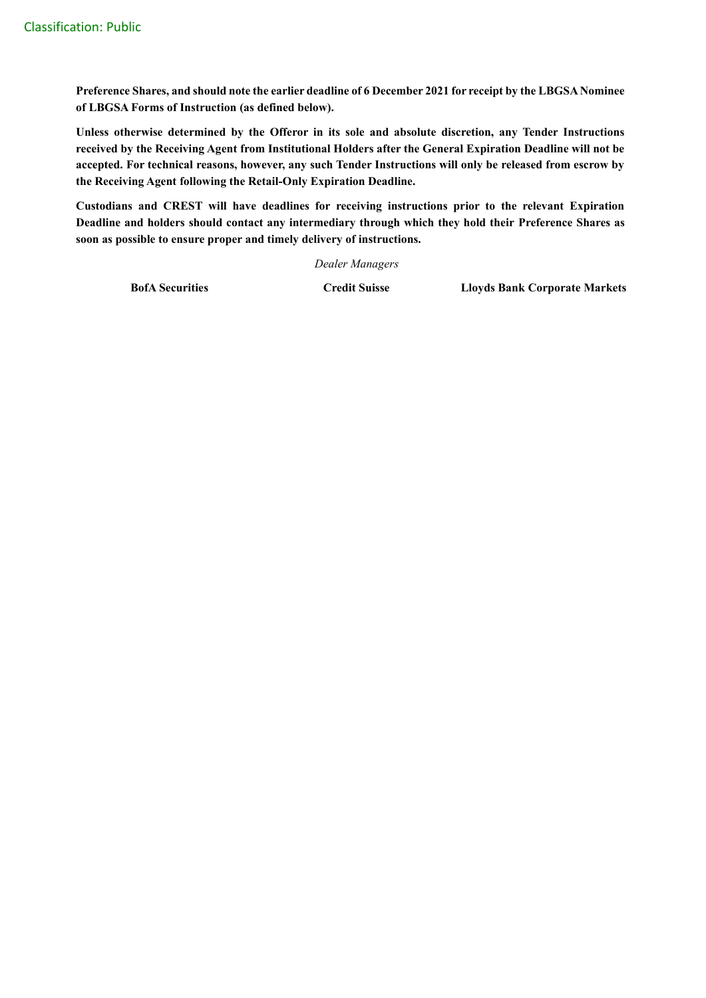**Preference Shares, and should note the earlier deadline of 6 December 2021 for receipt by the LBGSA Nominee of LBGSA Forms of Instruction (as defined below).**

**Unless otherwise determined by the Offeror in its sole and absolute discretion, any Tender Instructions received by the Receiving Agent from Institutional Holders after the General Expiration Deadline will not be accepted. For technical reasons, however, any such Tender Instructions will only be released from escrow by the Receiving Agent following the Retail-Only Expiration Deadline.**

**Custodians and CREST will have deadlines for receiving instructions prior to the relevant Expiration Deadline and holders should contact any intermediary through which they hold their Preference Shares as soon as possible to ensure proper and timely delivery of instructions.**

*Dealer Managers*

**BofA Securities Credit Suisse Lloyds Bank Corporate Markets**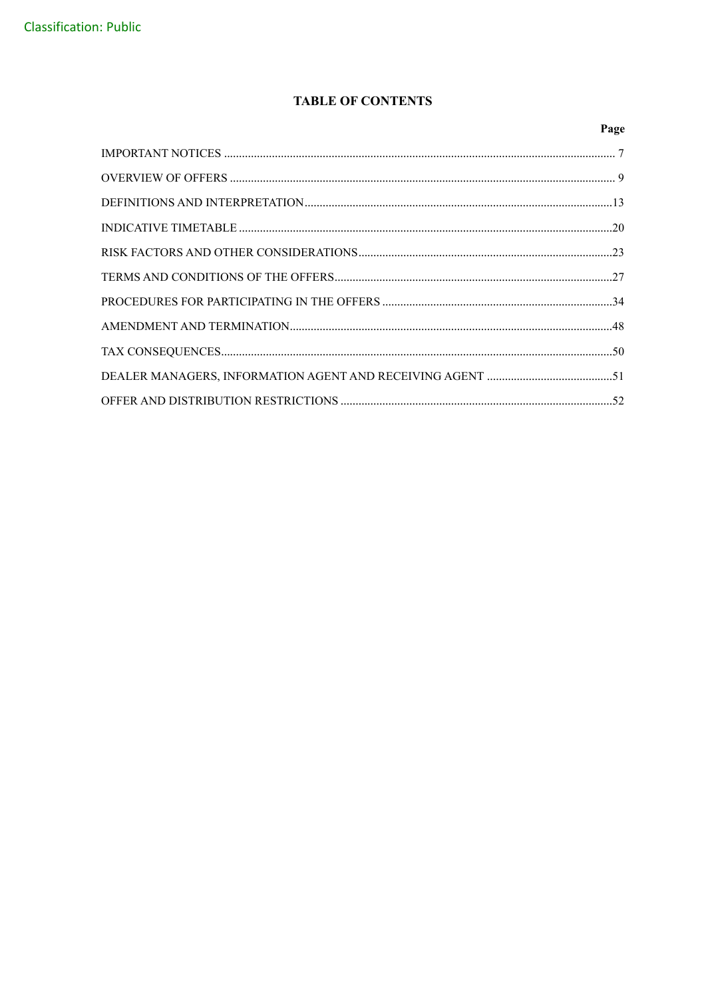# **TABLE OF CONTENTS**

| Page |
|------|
|      |
|      |
|      |
|      |
|      |
|      |
|      |
|      |
|      |
|      |
|      |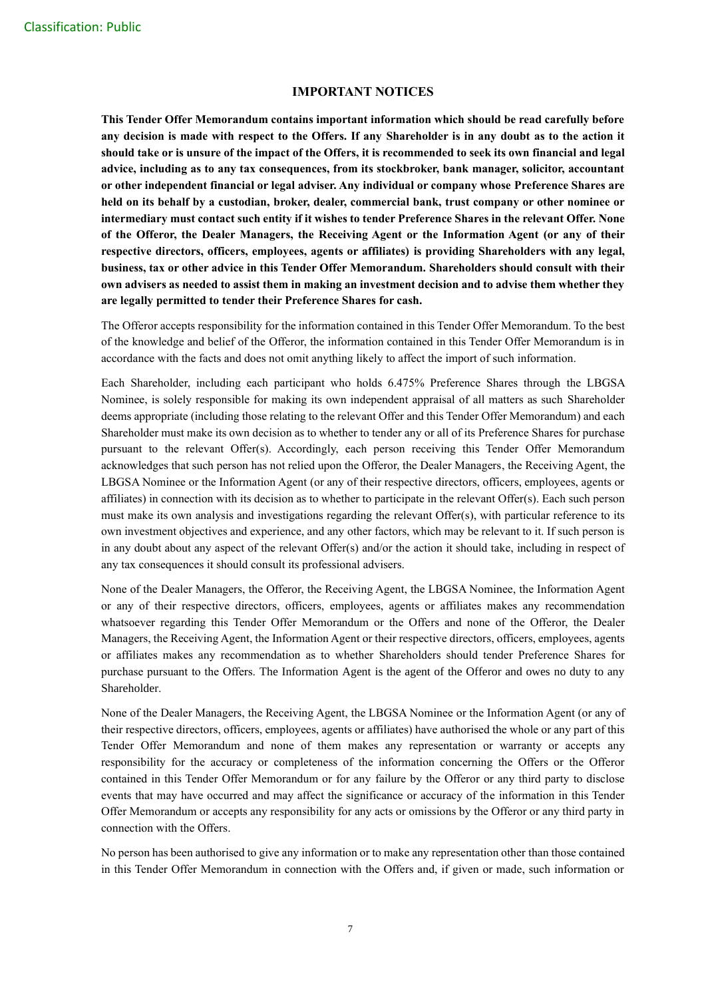## **IMPORTANT NOTICES**

**This Tender Offer Memorandum contains important information which should be read carefully before any decision is made with respect to the Offers. If any Shareholder is in any doubt as to the action it should take or is unsure of the impact of the Offers, it is recommended to seek its own financial and legal advice, including as to any tax consequences, from its stockbroker, bank manager, solicitor, accountant or other independent financial or legal adviser. Any individual or company whose Preference Shares are held on its behalf by a custodian, broker, dealer, commercial bank, trust company or other nominee or intermediary must contact such entity if it wishes to tender Preference Shares in the relevant Offer. None of the Offeror, the Dealer Managers, the Receiving Agent or the Information Agent (or any of their respective directors, officers, employees, agents or affiliates) is providing Shareholders with any legal, business, tax or other advice in this Tender Offer Memorandum. Shareholders should consult with their own advisers as needed to assist them in making an investment decision and to advise them whether they are legally permitted to tender their Preference Shares for cash.**

The Offeror accepts responsibility for the information contained in this Tender Offer Memorandum. To the best of the knowledge and belief of the Offeror, the information contained in this Tender Offer Memorandum is in accordance with the facts and does not omit anything likely to affect the import of such information.

Each Shareholder, including each participant who holds 6.475% Preference Shares through the LBGSA Nominee, is solely responsible for making its own independent appraisal of all matters as such Shareholder deems appropriate (including those relating to the relevant Offer and this Tender Offer Memorandum) and each Shareholder must make its own decision as to whether to tender any or all of its Preference Shares for purchase pursuant to the relevant Offer(s). Accordingly, each person receiving this Tender Offer Memorandum acknowledges that such person has not relied upon the Offeror, the Dealer Managers, the Receiving Agent, the LBGSA Nominee or the Information Agent (or any of their respective directors, officers, employees, agents or affiliates) in connection with its decision as to whether to participate in the relevant Offer(s). Each such person must make its own analysis and investigations regarding the relevant Offer(s), with particular reference to its own investment objectives and experience, and any other factors, which may be relevant to it. If such person is in any doubt about any aspect of the relevant Offer(s) and/or the action it should take, including in respect of any tax consequences it should consult its professional advisers.

None of the Dealer Managers, the Offeror, the Receiving Agent, the LBGSA Nominee, the Information Agent or any of their respective directors, officers, employees, agents or affiliates makes any recommendation whatsoever regarding this Tender Offer Memorandum or the Offers and none of the Offeror, the Dealer Managers, the Receiving Agent, the Information Agent or their respective directors, officers, employees, agents or affiliates makes any recommendation as to whether Shareholders should tender Preference Shares for purchase pursuant to the Offers. The Information Agent is the agent of the Offeror and owes no duty to any Shareholder.

None of the Dealer Managers, the Receiving Agent, the LBGSA Nominee or the Information Agent (or any of their respective directors, officers, employees, agents or affiliates) have authorised the whole or any part of this Tender Offer Memorandum and none of them makes any representation or warranty or accepts any responsibility for the accuracy or completeness of the information concerning the Offers or the Offeror contained in this Tender Offer Memorandum or for any failure by the Offeror or any third party to disclose events that may have occurred and may affect the significance or accuracy of the information in this Tender Offer Memorandum or accepts any responsibility for any acts or omissions by the Offeror or any third party in connection with the Offers.

No person has been authorised to give any information or to make any representation other than those contained in this Tender Offer Memorandum in connection with the Offers and, if given or made, such information or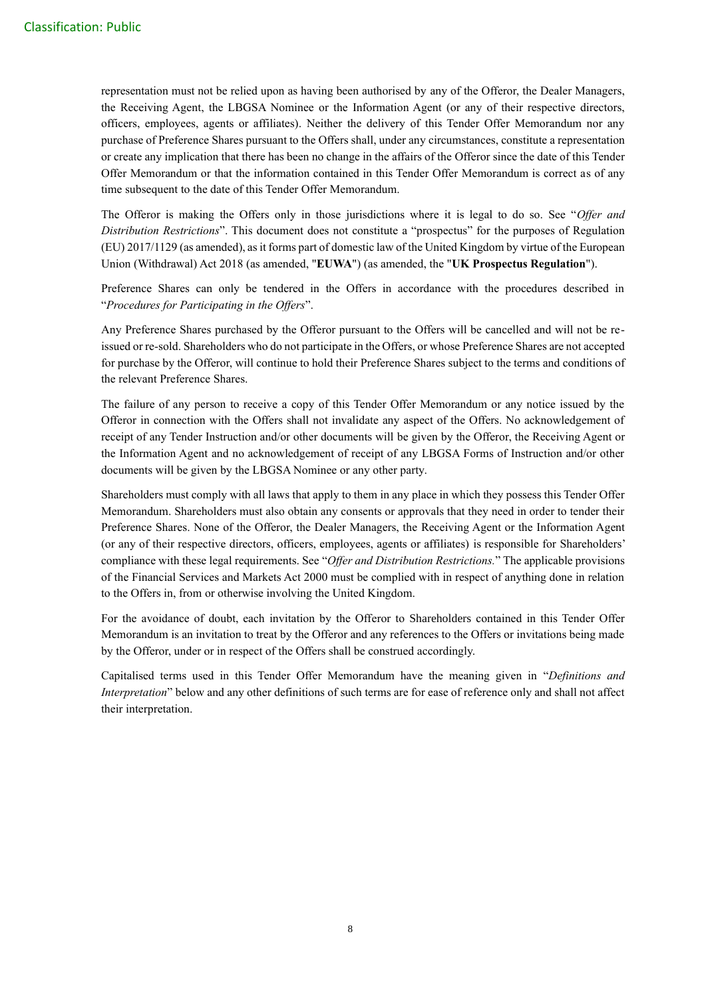representation must not be relied upon as having been authorised by any of the Offeror, the Dealer Managers, the Receiving Agent, the LBGSA Nominee or the Information Agent (or any of their respective directors, officers, employees, agents or affiliates). Neither the delivery of this Tender Offer Memorandum nor any purchase of Preference Shares pursuant to the Offers shall, under any circumstances, constitute a representation or create any implication that there has been no change in the affairs of the Offeror since the date of this Tender Offer Memorandum or that the information contained in this Tender Offer Memorandum is correct as of any time subsequent to the date of this Tender Offer Memorandum.

The Offeror is making the Offers only in those jurisdictions where it is legal to do so. See "*Offer and Distribution Restrictions*". This document does not constitute a "prospectus" for the purposes of Regulation (EU) 2017/1129 (as amended), as it forms part of domestic law of the United Kingdom by virtue of the European Union (Withdrawal) Act 2018 (as amended, "**EUWA**") (as amended, the "**UK Prospectus Regulation**").

Preference Shares can only be tendered in the Offers in accordance with the procedures described in "*Procedures for Participating in the Offers*".

Any Preference Shares purchased by the Offeror pursuant to the Offers will be cancelled and will not be reissued or re-sold. Shareholders who do not participate in the Offers, or whose Preference Shares are not accepted for purchase by the Offeror, will continue to hold their Preference Shares subject to the terms and conditions of the relevant Preference Shares.

The failure of any person to receive a copy of this Tender Offer Memorandum or any notice issued by the Offeror in connection with the Offers shall not invalidate any aspect of the Offers. No acknowledgement of receipt of any Tender Instruction and/or other documents will be given by the Offeror, the Receiving Agent or the Information Agent and no acknowledgement of receipt of any LBGSA Forms of Instruction and/or other documents will be given by the LBGSA Nominee or any other party.

Shareholders must comply with all laws that apply to them in any place in which they possess this Tender Offer Memorandum. Shareholders must also obtain any consents or approvals that they need in order to tender their Preference Shares. None of the Offeror, the Dealer Managers, the Receiving Agent or the Information Agent (or any of their respective directors, officers, employees, agents or affiliates) is responsible for Shareholders' compliance with these legal requirements. See "*Offer and Distribution Restrictions.*" The applicable provisions of the Financial Services and Markets Act 2000 must be complied with in respect of anything done in relation to the Offers in, from or otherwise involving the United Kingdom.

For the avoidance of doubt, each invitation by the Offeror to Shareholders contained in this Tender Offer Memorandum is an invitation to treat by the Offeror and any references to the Offers or invitations being made by the Offeror, under or in respect of the Offers shall be construed accordingly.

Capitalised terms used in this Tender Offer Memorandum have the meaning given in "*Definitions and Interpretation*" below and any other definitions of such terms are for ease of reference only and shall not affect their interpretation.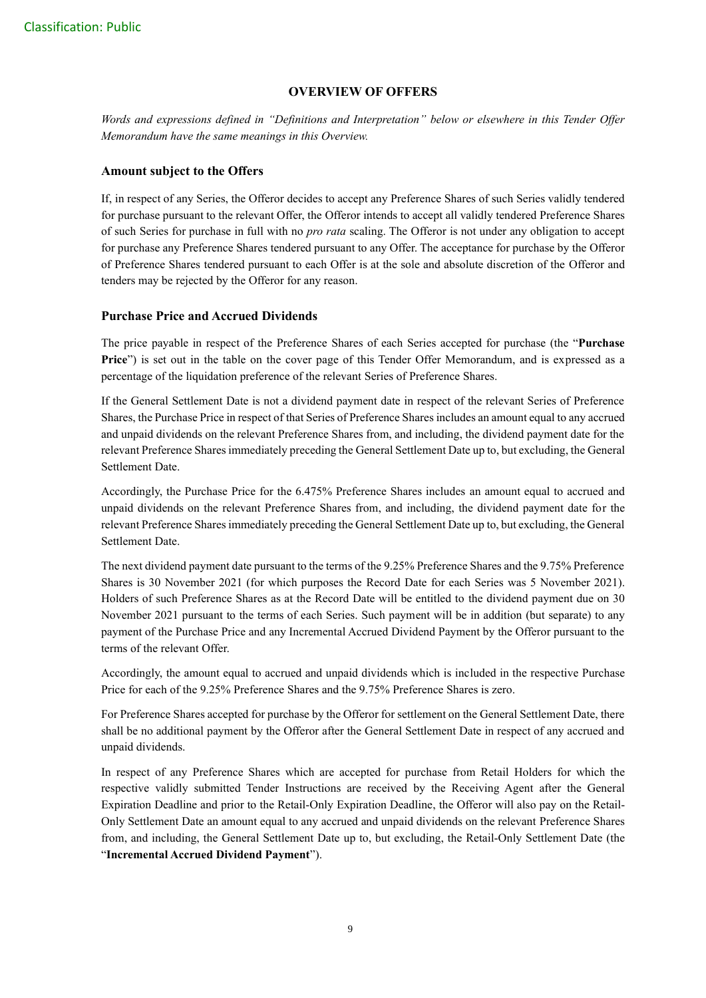## **OVERVIEW OF OFFERS**

*Words and expressions defined in "Definitions and Interpretation" below or elsewhere in this Tender Offer Memorandum have the same meanings in this Overview.*

## **Amount subject to the Offers**

If, in respect of any Series, the Offeror decides to accept any Preference Shares of such Series validly tendered for purchase pursuant to the relevant Offer, the Offeror intends to accept all validly tendered Preference Shares of such Series for purchase in full with no *pro rata* scaling. The Offeror is not under any obligation to accept for purchase any Preference Shares tendered pursuant to any Offer. The acceptance for purchase by the Offeror of Preference Shares tendered pursuant to each Offer is at the sole and absolute discretion of the Offeror and tenders may be rejected by the Offeror for any reason.

## **Purchase Price and Accrued Dividends**

The price payable in respect of the Preference Shares of each Series accepted for purchase (the "**Purchase Price**") is set out in the table on the cover page of this Tender Offer Memorandum, and is expressed as a percentage of the liquidation preference of the relevant Series of Preference Shares.

If the General Settlement Date is not a dividend payment date in respect of the relevant Series of Preference Shares, the Purchase Price in respect of that Series of Preference Shares includes an amount equal to any accrued and unpaid dividends on the relevant Preference Shares from, and including, the dividend payment date for the relevant Preference Shares immediately preceding the General Settlement Date up to, but excluding, the General Settlement Date.

Accordingly, the Purchase Price for the 6.475% Preference Shares includes an amount equal to accrued and unpaid dividends on the relevant Preference Shares from, and including, the dividend payment date for the relevant Preference Shares immediately preceding the General Settlement Date up to, but excluding, the General Settlement Date.

The next dividend payment date pursuant to the terms of the 9.25% Preference Shares and the 9.75% Preference Shares is 30 November 2021 (for which purposes the Record Date for each Series was 5 November 2021). Holders of such Preference Shares as at the Record Date will be entitled to the dividend payment due on 30 November 2021 pursuant to the terms of each Series. Such payment will be in addition (but separate) to any payment of the Purchase Price and any Incremental Accrued Dividend Payment by the Offeror pursuant to the terms of the relevant Offer.

Accordingly, the amount equal to accrued and unpaid dividends which is included in the respective Purchase Price for each of the 9.25% Preference Shares and the 9.75% Preference Shares is zero.

For Preference Shares accepted for purchase by the Offeror for settlement on the General Settlement Date, there shall be no additional payment by the Offeror after the General Settlement Date in respect of any accrued and unpaid dividends.

In respect of any Preference Shares which are accepted for purchase from Retail Holders for which the respective validly submitted Tender Instructions are received by the Receiving Agent after the General Expiration Deadline and prior to the Retail-Only Expiration Deadline, the Offeror will also pay on the Retail-Only Settlement Date an amount equal to any accrued and unpaid dividends on the relevant Preference Shares from, and including, the General Settlement Date up to, but excluding, the Retail-Only Settlement Date (the "**Incremental Accrued Dividend Payment**").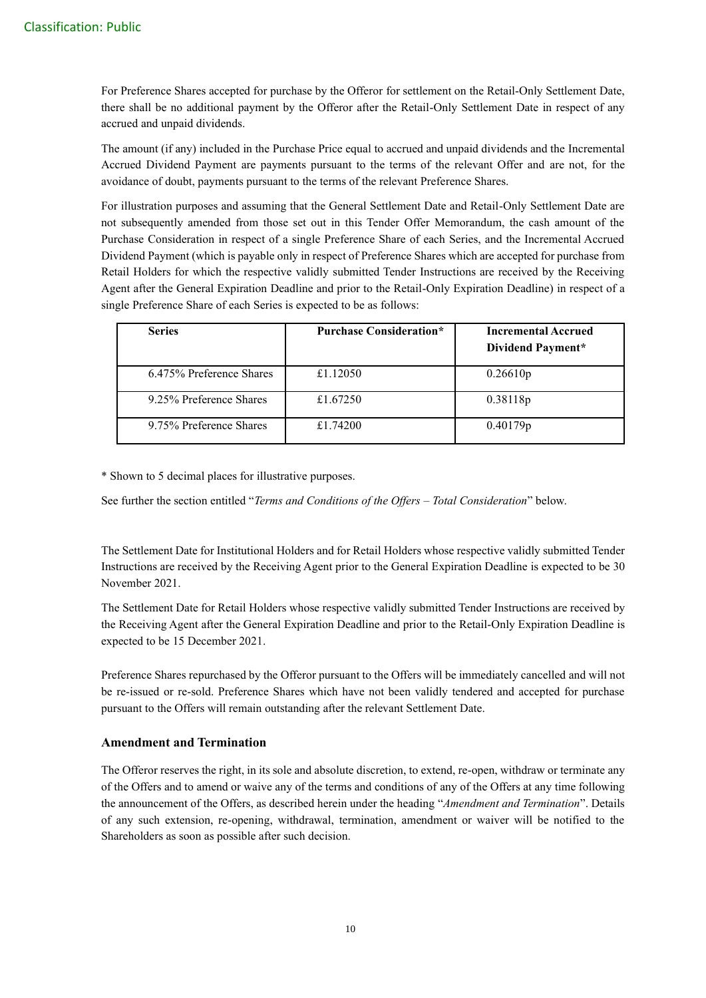For Preference Shares accepted for purchase by the Offeror for settlement on the Retail-Only Settlement Date, there shall be no additional payment by the Offeror after the Retail-Only Settlement Date in respect of any accrued and unpaid dividends.

The amount (if any) included in the Purchase Price equal to accrued and unpaid dividends and the Incremental Accrued Dividend Payment are payments pursuant to the terms of the relevant Offer and are not, for the avoidance of doubt, payments pursuant to the terms of the relevant Preference Shares.

For illustration purposes and assuming that the General Settlement Date and Retail-Only Settlement Date are not subsequently amended from those set out in this Tender Offer Memorandum, the cash amount of the Purchase Consideration in respect of a single Preference Share of each Series, and the Incremental Accrued Dividend Payment (which is payable only in respect of Preference Shares which are accepted for purchase from Retail Holders for which the respective validly submitted Tender Instructions are received by the Receiving Agent after the General Expiration Deadline and prior to the Retail-Only Expiration Deadline) in respect of a single Preference Share of each Series is expected to be as follows:

| <b>Series</b>            | <b>Purchase Consideration*</b> | <b>Incremental Accrued</b><br>Dividend Payment* |
|--------------------------|--------------------------------|-------------------------------------------------|
| 6.475% Preference Shares | £1.12050                       | 0.26610p                                        |
| 9.25% Preference Shares  | £1.67250                       | 0.38118p                                        |
| 9.75% Preference Shares  | £1.74200                       | 0.40179p                                        |

\* Shown to 5 decimal places for illustrative purposes.

See further the section entitled "*Terms and Conditions of the Offers – Total Consideration*" below.

The Settlement Date for Institutional Holders and for Retail Holders whose respective validly submitted Tender Instructions are received by the Receiving Agent prior to the General Expiration Deadline is expected to be 30 November 2021.

The Settlement Date for Retail Holders whose respective validly submitted Tender Instructions are received by the Receiving Agent after the General Expiration Deadline and prior to the Retail-Only Expiration Deadline is expected to be 15 December 2021.

Preference Shares repurchased by the Offeror pursuant to the Offers will be immediately cancelled and will not be re-issued or re-sold. Preference Shares which have not been validly tendered and accepted for purchase pursuant to the Offers will remain outstanding after the relevant Settlement Date.

## **Amendment and Termination**

The Offeror reserves the right, in its sole and absolute discretion, to extend, re-open, withdraw or terminate any of the Offers and to amend or waive any of the terms and conditions of any of the Offers at any time following the announcement of the Offers, as described herein under the heading "*Amendment and Termination*". Details of any such extension, re-opening, withdrawal, termination, amendment or waiver will be notified to the Shareholders as soon as possible after such decision.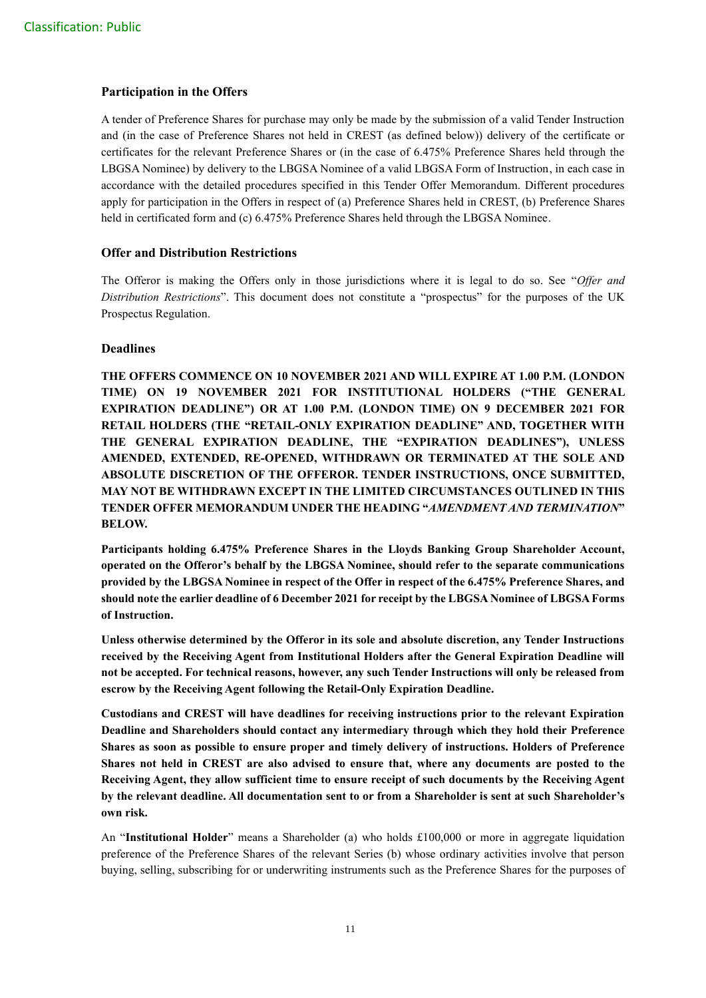## **Participation in the Offers**

A tender of Preference Shares for purchase may only be made by the submission of a valid Tender Instruction and (in the case of Preference Shares not held in CREST (as defined below)) delivery of the certificate or certificates for the relevant Preference Shares or (in the case of 6.475% Preference Shares held through the LBGSA Nominee) by delivery to the LBGSA Nominee of a valid LBGSA Form of Instruction, in each case in accordance with the detailed procedures specified in this Tender Offer Memorandum. Different procedures apply for participation in the Offers in respect of (a) Preference Shares held in CREST, (b) Preference Shares held in certificated form and (c) 6.475% Preference Shares held through the LBGSA Nominee.

## **Offer and Distribution Restrictions**

The Offeror is making the Offers only in those jurisdictions where it is legal to do so. See "*Offer and Distribution Restrictions*". This document does not constitute a "prospectus" for the purposes of the UK Prospectus Regulation.

## **Deadlines**

**THE OFFERS COMMENCE ON 10 NOVEMBER 2021 AND WILL EXPIRE AT 1.00 P.M. (LONDON TIME) ON 19 NOVEMBER 2021 FOR INSTITUTIONAL HOLDERS ("THE GENERAL EXPIRATION DEADLINE") OR AT 1.00 P.M. (LONDON TIME) ON 9 DECEMBER 2021 FOR RETAIL HOLDERS (THE "RETAIL-ONLY EXPIRATION DEADLINE" AND, TOGETHER WITH THE GENERAL EXPIRATION DEADLINE, THE "EXPIRATION DEADLINES"), UNLESS AMENDED, EXTENDED, RE-OPENED, WITHDRAWN OR TERMINATED AT THE SOLE AND ABSOLUTE DISCRETION OF THE OFFEROR. TENDER INSTRUCTIONS, ONCE SUBMITTED, MAY NOT BE WITHDRAWN EXCEPT IN THE LIMITED CIRCUMSTANCES OUTLINED IN THIS TENDER OFFER MEMORANDUM UNDER THE HEADING "***AMENDMENT AND TERMINATION***" BELOW.**

**Participants holding 6.475% Preference Shares in the Lloyds Banking Group Shareholder Account, operated on the Offeror's behalf by the LBGSA Nominee, should refer to the separate communications provided by the LBGSA Nominee in respect of the Offer in respect of the 6.475% Preference Shares, and should note the earlier deadline of 6 December 2021 for receipt by the LBGSA Nominee of LBGSA Forms of Instruction.**

**Unless otherwise determined by the Offeror in its sole and absolute discretion, any Tender Instructions received by the Receiving Agent from Institutional Holders after the General Expiration Deadline will not be accepted. For technical reasons, however, any such Tender Instructions will only be released from escrow by the Receiving Agent following the Retail-Only Expiration Deadline.**

**Custodians and CREST will have deadlines for receiving instructions prior to the relevant Expiration Deadline and Shareholders should contact any intermediary through which they hold their Preference Shares as soon as possible to ensure proper and timely delivery of instructions. Holders of Preference Shares not held in CREST are also advised to ensure that, where any documents are posted to the Receiving Agent, they allow sufficient time to ensure receipt of such documents by the Receiving Agent by the relevant deadline. All documentation sent to or from a Shareholder is sent at such Shareholder's own risk.**

An "**Institutional Holder**" means a Shareholder (a) who holds £100,000 or more in aggregate liquidation preference of the Preference Shares of the relevant Series (b) whose ordinary activities involve that person buying, selling, subscribing for or underwriting instruments such as the Preference Shares for the purposes of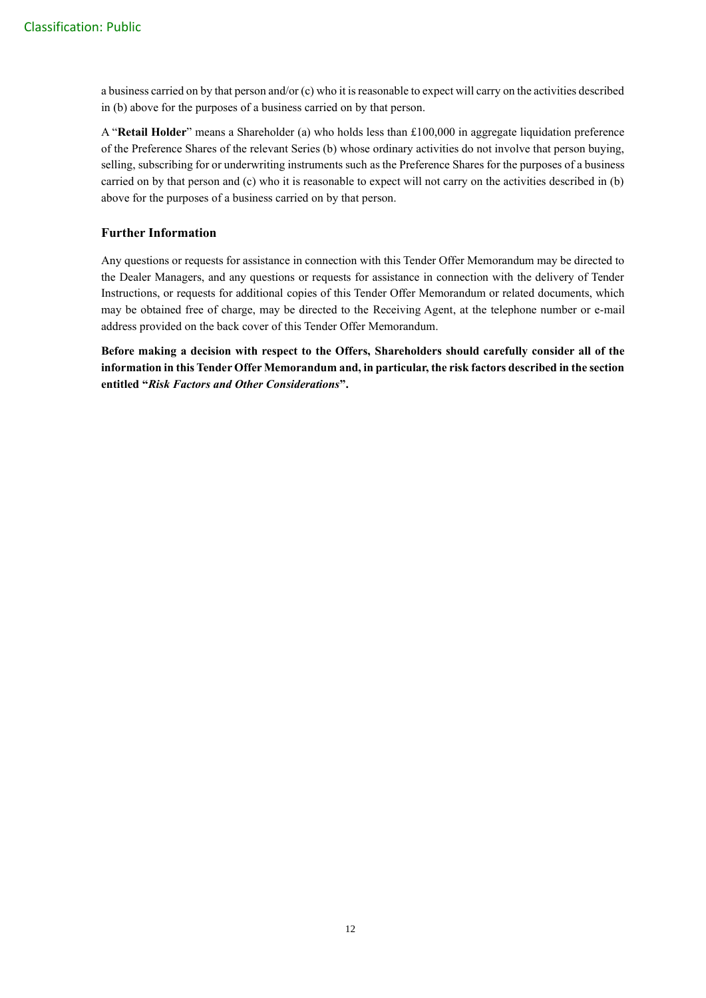a business carried on by that person and/or (c) who it is reasonable to expect will carry on the activities described in (b) above for the purposes of a business carried on by that person.

A "**Retail Holder**" means a Shareholder (a) who holds less than £100,000 in aggregate liquidation preference of the Preference Shares of the relevant Series (b) whose ordinary activities do not involve that person buying, selling, subscribing for or underwriting instruments such as the Preference Shares for the purposes of a business carried on by that person and (c) who it is reasonable to expect will not carry on the activities described in (b) above for the purposes of a business carried on by that person.

## **Further Information**

Any questions or requests for assistance in connection with this Tender Offer Memorandum may be directed to the Dealer Managers, and any questions or requests for assistance in connection with the delivery of Tender Instructions, or requests for additional copies of this Tender Offer Memorandum or related documents, which may be obtained free of charge, may be directed to the Receiving Agent, at the telephone number or e-mail address provided on the back cover of this Tender Offer Memorandum.

**Before making a decision with respect to the Offers, Shareholders should carefully consider all of the information in this Tender Offer Memorandum and, in particular, the risk factors described in the section entitled "***Risk Factors and Other Considerations***".**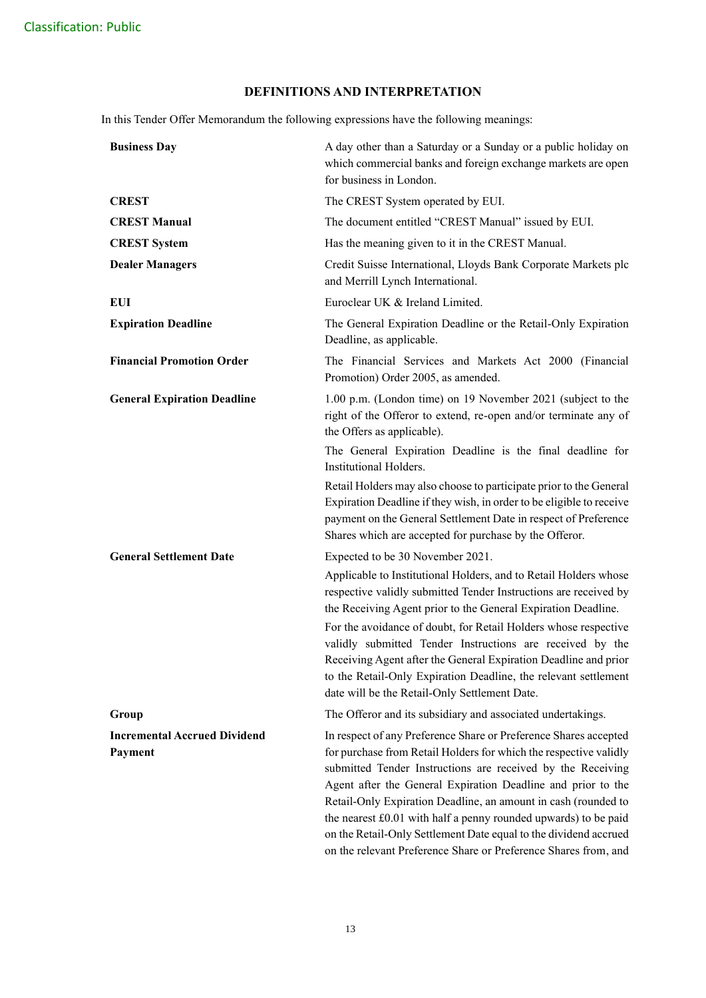## **DEFINITIONS AND INTERPRETATION**

In this Tender Offer Memorandum the following expressions have the following meanings:

| <b>Business Day</b>                            | A day other than a Saturday or a Sunday or a public holiday on<br>which commercial banks and foreign exchange markets are open<br>for business in London.                                                                                                                                                                                                                                                                                                                     |
|------------------------------------------------|-------------------------------------------------------------------------------------------------------------------------------------------------------------------------------------------------------------------------------------------------------------------------------------------------------------------------------------------------------------------------------------------------------------------------------------------------------------------------------|
| <b>CREST</b>                                   | The CREST System operated by EUI.                                                                                                                                                                                                                                                                                                                                                                                                                                             |
| <b>CREST Manual</b>                            | The document entitled "CREST Manual" issued by EUI.                                                                                                                                                                                                                                                                                                                                                                                                                           |
| <b>CREST System</b>                            | Has the meaning given to it in the CREST Manual.                                                                                                                                                                                                                                                                                                                                                                                                                              |
| <b>Dealer Managers</b>                         | Credit Suisse International, Lloyds Bank Corporate Markets plc<br>and Merrill Lynch International.                                                                                                                                                                                                                                                                                                                                                                            |
| EUI                                            | Euroclear UK & Ireland Limited.                                                                                                                                                                                                                                                                                                                                                                                                                                               |
| <b>Expiration Deadline</b>                     | The General Expiration Deadline or the Retail-Only Expiration<br>Deadline, as applicable.                                                                                                                                                                                                                                                                                                                                                                                     |
| <b>Financial Promotion Order</b>               | The Financial Services and Markets Act 2000 (Financial<br>Promotion) Order 2005, as amended.                                                                                                                                                                                                                                                                                                                                                                                  |
| <b>General Expiration Deadline</b>             | 1.00 p.m. (London time) on 19 November 2021 (subject to the<br>right of the Offeror to extend, re-open and/or terminate any of<br>the Offers as applicable).                                                                                                                                                                                                                                                                                                                  |
|                                                | The General Expiration Deadline is the final deadline for<br>Institutional Holders.                                                                                                                                                                                                                                                                                                                                                                                           |
|                                                | Retail Holders may also choose to participate prior to the General<br>Expiration Deadline if they wish, in order to be eligible to receive<br>payment on the General Settlement Date in respect of Preference<br>Shares which are accepted for purchase by the Offeror.                                                                                                                                                                                                       |
| <b>General Settlement Date</b>                 | Expected to be 30 November 2021.                                                                                                                                                                                                                                                                                                                                                                                                                                              |
|                                                | Applicable to Institutional Holders, and to Retail Holders whose<br>respective validly submitted Tender Instructions are received by<br>the Receiving Agent prior to the General Expiration Deadline.                                                                                                                                                                                                                                                                         |
|                                                | For the avoidance of doubt, for Retail Holders whose respective<br>validly submitted Tender Instructions are received by the<br>Receiving Agent after the General Expiration Deadline and prior<br>to the Retail-Only Expiration Deadline, the relevant settlement<br>date will be the Retail-Only Settlement Date.                                                                                                                                                           |
| Group                                          | The Offeror and its subsidiary and associated undertakings.                                                                                                                                                                                                                                                                                                                                                                                                                   |
| <b>Incremental Accrued Dividend</b><br>Payment | In respect of any Preference Share or Preference Shares accepted<br>for purchase from Retail Holders for which the respective validly<br>submitted Tender Instructions are received by the Receiving<br>Agent after the General Expiration Deadline and prior to the<br>Retail-Only Expiration Deadline, an amount in cash (rounded to<br>the nearest £0.01 with half a penny rounded upwards) to be paid<br>on the Retail-Only Settlement Date equal to the dividend accrued |

on the relevant Preference Share or Preference Shares from, and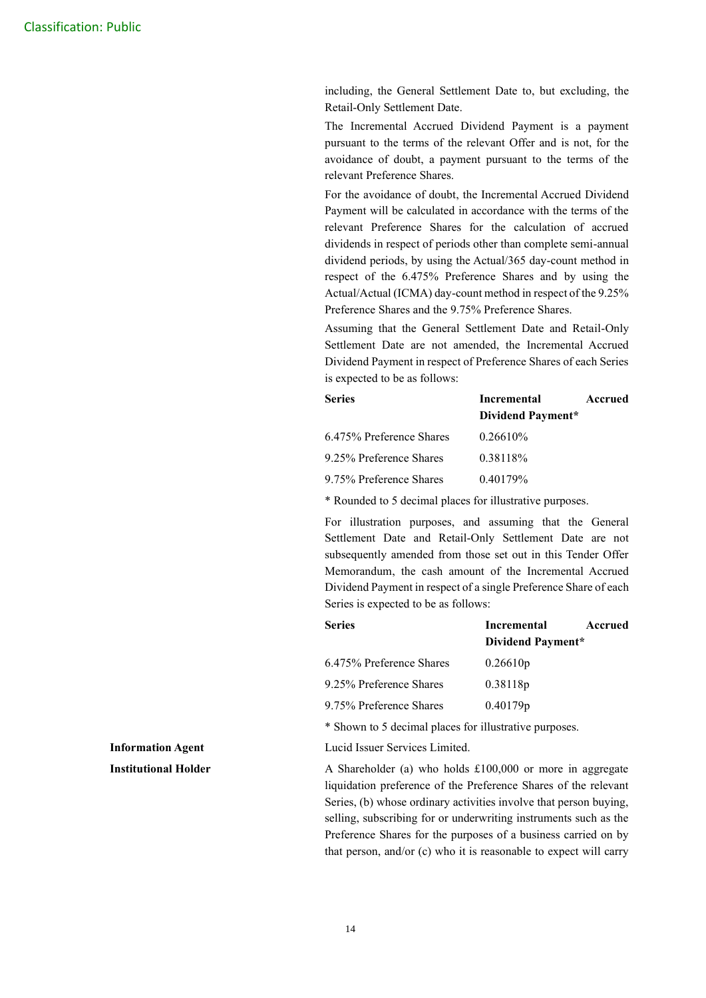including, the General Settlement Date to, but excluding, the Retail-Only Settlement Date.

The Incremental Accrued Dividend Payment is a payment pursuant to the terms of the relevant Offer and is not, for the avoidance of doubt, a payment pursuant to the terms of the relevant Preference Shares.

For the avoidance of doubt, the Incremental Accrued Dividend Payment will be calculated in accordance with the terms of the relevant Preference Shares for the calculation of accrued dividends in respect of periods other than complete semi-annual dividend periods, by using the Actual/365 day-count method in respect of the 6.475% Preference Shares and by using the Actual/Actual (ICMA) day-count method in respect of the 9.25% Preference Shares and the 9.75% Preference Shares.

Assuming that the General Settlement Date and Retail-Only Settlement Date are not amended, the Incremental Accrued Dividend Payment in respect of Preference Shares of each Series is expected to be as follows:

| <b>Series</b>            | <b>Incremental</b> | Accrued |
|--------------------------|--------------------|---------|
|                          | Dividend Payment*  |         |
| 6.475% Preference Shares | $0.26610\%$        |         |
| 9.25% Preference Shares  | 0.38118%           |         |
| 9.75% Preference Shares  | $0.40179\%$        |         |

\* Rounded to 5 decimal places for illustrative purposes.

For illustration purposes, and assuming that the General Settlement Date and Retail-Only Settlement Date are not subsequently amended from those set out in this Tender Offer Memorandum, the cash amount of the Incremental Accrued Dividend Payment in respect of a single Preference Share of each Series is expected to be as follows:

| <b>Series</b>            | Incremental<br>Accrued |
|--------------------------|------------------------|
|                          | Dividend Payment*      |
| 6.475% Preference Shares | 0.26610p               |
| 9.25% Preference Shares  | 0.38118p               |
| 9.75% Preference Shares  | 0.40179p               |

\* Shown to 5 decimal places for illustrative purposes.

**Information Agent** Lucid Issuer Services Limited.

**Institutional Holder A Shareholder (a) who holds £100,000 or more in aggregate** liquidation preference of the Preference Shares of the relevant Series, (b) whose ordinary activities involve that person buying, selling, subscribing for or underwriting instruments such as the Preference Shares for the purposes of a business carried on by that person, and/or (c) who it is reasonable to expect will carry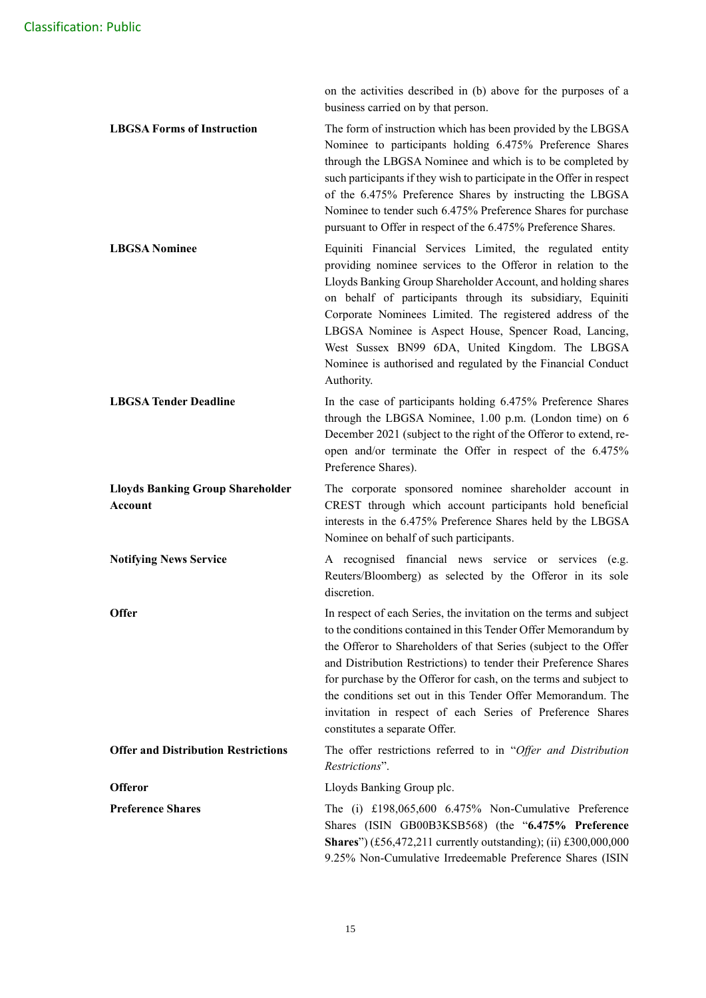on the activities described in (b) above for the purposes of a business carried on by that person.

**LBGSA Forms of Instruction** The form of instruction which has been provided by the LBGSA Nominee to participants holding 6.475% Preference Shares through the LBGSA Nominee and which is to be completed by such participants if they wish to participate in the Offer in respect of the 6.475% Preference Shares by instructing the LBGSA Nominee to tender such 6.475% Preference Shares for purchase pursuant to Offer in respect of the 6.475% Preference Shares.

**LBGSA Nominee Equiniti** Financial Services Limited, the regulated entity providing nominee services to the Offeror in relation to the Lloyds Banking Group Shareholder Account, and holding shares on behalf of participants through its subsidiary, Equiniti Corporate Nominees Limited. The registered address of the LBGSA Nominee is Aspect House, Spencer Road, Lancing, West Sussex BN99 6DA, United Kingdom. The LBGSA Nominee is authorised and regulated by the Financial Conduct Authority.

**LBGSA Tender Deadline** In the case of participants holding 6.475% Preference Shares through the LBGSA Nominee, 1.00 p.m. (London time) on 6 December 2021 (subject to the right of the Offeror to extend, reopen and/or terminate the Offer in respect of the 6.475% Preference Shares).

**Lloyds Banking Group Shareholder Account** The corporate sponsored nominee shareholder account in CREST through which account participants hold beneficial interests in the 6.475% Preference Shares held by the LBGSA Nominee on behalf of such participants.

**Notifying News Service** A recognised financial news service or services (e.g. Reuters/Bloomberg) as selected by the Offeror in its sole discretion.

**Offer In respect of each Series, the invitation on the terms and subject** to the conditions contained in this Tender Offer Memorandum by the Offeror to Shareholders of that Series (subject to the Offer and Distribution Restrictions) to tender their Preference Shares for purchase by the Offeror for cash, on the terms and subject to the conditions set out in this Tender Offer Memorandum. The invitation in respect of each Series of Preference Shares constitutes a separate Offer.

**Offer and Distribution Restrictions** The offer restrictions referred to in "*Offer and Distribution Restrictions*".

**Offeror** Lloyds Banking Group plc.

**Preference Shares** The (i) £198,065,600 6.475% Non-Cumulative Preference Shares (ISIN GB00B3KSB568) (the "**6.475% Preference Shares**") (£56,472,211 currently outstanding); (ii) £300,000,000 9.25% Non-Cumulative Irredeemable Preference Shares (ISIN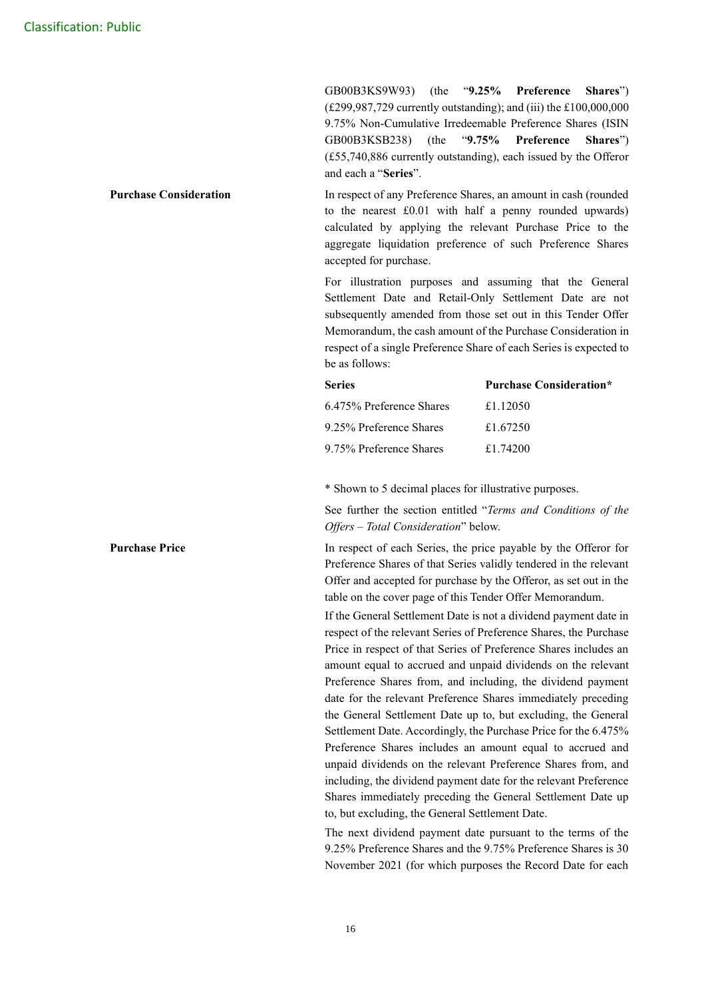GB00B3KS9W93) (the "**9.25% Preference Shares**") (£299,987,729 currently outstanding); and (iii) the £100,000,000 9.75% Non-Cumulative Irredeemable Preference Shares (ISIN GB00B3KSB238) (the "**9.75% Preference Shares**") (£55,740,886 currently outstanding), each issued by the Offeror and each a "**Series**".

**Purchase Consideration In respect of any Preference Shares, an amount in cash (rounded)** to the nearest £0.01 with half a penny rounded upwards) calculated by applying the relevant Purchase Price to the aggregate liquidation preference of such Preference Shares accepted for purchase.

> For illustration purposes and assuming that the General Settlement Date and Retail-Only Settlement Date are not subsequently amended from those set out in this Tender Offer Memorandum, the cash amount of the Purchase Consideration in respect of a single Preference Share of each Series is expected to be as follows:

| <b>Series</b>            | <b>Purchase Consideration*</b> |
|--------------------------|--------------------------------|
| 6.475% Preference Shares | £1.12050                       |
| 9.25% Preference Shares  | £1.67250                       |
| 9.75% Preference Shares  | £1.74200                       |

\* Shown to 5 decimal places for illustrative purposes.

See further the section entitled "*Terms and Conditions of the Offers – Total Consideration*" below.

**Purchase Price In respect of each Series, the price payable by the Offeror for** Preference Shares of that Series validly tendered in the relevant Offer and accepted for purchase by the Offeror, as set out in the table on the cover page of this Tender Offer Memorandum.

> If the General Settlement Date is not a dividend payment date in respect of the relevant Series of Preference Shares, the Purchase Price in respect of that Series of Preference Shares includes an amount equal to accrued and unpaid dividends on the relevant Preference Shares from, and including, the dividend payment date for the relevant Preference Shares immediately preceding the General Settlement Date up to, but excluding, the General Settlement Date. Accordingly, the Purchase Price for the 6.475% Preference Shares includes an amount equal to accrued and unpaid dividends on the relevant Preference Shares from, and including, the dividend payment date for the relevant Preference Shares immediately preceding the General Settlement Date up to, but excluding, the General Settlement Date.

> The next dividend payment date pursuant to the terms of the 9.25% Preference Shares and the 9.75% Preference Shares is 30 November 2021 (for which purposes the Record Date for each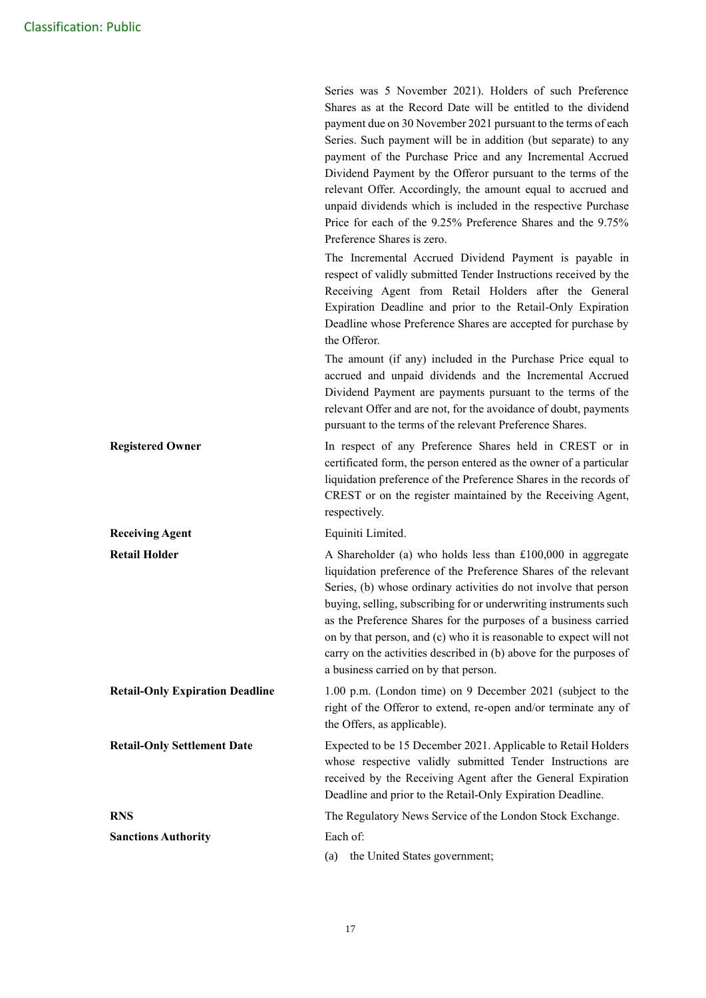|                                        | Series was 5 November 2021). Holders of such Preference<br>Shares as at the Record Date will be entitled to the dividend<br>payment due on 30 November 2021 pursuant to the terms of each<br>Series. Such payment will be in addition (but separate) to any<br>payment of the Purchase Price and any Incremental Accrued<br>Dividend Payment by the Offeror pursuant to the terms of the<br>relevant Offer. Accordingly, the amount equal to accrued and<br>unpaid dividends which is included in the respective Purchase<br>Price for each of the 9.25% Preference Shares and the 9.75%<br>Preference Shares is zero.<br>The Incremental Accrued Dividend Payment is payable in<br>respect of validly submitted Tender Instructions received by the<br>Receiving Agent from Retail Holders after the General<br>Expiration Deadline and prior to the Retail-Only Expiration<br>Deadline whose Preference Shares are accepted for purchase by<br>the Offeror. |
|----------------------------------------|---------------------------------------------------------------------------------------------------------------------------------------------------------------------------------------------------------------------------------------------------------------------------------------------------------------------------------------------------------------------------------------------------------------------------------------------------------------------------------------------------------------------------------------------------------------------------------------------------------------------------------------------------------------------------------------------------------------------------------------------------------------------------------------------------------------------------------------------------------------------------------------------------------------------------------------------------------------|
|                                        | The amount (if any) included in the Purchase Price equal to<br>accrued and unpaid dividends and the Incremental Accrued<br>Dividend Payment are payments pursuant to the terms of the<br>relevant Offer and are not, for the avoidance of doubt, payments<br>pursuant to the terms of the relevant Preference Shares.                                                                                                                                                                                                                                                                                                                                                                                                                                                                                                                                                                                                                                         |
| <b>Registered Owner</b>                | In respect of any Preference Shares held in CREST or in<br>certificated form, the person entered as the owner of a particular<br>liquidation preference of the Preference Shares in the records of<br>CREST or on the register maintained by the Receiving Agent,<br>respectively.                                                                                                                                                                                                                                                                                                                                                                                                                                                                                                                                                                                                                                                                            |
| <b>Receiving Agent</b>                 | Equiniti Limited.                                                                                                                                                                                                                                                                                                                                                                                                                                                                                                                                                                                                                                                                                                                                                                                                                                                                                                                                             |
| <b>Retail Holder</b>                   | A Shareholder (a) who holds less than $£100,000$ in aggregate<br>liquidation preference of the Preference Shares of the relevant<br>Series, (b) whose ordinary activities do not involve that person<br>buying, selling, subscribing for or underwriting instruments such<br>as the Preference Shares for the purposes of a business carried<br>on by that person, and (c) who it is reasonable to expect will not<br>carry on the activities described in (b) above for the purposes of<br>a business carried on by that person.                                                                                                                                                                                                                                                                                                                                                                                                                             |
| <b>Retail-Only Expiration Deadline</b> | 1.00 p.m. (London time) on 9 December 2021 (subject to the<br>right of the Offeror to extend, re-open and/or terminate any of<br>the Offers, as applicable).                                                                                                                                                                                                                                                                                                                                                                                                                                                                                                                                                                                                                                                                                                                                                                                                  |
| <b>Retail-Only Settlement Date</b>     | Expected to be 15 December 2021. Applicable to Retail Holders<br>whose respective validly submitted Tender Instructions are<br>received by the Receiving Agent after the General Expiration<br>Deadline and prior to the Retail-Only Expiration Deadline.                                                                                                                                                                                                                                                                                                                                                                                                                                                                                                                                                                                                                                                                                                     |
| <b>RNS</b>                             | The Regulatory News Service of the London Stock Exchange.                                                                                                                                                                                                                                                                                                                                                                                                                                                                                                                                                                                                                                                                                                                                                                                                                                                                                                     |
| <b>Sanctions Authority</b>             | Each of:<br>the United States government;<br>(a)                                                                                                                                                                                                                                                                                                                                                                                                                                                                                                                                                                                                                                                                                                                                                                                                                                                                                                              |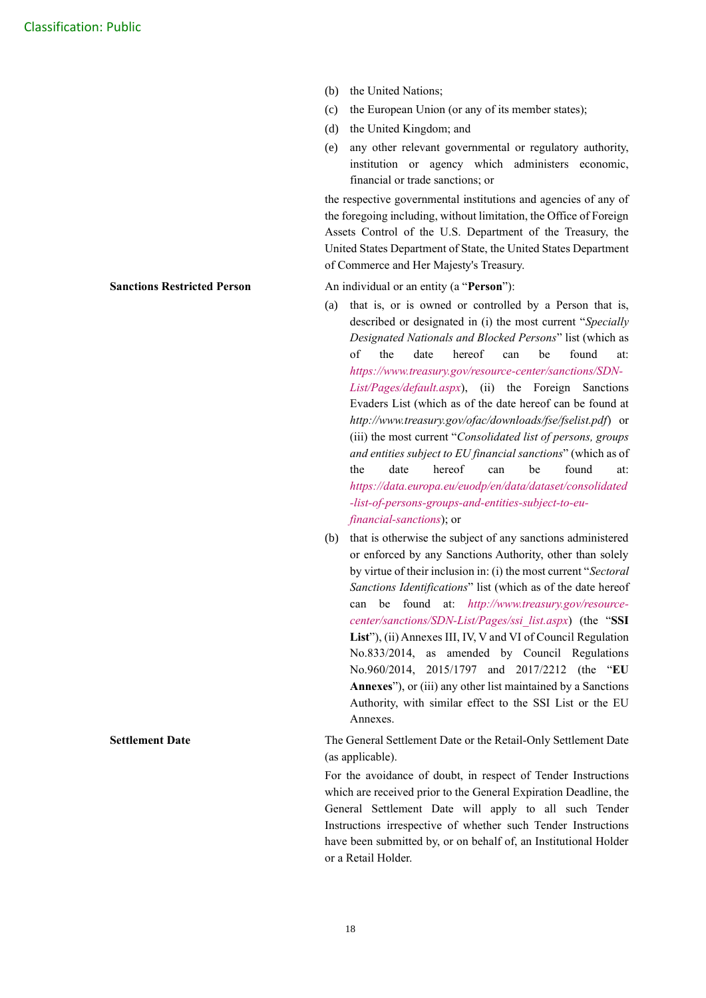- (b) the United Nations;
- (c) the European Union (or any of its member states);
- (d) the United Kingdom; and
- (e) any other relevant governmental or regulatory authority, institution or agency which administers economic, financial or trade sanctions; or

the respective governmental institutions and agencies of any of the foregoing including, without limitation, the Office of Foreign Assets Control of the U.S. Department of the Treasury, the United States Department of State, the United States Department of Commerce and Her Majesty's Treasury.

**Sanctions Restricted Person** An individual or an entity (a "**Person**"):

- (a) that is, or is owned or controlled by a Person that is, described or designated in (i) the most current "*Specially Designated Nationals and Blocked Persons*" list (which as of the date hereof can be found at: *[https://www.treasury.gov/resource-center/sanctions/SDN-](https://www.treasury.gov/resource-center/sanctions/SDN-List/Pages/default.aspx)[List/Pages/default.aspx](https://www.treasury.gov/resource-center/sanctions/SDN-List/Pages/default.aspx)*), (ii) the Foreign Sanctions Evaders List (which as of the date hereof can be found at *<http://www.treasury.gov/ofac/downloads/fse/fselist.pdf>*) or (iii) the most current "*Consolidated list of persons, groups and entities subject to EU financial sanctions*" (which as of the date hereof can be found at: *[https://data.europa.eu/euodp/en/data/dataset/consolidated](https://data.europa.eu/euodp/en/data/dataset/consolidated-list-of-persons-groups-and-entities-subject-to-eu-financial-sanctions) [-list-of-persons-groups-and-entities-subject-to-eu](https://data.europa.eu/euodp/en/data/dataset/consolidated-list-of-persons-groups-and-entities-subject-to-eu-financial-sanctions)[financial-sanctions](https://data.europa.eu/euodp/en/data/dataset/consolidated-list-of-persons-groups-and-entities-subject-to-eu-financial-sanctions)*); or
- (b) that is otherwise the subject of any sanctions administered or enforced by any Sanctions Authority, other than solely by virtue of their inclusion in: (i) the most current "*Sectoral Sanctions Identifications*" list (which as of the date hereof can be found at: *[http://www.treasury.gov/resource](http://www.treasury.gov/resource-center/sanctions/SDN-List/Pages/ssi_list.aspx)[center/sanctions/SDN-List/Pages/ssi\\_list.aspx](http://www.treasury.gov/resource-center/sanctions/SDN-List/Pages/ssi_list.aspx)*) (the "**SSI List**"), (ii) Annexes III, IV, V and VI of Council Regulation No.833/2014, as amended by Council Regulations No.960/2014, 2015/1797 and 2017/2212 (the "**EU Annexes**"), or (iii) any other list maintained by a Sanctions Authority, with similar effect to the SSI List or the EU Annexes.

**Settlement Date** The General Settlement Date or the Retail-Only Settlement Date (as applicable).

> For the avoidance of doubt, in respect of Tender Instructions which are received prior to the General Expiration Deadline, the General Settlement Date will apply to all such Tender Instructions irrespective of whether such Tender Instructions have been submitted by, or on behalf of, an Institutional Holder or a Retail Holder.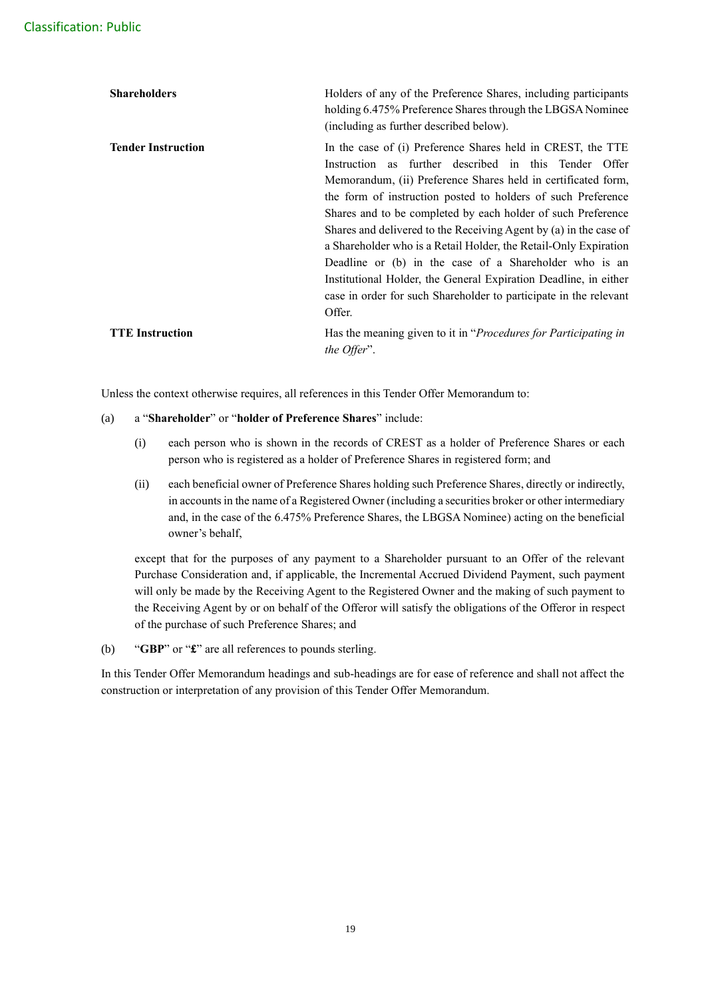| <b>Shareholders</b>       | Holders of any of the Preference Shares, including participants<br>holding 6.475% Preference Shares through the LBGSA Nominee<br>(including as further described below).                                                                                                                                                                                                                                                                                                                                                                                                                                                                                                    |
|---------------------------|-----------------------------------------------------------------------------------------------------------------------------------------------------------------------------------------------------------------------------------------------------------------------------------------------------------------------------------------------------------------------------------------------------------------------------------------------------------------------------------------------------------------------------------------------------------------------------------------------------------------------------------------------------------------------------|
| <b>Tender Instruction</b> | In the case of (i) Preference Shares held in CREST, the TTE<br>Instruction as further described in this Tender Offer<br>Memorandum, (ii) Preference Shares held in certificated form,<br>the form of instruction posted to holders of such Preference<br>Shares and to be completed by each holder of such Preference<br>Shares and delivered to the Receiving Agent by (a) in the case of<br>a Shareholder who is a Retail Holder, the Retail-Only Expiration<br>Deadline or (b) in the case of a Shareholder who is an<br>Institutional Holder, the General Expiration Deadline, in either<br>case in order for such Shareholder to participate in the relevant<br>Offer. |
| <b>TTE</b> Instruction    | Has the meaning given to it in "Procedures for Participating in<br>the Offer".                                                                                                                                                                                                                                                                                                                                                                                                                                                                                                                                                                                              |

Unless the context otherwise requires, all references in this Tender Offer Memorandum to:

#### (a) a "**Shareholder**" or "**holder of Preference Shares**" include:

- (i) each person who is shown in the records of CREST as a holder of Preference Shares or each person who is registered as a holder of Preference Shares in registered form; and
- (ii) each beneficial owner of Preference Shares holding such Preference Shares, directly or indirectly, in accounts in the name of a Registered Owner (including a securities broker or other intermediary and, in the case of the 6.475% Preference Shares, the LBGSA Nominee) acting on the beneficial owner's behalf,

except that for the purposes of any payment to a Shareholder pursuant to an Offer of the relevant Purchase Consideration and, if applicable, the Incremental Accrued Dividend Payment, such payment will only be made by the Receiving Agent to the Registered Owner and the making of such payment to the Receiving Agent by or on behalf of the Offeror will satisfy the obligations of the Offeror in respect of the purchase of such Preference Shares; and

(b) "**GBP**" or "**£**" are all references to pounds sterling.

In this Tender Offer Memorandum headings and sub-headings are for ease of reference and shall not affect the construction or interpretation of any provision of this Tender Offer Memorandum.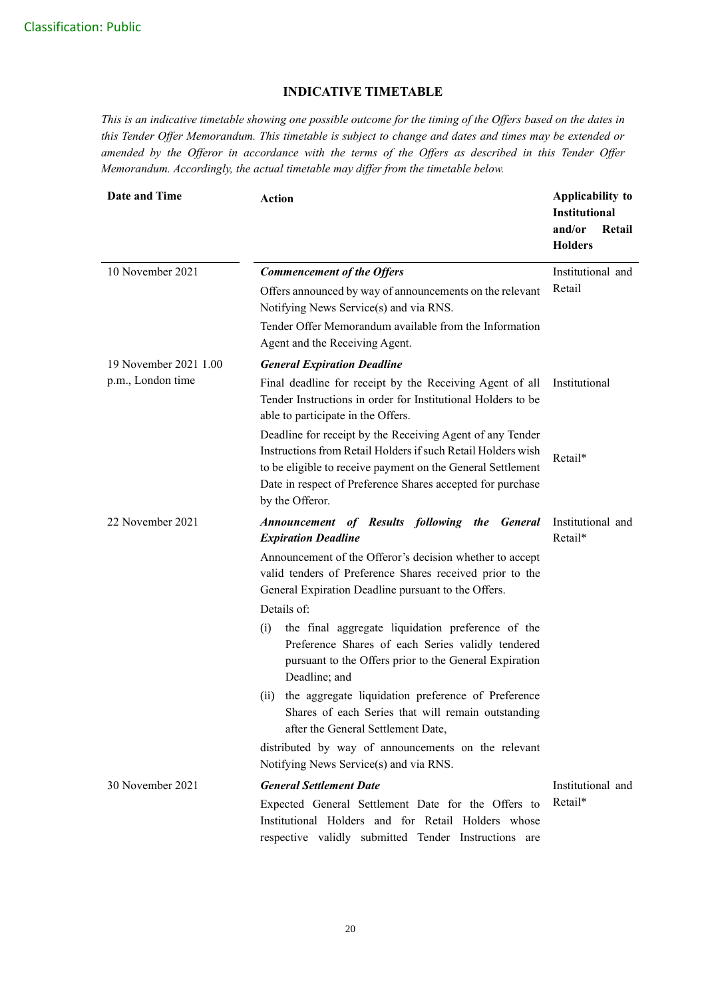## **INDICATIVE TIMETABLE**

*This is an indicative timetable showing one possible outcome for the timing of the Offers based on the dates in this Tender Offer Memorandum. This timetable is subject to change and dates and times may be extended or amended by the Offeror in accordance with the terms of the Offers as described in this Tender Offer Memorandum. Accordingly, the actual timetable may differ from the timetable below.*

| <b>Date and Time</b>  | <b>Action</b>                                                                                                                                                                                                                                                             | Applicability to<br><b>Institutional</b><br>and/or<br>Retail<br><b>Holders</b> |
|-----------------------|---------------------------------------------------------------------------------------------------------------------------------------------------------------------------------------------------------------------------------------------------------------------------|--------------------------------------------------------------------------------|
| 10 November 2021      | <b>Commencement of the Offers</b>                                                                                                                                                                                                                                         | Institutional and                                                              |
|                       | Offers announced by way of announcements on the relevant<br>Notifying News Service(s) and via RNS.<br>Tender Offer Memorandum available from the Information                                                                                                              | Retail                                                                         |
|                       | Agent and the Receiving Agent.                                                                                                                                                                                                                                            |                                                                                |
| 19 November 2021 1.00 | <b>General Expiration Deadline</b>                                                                                                                                                                                                                                        |                                                                                |
| p.m., London time     | Final deadline for receipt by the Receiving Agent of all<br>Tender Instructions in order for Institutional Holders to be<br>able to participate in the Offers.                                                                                                            | Institutional                                                                  |
|                       | Deadline for receipt by the Receiving Agent of any Tender<br>Instructions from Retail Holders if such Retail Holders wish<br>to be eligible to receive payment on the General Settlement<br>Date in respect of Preference Shares accepted for purchase<br>by the Offeror. | Retail*                                                                        |
| 22 November 2021      | Announcement of Results following the General<br><b>Expiration Deadline</b><br>Announcement of the Offeror's decision whether to accept                                                                                                                                   | Institutional and<br>Retail*                                                   |
|                       | valid tenders of Preference Shares received prior to the<br>General Expiration Deadline pursuant to the Offers.                                                                                                                                                           |                                                                                |
|                       | Details of:                                                                                                                                                                                                                                                               |                                                                                |
|                       | the final aggregate liquidation preference of the<br>(i)<br>Preference Shares of each Series validly tendered<br>pursuant to the Offers prior to the General Expiration<br>Deadline; and                                                                                  |                                                                                |
|                       | the aggregate liquidation preference of Preference<br>(ii)<br>Shares of each Series that will remain outstanding<br>after the General Settlement Date,                                                                                                                    |                                                                                |
|                       | distributed by way of announcements on the relevant<br>Notifying News Service(s) and via RNS.                                                                                                                                                                             |                                                                                |
| 30 November 2021      | <b>General Settlement Date</b>                                                                                                                                                                                                                                            | Institutional and                                                              |
|                       | Expected General Settlement Date for the Offers to<br>Institutional Holders and for Retail Holders whose<br>respective validly submitted Tender Instructions are                                                                                                          | Retail*                                                                        |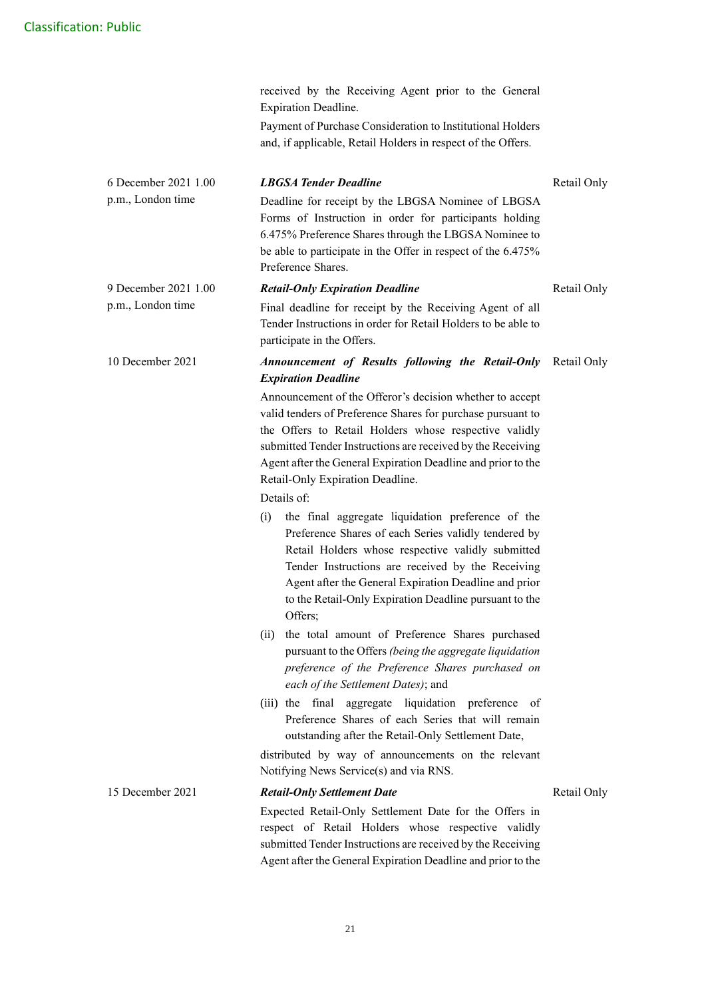|                                           | Expiration Deadline.                                                                                                                                                                                                                                                                                                                                                                                                                                                                                                                                                                                                                                                                                                                                                                                                                                                                                                                                                                                                                                                                                                                                                                                                                                                                              |             |
|-------------------------------------------|---------------------------------------------------------------------------------------------------------------------------------------------------------------------------------------------------------------------------------------------------------------------------------------------------------------------------------------------------------------------------------------------------------------------------------------------------------------------------------------------------------------------------------------------------------------------------------------------------------------------------------------------------------------------------------------------------------------------------------------------------------------------------------------------------------------------------------------------------------------------------------------------------------------------------------------------------------------------------------------------------------------------------------------------------------------------------------------------------------------------------------------------------------------------------------------------------------------------------------------------------------------------------------------------------|-------------|
|                                           | Payment of Purchase Consideration to Institutional Holders<br>and, if applicable, Retail Holders in respect of the Offers.                                                                                                                                                                                                                                                                                                                                                                                                                                                                                                                                                                                                                                                                                                                                                                                                                                                                                                                                                                                                                                                                                                                                                                        |             |
| 6 December 2021 1.00<br>p.m., London time | <b>LBGSA Tender Deadline</b><br>Deadline for receipt by the LBGSA Nominee of LBGSA<br>Forms of Instruction in order for participants holding<br>6.475% Preference Shares through the LBGSA Nominee to<br>be able to participate in the Offer in respect of the 6.475%<br>Preference Shares.                                                                                                                                                                                                                                                                                                                                                                                                                                                                                                                                                                                                                                                                                                                                                                                                                                                                                                                                                                                                       | Retail Only |
| 9 December 2021 1.00<br>p.m., London time | <b>Retail-Only Expiration Deadline</b><br>Final deadline for receipt by the Receiving Agent of all<br>Tender Instructions in order for Retail Holders to be able to<br>participate in the Offers.                                                                                                                                                                                                                                                                                                                                                                                                                                                                                                                                                                                                                                                                                                                                                                                                                                                                                                                                                                                                                                                                                                 | Retail Only |
| 10 December 2021                          | Announcement of Results following the Retail-Only<br><b>Expiration Deadline</b><br>Announcement of the Offeror's decision whether to accept<br>valid tenders of Preference Shares for purchase pursuant to<br>the Offers to Retail Holders whose respective validly<br>submitted Tender Instructions are received by the Receiving<br>Agent after the General Expiration Deadline and prior to the<br>Retail-Only Expiration Deadline.<br>Details of:<br>the final aggregate liquidation preference of the<br>(i)<br>Preference Shares of each Series validly tendered by<br>Retail Holders whose respective validly submitted<br>Tender Instructions are received by the Receiving<br>Agent after the General Expiration Deadline and prior<br>to the Retail-Only Expiration Deadline pursuant to the<br>Offers;<br>(ii) the total amount of Preference Shares purchased<br>pursuant to the Offers (being the aggregate liquidation<br>preference of the Preference Shares purchased on<br>each of the Settlement Dates); and<br>(iii) the final aggregate liquidation preference of<br>Preference Shares of each Series that will remain<br>outstanding after the Retail-Only Settlement Date,<br>distributed by way of announcements on the relevant<br>Notifying News Service(s) and via RNS. | Retail Only |
| 15 December 2021                          | <b>Retail-Only Settlement Date</b><br>Expected Retail-Only Settlement Date for the Offers in<br>respect of Retail Holders whose respective validly<br>submitted Tender Instructions are received by the Receiving<br>Agent after the General Expiration Deadline and prior to the                                                                                                                                                                                                                                                                                                                                                                                                                                                                                                                                                                                                                                                                                                                                                                                                                                                                                                                                                                                                                 | Retail Only |

received by the Receiving Agent prior to the General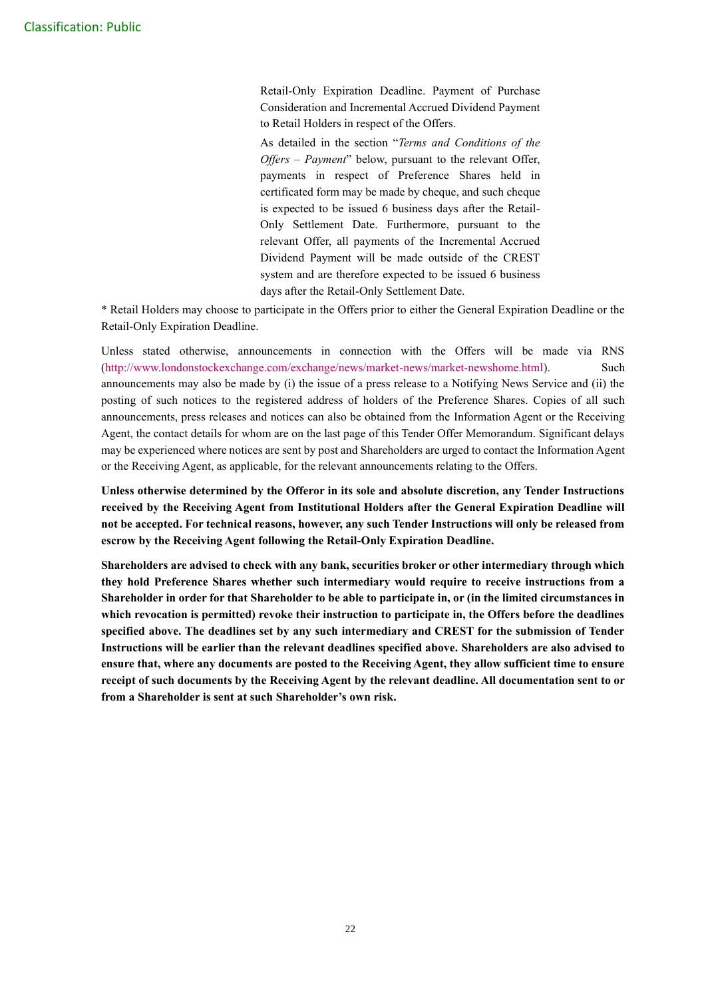Retail-Only Expiration Deadline. Payment of Purchase Consideration and Incremental Accrued Dividend Payment to Retail Holders in respect of the Offers.

As detailed in the section "*Terms and Conditions of the Offers – Payment*" below, pursuant to the relevant Offer, payments in respect of Preference Shares held in certificated form may be made by cheque, and such cheque is expected to be issued 6 business days after the Retail-Only Settlement Date. Furthermore, pursuant to the relevant Offer, all payments of the Incremental Accrued Dividend Payment will be made outside of the CREST system and are therefore expected to be issued 6 business days after the Retail-Only Settlement Date.

\* Retail Holders may choose to participate in the Offers prior to either the General Expiration Deadline or the Retail-Only Expiration Deadline.

Unless stated otherwise, announcements in connection with the Offers will be made via RNS [\(http://www.londonstockexchange.com/exchange/news/market-news/market-newshome.html\)](http://www.londonstockexchange.com/exchange/news/market-news/market-newshome.html). Such announcements may also be made by (i) the issue of a press release to a Notifying News Service and (ii) the posting of such notices to the registered address of holders of the Preference Shares. Copies of all such announcements, press releases and notices can also be obtained from the Information Agent or the Receiving Agent, the contact details for whom are on the last page of this Tender Offer Memorandum. Significant delays may be experienced where notices are sent by post and Shareholders are urged to contact the Information Agent or the Receiving Agent, as applicable, for the relevant announcements relating to the Offers.

**Unless otherwise determined by the Offeror in its sole and absolute discretion, any Tender Instructions received by the Receiving Agent from Institutional Holders after the General Expiration Deadline will not be accepted. For technical reasons, however, any such Tender Instructions will only be released from escrow by the Receiving Agent following the Retail-Only Expiration Deadline.**

**Shareholders are advised to check with any bank, securities broker or other intermediary through which they hold Preference Shares whether such intermediary would require to receive instructions from a Shareholder in order for that Shareholder to be able to participate in, or (in the limited circumstances in which revocation is permitted) revoke their instruction to participate in, the Offers before the deadlines specified above. The deadlines set by any such intermediary and CREST for the submission of Tender Instructions will be earlier than the relevant deadlines specified above. Shareholders are also advised to ensure that, where any documents are posted to the Receiving Agent, they allow sufficient time to ensure receipt of such documents by the Receiving Agent by the relevant deadline. All documentation sent to or from a Shareholder is sent at such Shareholder's own risk.**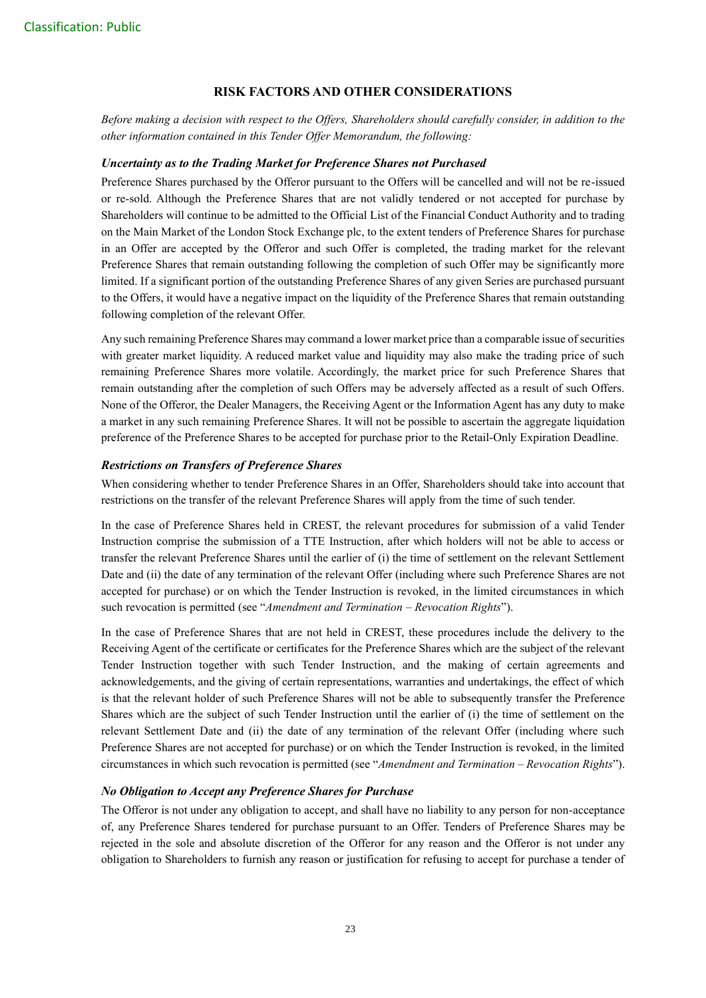## **RISK FACTORS AND OTHER CONSIDERATIONS**

*Before making a decision with respect to the Offers, Shareholders should carefully consider, in addition to the other information contained in this Tender Offer Memorandum, the following:*

#### *Uncertainty as to the Trading Market for Preference Shares not Purchased*

Preference Shares purchased by the Offeror pursuant to the Offers will be cancelled and will not be re-issued or re-sold. Although the Preference Shares that are not validly tendered or not accepted for purchase by Shareholders will continue to be admitted to the Official List of the Financial Conduct Authority and to trading on the Main Market of the London Stock Exchange plc, to the extent tenders of Preference Shares for purchase in an Offer are accepted by the Offeror and such Offer is completed, the trading market for the relevant Preference Shares that remain outstanding following the completion of such Offer may be significantly more limited. If a significant portion of the outstanding Preference Shares of any given Series are purchased pursuant to the Offers, it would have a negative impact on the liquidity of the Preference Shares that remain outstanding following completion of the relevant Offer.

Any such remaining Preference Shares may command a lower market price than a comparable issue of securities with greater market liquidity. A reduced market value and liquidity may also make the trading price of such remaining Preference Shares more volatile. Accordingly, the market price for such Preference Shares that remain outstanding after the completion of such Offers may be adversely affected as a result of such Offers. None of the Offeror, the Dealer Managers, the Receiving Agent or the Information Agent has any duty to make a market in any such remaining Preference Shares. It will not be possible to ascertain the aggregate liquidation preference of the Preference Shares to be accepted for purchase prior to the Retail-Only Expiration Deadline.

## *Restrictions on Transfers of Preference Shares*

When considering whether to tender Preference Shares in an Offer, Shareholders should take into account that restrictions on the transfer of the relevant Preference Shares will apply from the time of such tender.

In the case of Preference Shares held in CREST, the relevant procedures for submission of a valid Tender Instruction comprise the submission of a TTE Instruction, after which holders will not be able to access or transfer the relevant Preference Shares until the earlier of (i) the time of settlement on the relevant Settlement Date and (ii) the date of any termination of the relevant Offer (including where such Preference Shares are not accepted for purchase) or on which the Tender Instruction is revoked, in the limited circumstances in which such revocation is permitted (see "*Amendment and Termination – Revocation Rights*").

In the case of Preference Shares that are not held in CREST, these procedures include the delivery to the Receiving Agent of the certificate or certificates for the Preference Shares which are the subject of the relevant Tender Instruction together with such Tender Instruction, and the making of certain agreements and acknowledgements, and the giving of certain representations, warranties and undertakings, the effect of which is that the relevant holder of such Preference Shares will not be able to subsequently transfer the Preference Shares which are the subject of such Tender Instruction until the earlier of (i) the time of settlement on the relevant Settlement Date and (ii) the date of any termination of the relevant Offer (including where such Preference Shares are not accepted for purchase) or on which the Tender Instruction is revoked, in the limited circumstances in which such revocation is permitted (see "*Amendment and Termination – Revocation Rights*").

## *No Obligation to Accept any Preference Shares for Purchase*

The Offeror is not under any obligation to accept, and shall have no liability to any person for non-acceptance of, any Preference Shares tendered for purchase pursuant to an Offer. Tenders of Preference Shares may be rejected in the sole and absolute discretion of the Offeror for any reason and the Offeror is not under any obligation to Shareholders to furnish any reason or justification for refusing to accept for purchase a tender of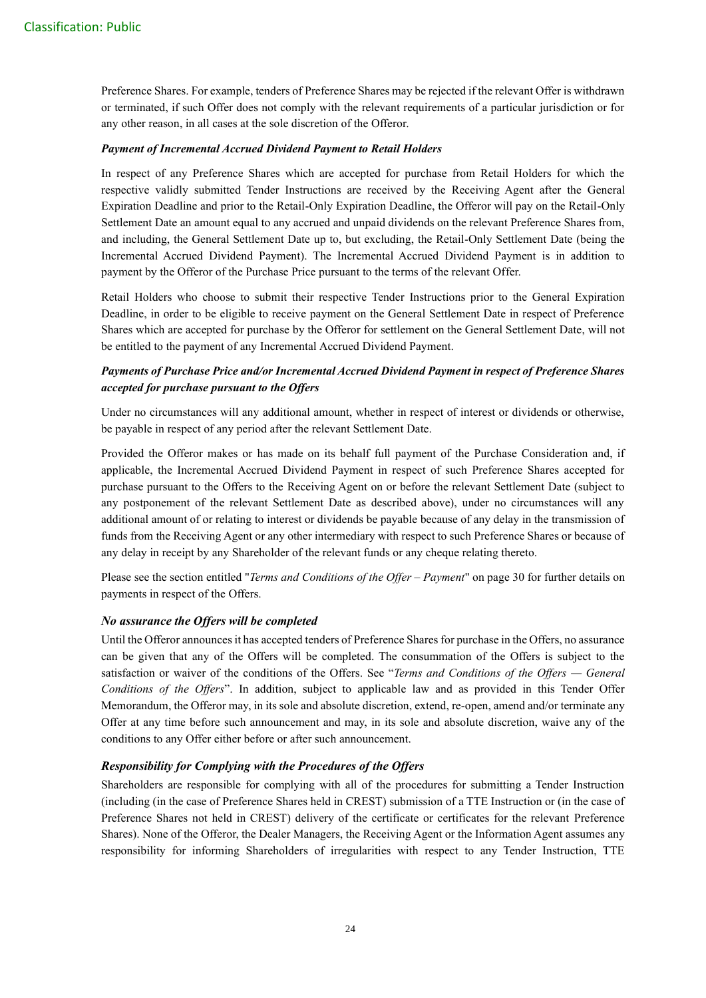Preference Shares. For example, tenders of Preference Shares may be rejected if the relevant Offer is withdrawn or terminated, if such Offer does not comply with the relevant requirements of a particular jurisdiction or for any other reason, in all cases at the sole discretion of the Offeror.

#### *Payment of Incremental Accrued Dividend Payment to Retail Holders*

In respect of any Preference Shares which are accepted for purchase from Retail Holders for which the respective validly submitted Tender Instructions are received by the Receiving Agent after the General Expiration Deadline and prior to the Retail-Only Expiration Deadline, the Offeror will pay on the Retail-Only Settlement Date an amount equal to any accrued and unpaid dividends on the relevant Preference Shares from, and including, the General Settlement Date up to, but excluding, the Retail-Only Settlement Date (being the Incremental Accrued Dividend Payment). The Incremental Accrued Dividend Payment is in addition to payment by the Offeror of the Purchase Price pursuant to the terms of the relevant Offer.

Retail Holders who choose to submit their respective Tender Instructions prior to the General Expiration Deadline, in order to be eligible to receive payment on the General Settlement Date in respect of Preference Shares which are accepted for purchase by the Offeror for settlement on the General Settlement Date, will not be entitled to the payment of any Incremental Accrued Dividend Payment.

## *Payments of Purchase Price and/or Incremental Accrued Dividend Payment in respect of Preference Shares accepted for purchase pursuant to the Offers*

Under no circumstances will any additional amount, whether in respect of interest or dividends or otherwise, be payable in respect of any period after the relevant Settlement Date.

Provided the Offeror makes or has made on its behalf full payment of the Purchase Consideration and, if applicable, the Incremental Accrued Dividend Payment in respect of such Preference Shares accepted for purchase pursuant to the Offers to the Receiving Agent on or before the relevant Settlement Date (subject to any postponement of the relevant Settlement Date as described above), under no circumstances will any additional amount of or relating to interest or dividends be payable because of any delay in the transmission of funds from the Receiving Agent or any other intermediary with respect to such Preference Shares or because of any delay in receipt by any Shareholder of the relevant funds or any cheque relating thereto.

Please see the section entitled "*Terms and Conditions of the Offer – Payment*" on page 30 for further details on payments in respect of the Offers.

## *No assurance the Offers will be completed*

Until the Offeror announces it has accepted tenders of Preference Shares for purchase in the Offers, no assurance can be given that any of the Offers will be completed. The consummation of the Offers is subject to the satisfaction or waiver of the conditions of the Offers. See "*Terms and Conditions of the Offers — General Conditions of the Offers*". In addition, subject to applicable law and as provided in this Tender Offer Memorandum, the Offeror may, in its sole and absolute discretion, extend, re-open, amend and/or terminate any Offer at any time before such announcement and may, in its sole and absolute discretion, waive any of the conditions to any Offer either before or after such announcement.

#### *Responsibility for Complying with the Procedures of the Offers*

Shareholders are responsible for complying with all of the procedures for submitting a Tender Instruction (including (in the case of Preference Shares held in CREST) submission of a TTE Instruction or (in the case of Preference Shares not held in CREST) delivery of the certificate or certificates for the relevant Preference Shares). None of the Offeror, the Dealer Managers, the Receiving Agent or the Information Agent assumes any responsibility for informing Shareholders of irregularities with respect to any Tender Instruction, TTE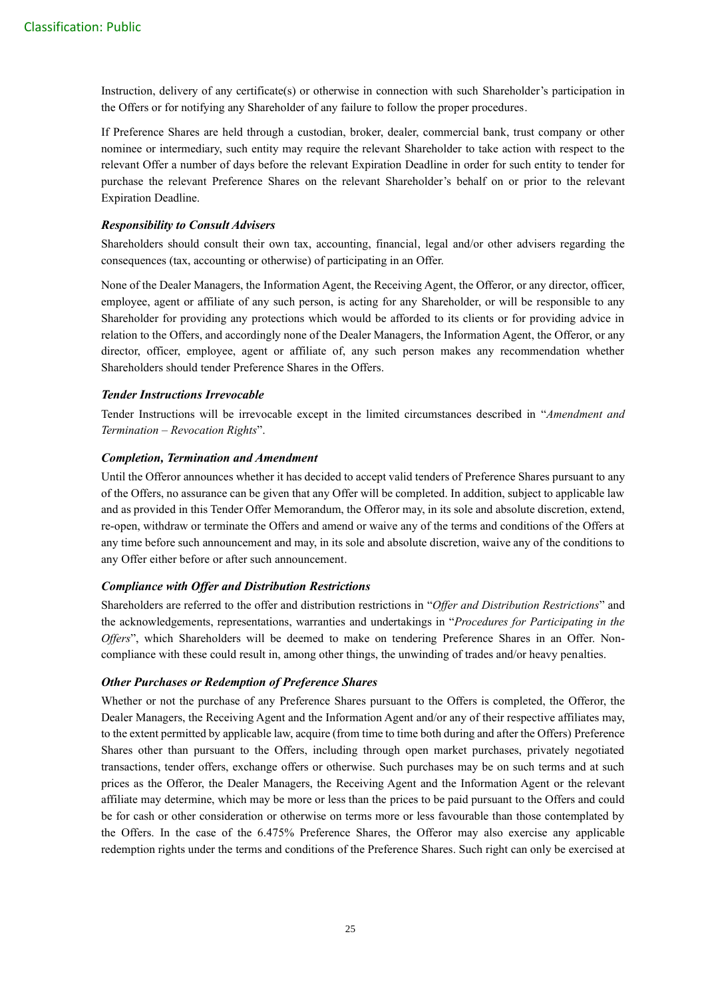Instruction, delivery of any certificate(s) or otherwise in connection with such Shareholder's participation in the Offers or for notifying any Shareholder of any failure to follow the proper procedures.

If Preference Shares are held through a custodian, broker, dealer, commercial bank, trust company or other nominee or intermediary, such entity may require the relevant Shareholder to take action with respect to the relevant Offer a number of days before the relevant Expiration Deadline in order for such entity to tender for purchase the relevant Preference Shares on the relevant Shareholder's behalf on or prior to the relevant Expiration Deadline.

## *Responsibility to Consult Advisers*

Shareholders should consult their own tax, accounting, financial, legal and/or other advisers regarding the consequences (tax, accounting or otherwise) of participating in an Offer.

None of the Dealer Managers, the Information Agent, the Receiving Agent, the Offeror, or any director, officer, employee, agent or affiliate of any such person, is acting for any Shareholder, or will be responsible to any Shareholder for providing any protections which would be afforded to its clients or for providing advice in relation to the Offers, and accordingly none of the Dealer Managers, the Information Agent, the Offeror, or any director, officer, employee, agent or affiliate of, any such person makes any recommendation whether Shareholders should tender Preference Shares in the Offers.

## *Tender Instructions Irrevocable*

Tender Instructions will be irrevocable except in the limited circumstances described in "*Amendment and Termination – Revocation Rights*".

## *Completion, Termination and Amendment*

Until the Offeror announces whether it has decided to accept valid tenders of Preference Shares pursuant to any of the Offers, no assurance can be given that any Offer will be completed. In addition, subject to applicable law and as provided in this Tender Offer Memorandum, the Offeror may, in its sole and absolute discretion, extend, re-open, withdraw or terminate the Offers and amend or waive any of the terms and conditions of the Offers at any time before such announcement and may, in its sole and absolute discretion, waive any of the conditions to any Offer either before or after such announcement.

## *Compliance with Offer and Distribution Restrictions*

Shareholders are referred to the offer and distribution restrictions in "*Offer and Distribution Restrictions*" and the acknowledgements, representations, warranties and undertakings in "*Procedures for Participating in the Offers*", which Shareholders will be deemed to make on tendering Preference Shares in an Offer. Noncompliance with these could result in, among other things, the unwinding of trades and/or heavy penalties.

## *Other Purchases or Redemption of Preference Shares*

Whether or not the purchase of any Preference Shares pursuant to the Offers is completed, the Offeror, the Dealer Managers, the Receiving Agent and the Information Agent and/or any of their respective affiliates may, to the extent permitted by applicable law, acquire (from time to time both during and after the Offers) Preference Shares other than pursuant to the Offers, including through open market purchases, privately negotiated transactions, tender offers, exchange offers or otherwise. Such purchases may be on such terms and at such prices as the Offeror, the Dealer Managers, the Receiving Agent and the Information Agent or the relevant affiliate may determine, which may be more or less than the prices to be paid pursuant to the Offers and could be for cash or other consideration or otherwise on terms more or less favourable than those contemplated by the Offers. In the case of the 6.475% Preference Shares, the Offeror may also exercise any applicable redemption rights under the terms and conditions of the Preference Shares. Such right can only be exercised at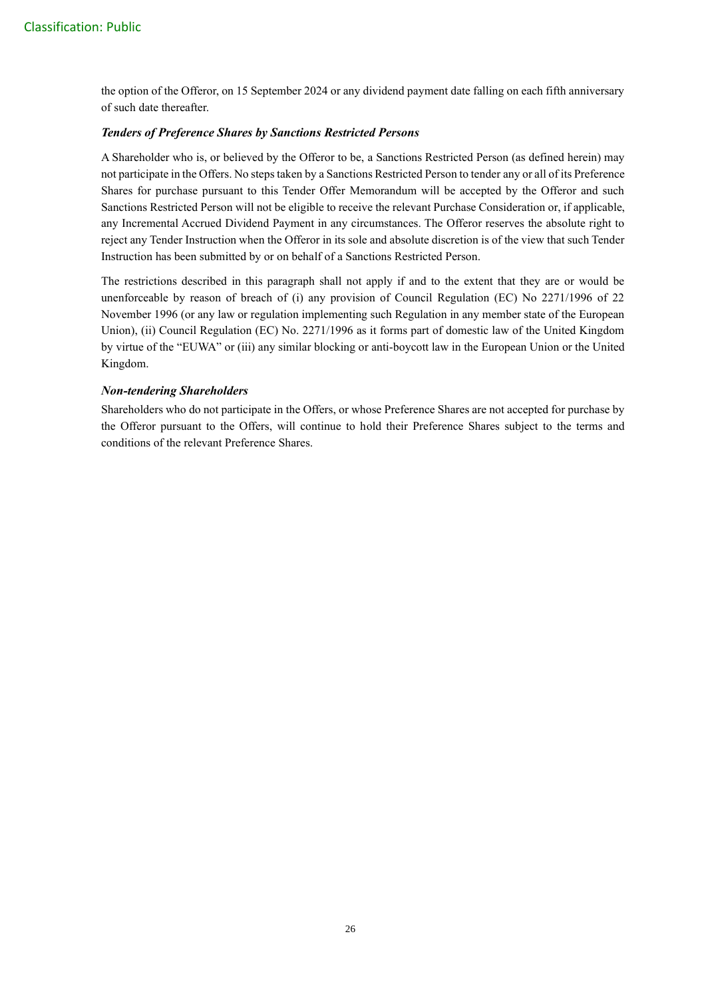the option of the Offeror, on 15 September 2024 or any dividend payment date falling on each fifth anniversary of such date thereafter.

## *Tenders of Preference Shares by Sanctions Restricted Persons*

A Shareholder who is, or believed by the Offeror to be, a Sanctions Restricted Person (as defined herein) may not participate in the Offers. No steps taken by a Sanctions Restricted Person to tender any or all of its Preference Shares for purchase pursuant to this Tender Offer Memorandum will be accepted by the Offeror and such Sanctions Restricted Person will not be eligible to receive the relevant Purchase Consideration or, if applicable, any Incremental Accrued Dividend Payment in any circumstances. The Offeror reserves the absolute right to reject any Tender Instruction when the Offeror in its sole and absolute discretion is of the view that such Tender Instruction has been submitted by or on behalf of a Sanctions Restricted Person.

The restrictions described in this paragraph shall not apply if and to the extent that they are or would be unenforceable by reason of breach of (i) any provision of Council Regulation (EC) No 2271/1996 of 22 November 1996 (or any law or regulation implementing such Regulation in any member state of the European Union), (ii) Council Regulation (EC) No. 2271/1996 as it forms part of domestic law of the United Kingdom by virtue of the "EUWA" or (iii) any similar blocking or anti-boycott law in the European Union or the United Kingdom.

## *Non-tendering Shareholders*

Shareholders who do not participate in the Offers, or whose Preference Shares are not accepted for purchase by the Offeror pursuant to the Offers, will continue to hold their Preference Shares subject to the terms and conditions of the relevant Preference Shares.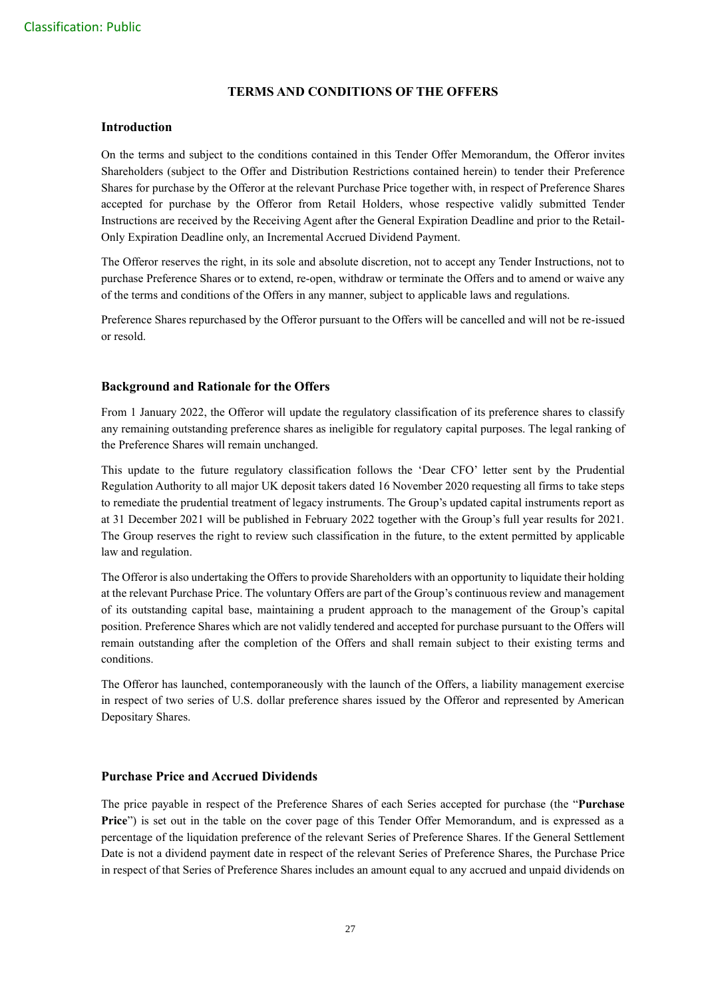## **TERMS AND CONDITIONS OF THE OFFERS**

## **Introduction**

On the terms and subject to the conditions contained in this Tender Offer Memorandum, the Offeror invites Shareholders (subject to the Offer and Distribution Restrictions contained herein) to tender their Preference Shares for purchase by the Offeror at the relevant Purchase Price together with, in respect of Preference Shares accepted for purchase by the Offeror from Retail Holders, whose respective validly submitted Tender Instructions are received by the Receiving Agent after the General Expiration Deadline and prior to the Retail-Only Expiration Deadline only, an Incremental Accrued Dividend Payment.

The Offeror reserves the right, in its sole and absolute discretion, not to accept any Tender Instructions, not to purchase Preference Shares or to extend, re-open, withdraw or terminate the Offers and to amend or waive any of the terms and conditions of the Offers in any manner, subject to applicable laws and regulations.

Preference Shares repurchased by the Offeror pursuant to the Offers will be cancelled and will not be re-issued or resold.

## **Background and Rationale for the Offers**

From 1 January 2022, the Offeror will update the regulatory classification of its preference shares to classify any remaining outstanding preference shares as ineligible for regulatory capital purposes. The legal ranking of the Preference Shares will remain unchanged.

This update to the future regulatory classification follows the 'Dear CFO' letter sent by the Prudential Regulation Authority to all major UK deposit takers dated 16 November 2020 requesting all firms to take steps to remediate the prudential treatment of legacy instruments. The Group's updated capital instruments report as at 31 December 2021 will be published in February 2022 together with the Group's full year results for 2021. The Group reserves the right to review such classification in the future, to the extent permitted by applicable law and regulation.

The Offeror is also undertaking the Offers to provide Shareholders with an opportunity to liquidate their holding at the relevant Purchase Price. The voluntary Offers are part of the Group's continuous review and management of its outstanding capital base, maintaining a prudent approach to the management of the Group's capital position. Preference Shares which are not validly tendered and accepted for purchase pursuant to the Offers will remain outstanding after the completion of the Offers and shall remain subject to their existing terms and conditions.

The Offeror has launched, contemporaneously with the launch of the Offers, a liability management exercise in respect of two series of U.S. dollar preference shares issued by the Offeror and represented by American Depositary Shares.

## **Purchase Price and Accrued Dividends**

The price payable in respect of the Preference Shares of each Series accepted for purchase (the "**Purchase Price**") is set out in the table on the cover page of this Tender Offer Memorandum, and is expressed as a percentage of the liquidation preference of the relevant Series of Preference Shares. If the General Settlement Date is not a dividend payment date in respect of the relevant Series of Preference Shares, the Purchase Price in respect of that Series of Preference Shares includes an amount equal to any accrued and unpaid dividends on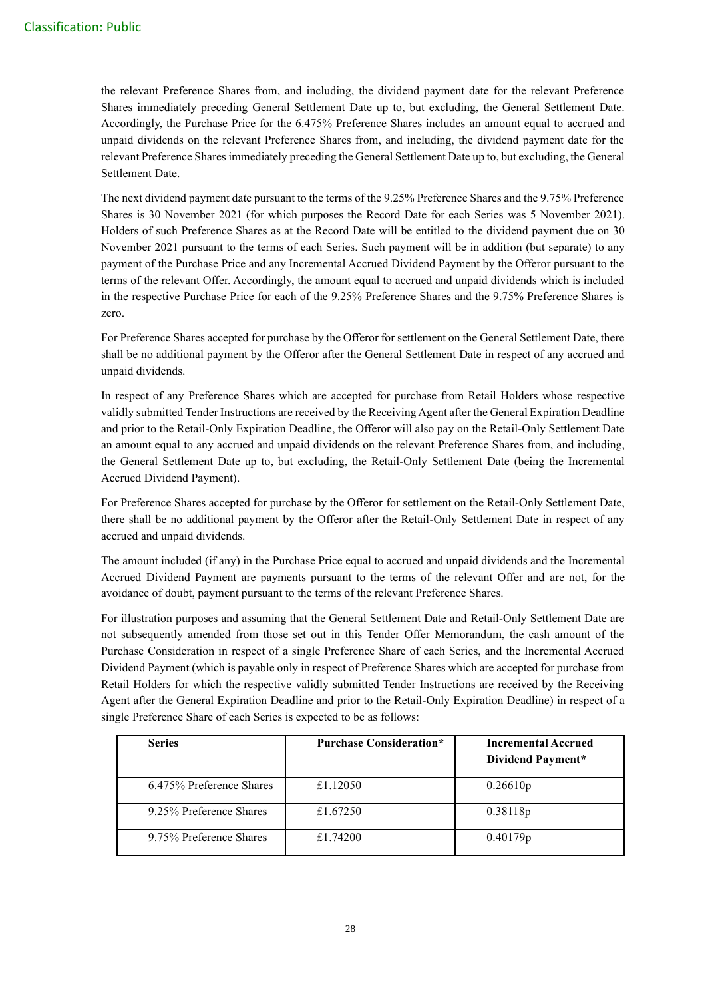the relevant Preference Shares from, and including, the dividend payment date for the relevant Preference Shares immediately preceding General Settlement Date up to, but excluding, the General Settlement Date. Accordingly, the Purchase Price for the 6.475% Preference Shares includes an amount equal to accrued and unpaid dividends on the relevant Preference Shares from, and including, the dividend payment date for the relevant Preference Shares immediately preceding the General Settlement Date up to, but excluding, the General Settlement Date.

The next dividend payment date pursuant to the terms of the 9.25% Preference Shares and the 9.75% Preference Shares is 30 November 2021 (for which purposes the Record Date for each Series was 5 November 2021). Holders of such Preference Shares as at the Record Date will be entitled to the dividend payment due on 30 November 2021 pursuant to the terms of each Series. Such payment will be in addition (but separate) to any payment of the Purchase Price and any Incremental Accrued Dividend Payment by the Offeror pursuant to the terms of the relevant Offer. Accordingly, the amount equal to accrued and unpaid dividends which is included in the respective Purchase Price for each of the 9.25% Preference Shares and the 9.75% Preference Shares is zero.

For Preference Shares accepted for purchase by the Offeror for settlement on the General Settlement Date, there shall be no additional payment by the Offeror after the General Settlement Date in respect of any accrued and unpaid dividends.

In respect of any Preference Shares which are accepted for purchase from Retail Holders whose respective validly submitted Tender Instructions are received by the Receiving Agent after the General Expiration Deadline and prior to the Retail-Only Expiration Deadline, the Offeror will also pay on the Retail-Only Settlement Date an amount equal to any accrued and unpaid dividends on the relevant Preference Shares from, and including, the General Settlement Date up to, but excluding, the Retail-Only Settlement Date (being the Incremental Accrued Dividend Payment).

For Preference Shares accepted for purchase by the Offeror for settlement on the Retail-Only Settlement Date, there shall be no additional payment by the Offeror after the Retail-Only Settlement Date in respect of any accrued and unpaid dividends.

The amount included (if any) in the Purchase Price equal to accrued and unpaid dividends and the Incremental Accrued Dividend Payment are payments pursuant to the terms of the relevant Offer and are not, for the avoidance of doubt, payment pursuant to the terms of the relevant Preference Shares.

For illustration purposes and assuming that the General Settlement Date and Retail-Only Settlement Date are not subsequently amended from those set out in this Tender Offer Memorandum, the cash amount of the Purchase Consideration in respect of a single Preference Share of each Series, and the Incremental Accrued Dividend Payment (which is payable only in respect of Preference Shares which are accepted for purchase from Retail Holders for which the respective validly submitted Tender Instructions are received by the Receiving Agent after the General Expiration Deadline and prior to the Retail-Only Expiration Deadline) in respect of a single Preference Share of each Series is expected to be as follows:

| <b>Series</b>            | <b>Purchase Consideration*</b> | <b>Incremental Accrued</b><br>Dividend Payment* |
|--------------------------|--------------------------------|-------------------------------------------------|
| 6.475% Preference Shares | £1.12050                       | 0.26610p                                        |
| 9.25% Preference Shares  | £1.67250                       | 0.38118p                                        |
| 9.75% Preference Shares  | £1.74200                       | 0.40179p                                        |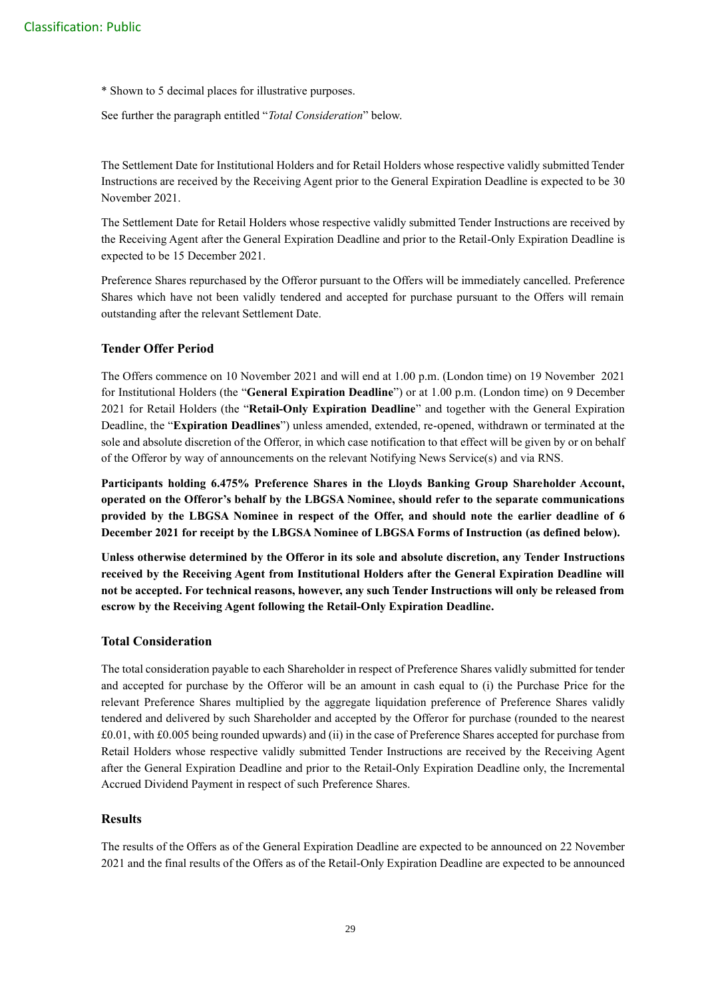\* Shown to 5 decimal places for illustrative purposes.

See further the paragraph entitled "*Total Consideration*" below.

The Settlement Date for Institutional Holders and for Retail Holders whose respective validly submitted Tender Instructions are received by the Receiving Agent prior to the General Expiration Deadline is expected to be 30 November 2021.

The Settlement Date for Retail Holders whose respective validly submitted Tender Instructions are received by the Receiving Agent after the General Expiration Deadline and prior to the Retail-Only Expiration Deadline is expected to be 15 December 2021.

Preference Shares repurchased by the Offeror pursuant to the Offers will be immediately cancelled. Preference Shares which have not been validly tendered and accepted for purchase pursuant to the Offers will remain outstanding after the relevant Settlement Date.

## **Tender Offer Period**

The Offers commence on 10 November 2021 and will end at 1.00 p.m. (London time) on 19 November 2021 for Institutional Holders (the "**General Expiration Deadline**") or at 1.00 p.m. (London time) on 9 December 2021 for Retail Holders (the "**Retail-Only Expiration Deadline**" and together with the General Expiration Deadline, the "**Expiration Deadlines**") unless amended, extended, re-opened, withdrawn or terminated at the sole and absolute discretion of the Offeror, in which case notification to that effect will be given by or on behalf of the Offeror by way of announcements on the relevant Notifying News Service(s) and via RNS.

**Participants holding 6.475% Preference Shares in the Lloyds Banking Group Shareholder Account, operated on the Offeror's behalf by the LBGSA Nominee, should refer to the separate communications provided by the LBGSA Nominee in respect of the Offer, and should note the earlier deadline of 6 December 2021 for receipt by the LBGSA Nominee of LBGSA Forms of Instruction (as defined below).**

**Unless otherwise determined by the Offeror in its sole and absolute discretion, any Tender Instructions received by the Receiving Agent from Institutional Holders after the General Expiration Deadline will not be accepted. For technical reasons, however, any such Tender Instructions will only be released from escrow by the Receiving Agent following the Retail-Only Expiration Deadline.**

## **Total Consideration**

The total consideration payable to each Shareholder in respect of Preference Shares validly submitted for tender and accepted for purchase by the Offeror will be an amount in cash equal to (i) the Purchase Price for the relevant Preference Shares multiplied by the aggregate liquidation preference of Preference Shares validly tendered and delivered by such Shareholder and accepted by the Offeror for purchase (rounded to the nearest £0.01, with £0.005 being rounded upwards) and (ii) in the case of Preference Shares accepted for purchase from Retail Holders whose respective validly submitted Tender Instructions are received by the Receiving Agent after the General Expiration Deadline and prior to the Retail-Only Expiration Deadline only, the Incremental Accrued Dividend Payment in respect of such Preference Shares.

## **Results**

The results of the Offers as of the General Expiration Deadline are expected to be announced on 22 November 2021 and the final results of the Offers as of the Retail-Only Expiration Deadline are expected to be announced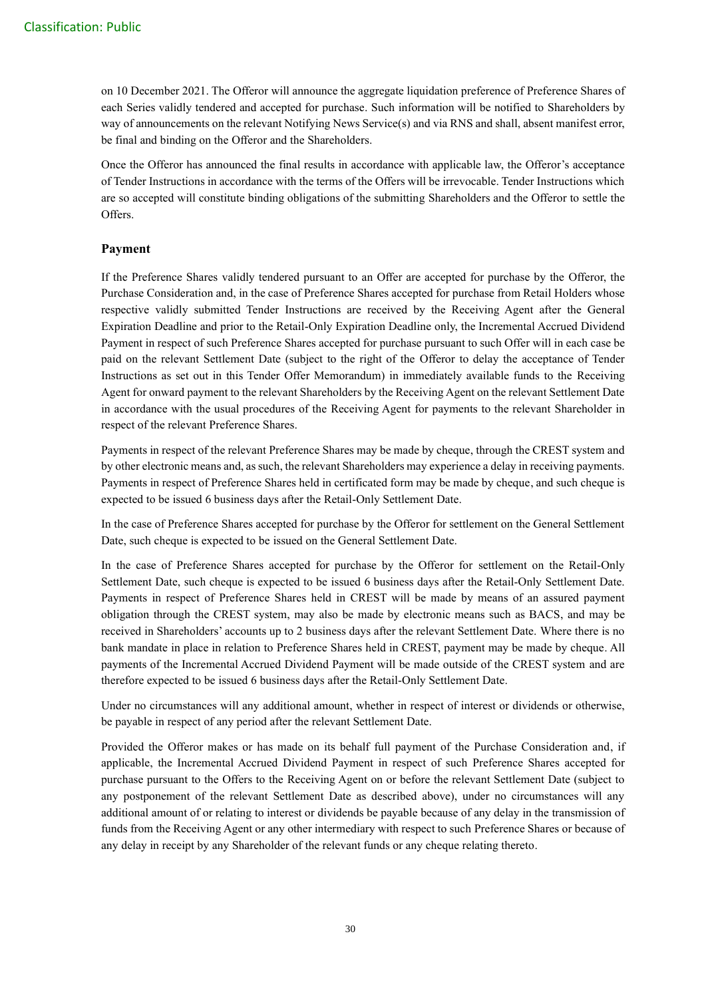on 10 December 2021. The Offeror will announce the aggregate liquidation preference of Preference Shares of each Series validly tendered and accepted for purchase. Such information will be notified to Shareholders by way of announcements on the relevant Notifying News Service(s) and via RNS and shall, absent manifest error, be final and binding on the Offeror and the Shareholders.

Once the Offeror has announced the final results in accordance with applicable law, the Offeror's acceptance of Tender Instructions in accordance with the terms of the Offers will be irrevocable. Tender Instructions which are so accepted will constitute binding obligations of the submitting Shareholders and the Offeror to settle the Offers.

## **Payment**

If the Preference Shares validly tendered pursuant to an Offer are accepted for purchase by the Offeror, the Purchase Consideration and, in the case of Preference Shares accepted for purchase from Retail Holders whose respective validly submitted Tender Instructions are received by the Receiving Agent after the General Expiration Deadline and prior to the Retail-Only Expiration Deadline only, the Incremental Accrued Dividend Payment in respect of such Preference Shares accepted for purchase pursuant to such Offer will in each case be paid on the relevant Settlement Date (subject to the right of the Offeror to delay the acceptance of Tender Instructions as set out in this Tender Offer Memorandum) in immediately available funds to the Receiving Agent for onward payment to the relevant Shareholders by the Receiving Agent on the relevant Settlement Date in accordance with the usual procedures of the Receiving Agent for payments to the relevant Shareholder in respect of the relevant Preference Shares.

Payments in respect of the relevant Preference Shares may be made by cheque, through the CREST system and by other electronic means and, as such, the relevant Shareholders may experience a delay in receiving payments. Payments in respect of Preference Shares held in certificated form may be made by cheque, and such cheque is expected to be issued 6 business days after the Retail-Only Settlement Date.

In the case of Preference Shares accepted for purchase by the Offeror for settlement on the General Settlement Date, such cheque is expected to be issued on the General Settlement Date.

In the case of Preference Shares accepted for purchase by the Offeror for settlement on the Retail-Only Settlement Date, such cheque is expected to be issued 6 business days after the Retail-Only Settlement Date. Payments in respect of Preference Shares held in CREST will be made by means of an assured payment obligation through the CREST system, may also be made by electronic means such as BACS, and may be received in Shareholders' accounts up to 2 business days after the relevant Settlement Date. Where there is no bank mandate in place in relation to Preference Shares held in CREST, payment may be made by cheque. All payments of the Incremental Accrued Dividend Payment will be made outside of the CREST system and are therefore expected to be issued 6 business days after the Retail-Only Settlement Date.

Under no circumstances will any additional amount, whether in respect of interest or dividends or otherwise, be payable in respect of any period after the relevant Settlement Date.

Provided the Offeror makes or has made on its behalf full payment of the Purchase Consideration and, if applicable, the Incremental Accrued Dividend Payment in respect of such Preference Shares accepted for purchase pursuant to the Offers to the Receiving Agent on or before the relevant Settlement Date (subject to any postponement of the relevant Settlement Date as described above), under no circumstances will any additional amount of or relating to interest or dividends be payable because of any delay in the transmission of funds from the Receiving Agent or any other intermediary with respect to such Preference Shares or because of any delay in receipt by any Shareholder of the relevant funds or any cheque relating thereto.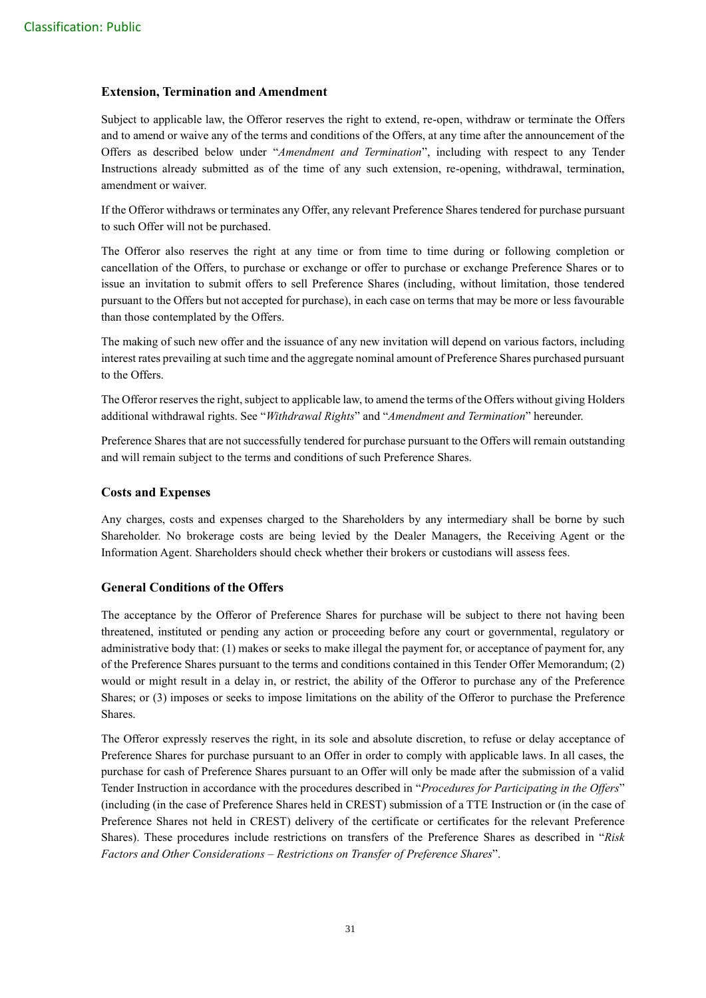## **Extension, Termination and Amendment**

Subject to applicable law, the Offeror reserves the right to extend, re-open, withdraw or terminate the Offers and to amend or waive any of the terms and conditions of the Offers, at any time after the announcement of the Offers as described below under "*Amendment and Termination*", including with respect to any Tender Instructions already submitted as of the time of any such extension, re-opening, withdrawal, termination, amendment or waiver.

If the Offeror withdraws or terminates any Offer, any relevant Preference Shares tendered for purchase pursuant to such Offer will not be purchased.

The Offeror also reserves the right at any time or from time to time during or following completion or cancellation of the Offers, to purchase or exchange or offer to purchase or exchange Preference Shares or to issue an invitation to submit offers to sell Preference Shares (including, without limitation, those tendered pursuant to the Offers but not accepted for purchase), in each case on terms that may be more or less favourable than those contemplated by the Offers.

The making of such new offer and the issuance of any new invitation will depend on various factors, including interest rates prevailing at such time and the aggregate nominal amount of Preference Shares purchased pursuant to the Offers.

The Offeror reserves the right, subject to applicable law, to amend the terms of the Offers without giving Holders additional withdrawal rights. See "*Withdrawal Rights*" and "*Amendment and Termination*" hereunder.

Preference Shares that are not successfully tendered for purchase pursuant to the Offers will remain outstanding and will remain subject to the terms and conditions of such Preference Shares.

#### **Costs and Expenses**

Any charges, costs and expenses charged to the Shareholders by any intermediary shall be borne by such Shareholder. No brokerage costs are being levied by the Dealer Managers, the Receiving Agent or the Information Agent. Shareholders should check whether their brokers or custodians will assess fees.

## **General Conditions of the Offers**

The acceptance by the Offeror of Preference Shares for purchase will be subject to there not having been threatened, instituted or pending any action or proceeding before any court or governmental, regulatory or administrative body that: (1) makes or seeks to make illegal the payment for, or acceptance of payment for, any of the Preference Shares pursuant to the terms and conditions contained in this Tender Offer Memorandum; (2) would or might result in a delay in, or restrict, the ability of the Offeror to purchase any of the Preference Shares; or (3) imposes or seeks to impose limitations on the ability of the Offeror to purchase the Preference Shares.

The Offeror expressly reserves the right, in its sole and absolute discretion, to refuse or delay acceptance of Preference Shares for purchase pursuant to an Offer in order to comply with applicable laws. In all cases, the purchase for cash of Preference Shares pursuant to an Offer will only be made after the submission of a valid Tender Instruction in accordance with the procedures described in "*Procedures for Participating in the Offers*" (including (in the case of Preference Shares held in CREST) submission of a TTE Instruction or (in the case of Preference Shares not held in CREST) delivery of the certificate or certificates for the relevant Preference Shares). These procedures include restrictions on transfers of the Preference Shares as described in "*Risk Factors and Other Considerations – Restrictions on Transfer of Preference Shares*".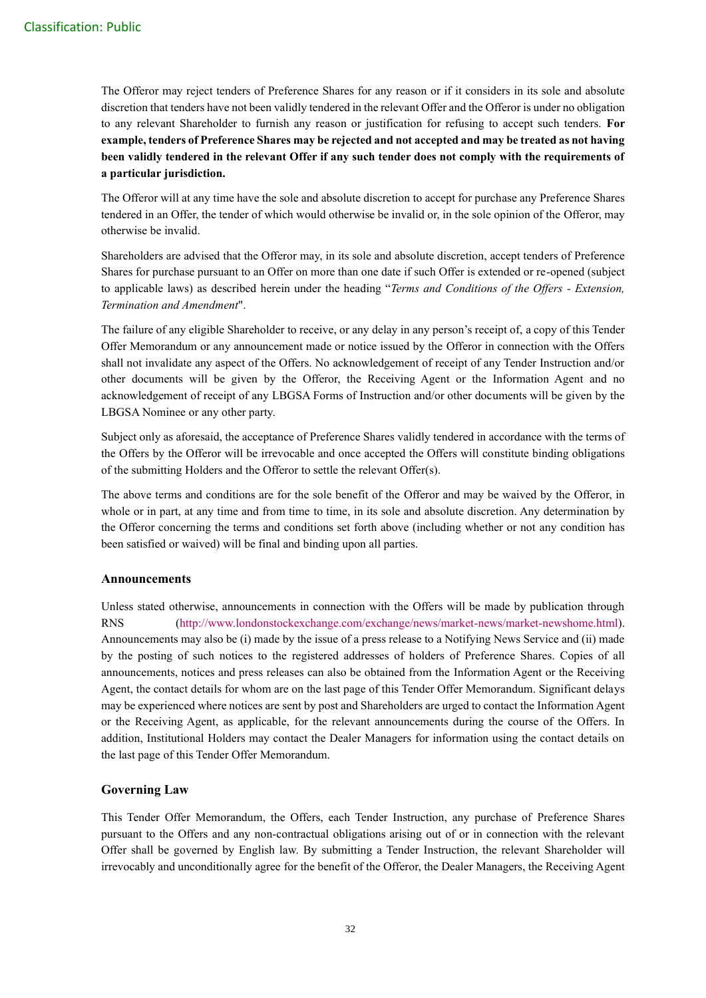The Offeror may reject tenders of Preference Shares for any reason or if it considers in its sole and absolute discretion that tenders have not been validly tendered in the relevant Offer and the Offeror is under no obligation to any relevant Shareholder to furnish any reason or justification for refusing to accept such tenders. **For example, tenders of Preference Shares may be rejected and not accepted and may be treated as not having been validly tendered in the relevant Offer if any such tender does not comply with the requirements of a particular jurisdiction.**

The Offeror will at any time have the sole and absolute discretion to accept for purchase any Preference Shares tendered in an Offer, the tender of which would otherwise be invalid or, in the sole opinion of the Offeror, may otherwise be invalid.

Shareholders are advised that the Offeror may, in its sole and absolute discretion, accept tenders of Preference Shares for purchase pursuant to an Offer on more than one date if such Offer is extended or re-opened (subject to applicable laws) as described herein under the heading "*Terms and Conditions of the Offers - Extension, Termination and Amendment*".

The failure of any eligible Shareholder to receive, or any delay in any person's receipt of, a copy of this Tender Offer Memorandum or any announcement made or notice issued by the Offeror in connection with the Offers shall not invalidate any aspect of the Offers. No acknowledgement of receipt of any Tender Instruction and/or other documents will be given by the Offeror, the Receiving Agent or the Information Agent and no acknowledgement of receipt of any LBGSA Forms of Instruction and/or other documents will be given by the LBGSA Nominee or any other party.

Subject only as aforesaid, the acceptance of Preference Shares validly tendered in accordance with the terms of the Offers by the Offeror will be irrevocable and once accepted the Offers will constitute binding obligations of the submitting Holders and the Offeror to settle the relevant Offer(s).

The above terms and conditions are for the sole benefit of the Offeror and may be waived by the Offeror, in whole or in part, at any time and from time to time, in its sole and absolute discretion. Any determination by the Offeror concerning the terms and conditions set forth above (including whether or not any condition has been satisfied or waived) will be final and binding upon all parties.

## **Announcements**

Unless stated otherwise, announcements in connection with the Offers will be made by publication through RNS [\(http://www.londonstockexchange.com/exchange/news/market-news/market-newshome.html\)](http://www.londonstockexchange.com/exchange/news/market-news/market-newshome.html). Announcements may also be (i) made by the issue of a press release to a Notifying News Service and (ii) made by the posting of such notices to the registered addresses of holders of Preference Shares. Copies of all announcements, notices and press releases can also be obtained from the Information Agent or the Receiving Agent, the contact details for whom are on the last page of this Tender Offer Memorandum. Significant delays may be experienced where notices are sent by post and Shareholders are urged to contact the Information Agent or the Receiving Agent, as applicable, for the relevant announcements during the course of the Offers. In addition, Institutional Holders may contact the Dealer Managers for information using the contact details on the last page of this Tender Offer Memorandum.

## **Governing Law**

This Tender Offer Memorandum, the Offers, each Tender Instruction, any purchase of Preference Shares pursuant to the Offers and any non-contractual obligations arising out of or in connection with the relevant Offer shall be governed by English law. By submitting a Tender Instruction, the relevant Shareholder will irrevocably and unconditionally agree for the benefit of the Offeror, the Dealer Managers, the Receiving Agent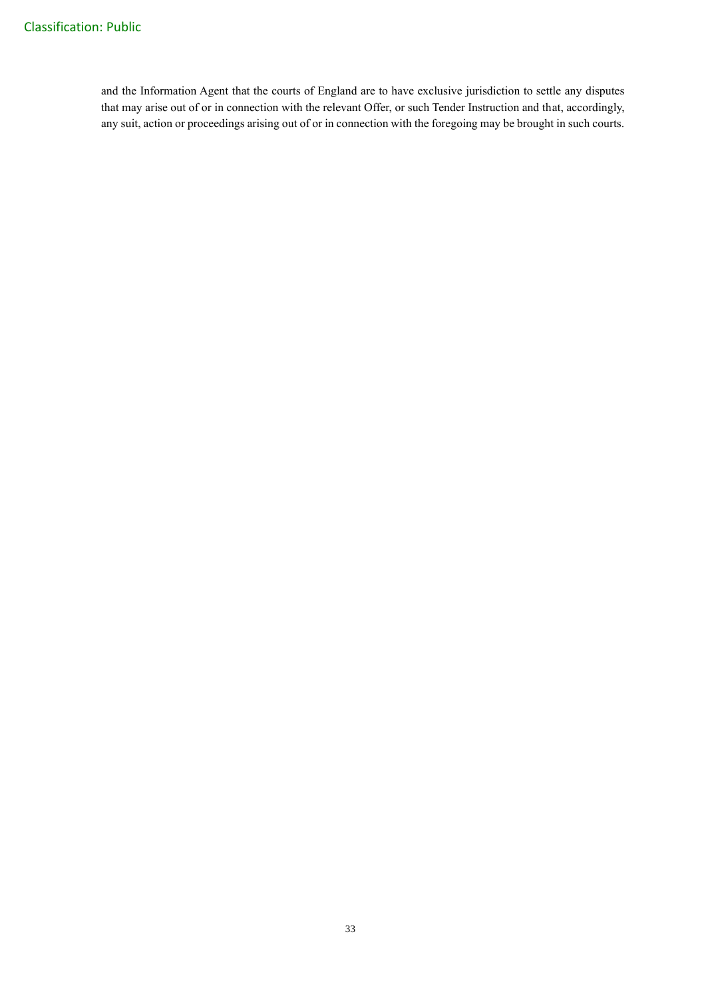and the Information Agent that the courts of England are to have exclusive jurisdiction to settle any disputes that may arise out of or in connection with the relevant Offer, or such Tender Instruction and that, accordingly, any suit, action or proceedings arising out of or in connection with the foregoing may be brought in such courts.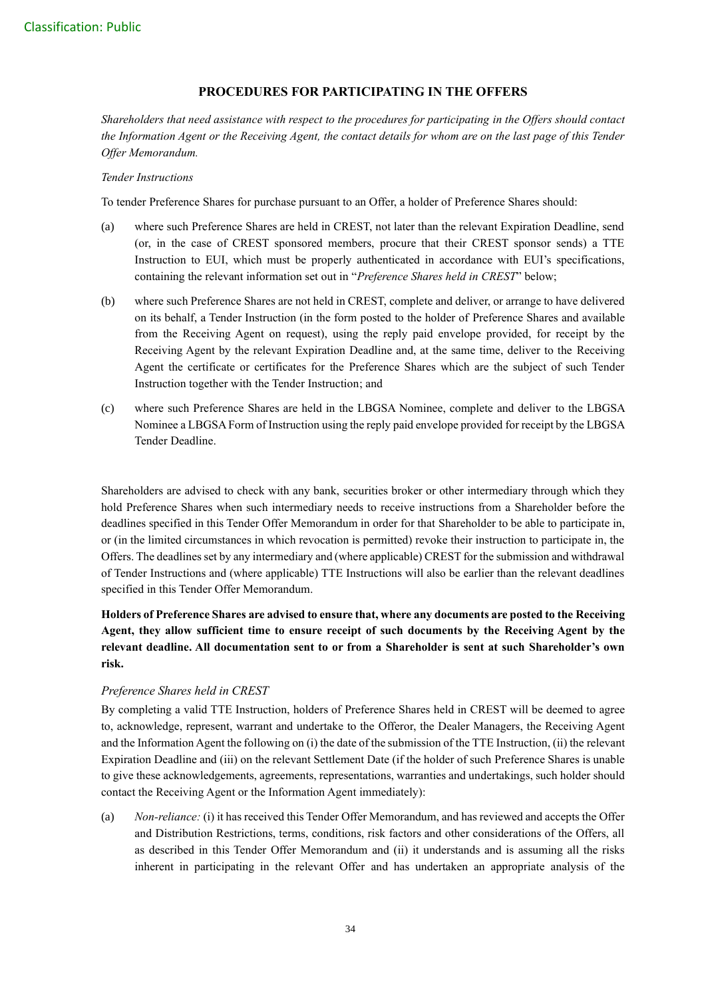## **PROCEDURES FOR PARTICIPATING IN THE OFFERS**

*Shareholders that need assistance with respect to the procedures for participating in the Offers should contact the Information Agent or the Receiving Agent, the contact details for whom are on the last page of this Tender Offer Memorandum.*

#### *Tender Instructions*

To tender Preference Shares for purchase pursuant to an Offer, a holder of Preference Shares should:

- (a) where such Preference Shares are held in CREST, not later than the relevant Expiration Deadline, send (or, in the case of CREST sponsored members, procure that their CREST sponsor sends) a TTE Instruction to EUI, which must be properly authenticated in accordance with EUI's specifications, containing the relevant information set out in "*Preference Shares held in CREST*" below;
- (b) where such Preference Shares are not held in CREST, complete and deliver, or arrange to have delivered on its behalf, a Tender Instruction (in the form posted to the holder of Preference Shares and available from the Receiving Agent on request), using the reply paid envelope provided, for receipt by the Receiving Agent by the relevant Expiration Deadline and, at the same time, deliver to the Receiving Agent the certificate or certificates for the Preference Shares which are the subject of such Tender Instruction together with the Tender Instruction; and
- (c) where such Preference Shares are held in the LBGSA Nominee, complete and deliver to the LBGSA Nominee a LBGSA Form of Instruction using the reply paid envelope provided for receipt by the LBGSA Tender Deadline.

Shareholders are advised to check with any bank, securities broker or other intermediary through which they hold Preference Shares when such intermediary needs to receive instructions from a Shareholder before the deadlines specified in this Tender Offer Memorandum in order for that Shareholder to be able to participate in, or (in the limited circumstances in which revocation is permitted) revoke their instruction to participate in, the Offers. The deadlines set by any intermediary and (where applicable) CREST for the submission and withdrawal of Tender Instructions and (where applicable) TTE Instructions will also be earlier than the relevant deadlines specified in this Tender Offer Memorandum.

## **Holders of Preference Shares are advised to ensure that, where any documents are posted to the Receiving Agent, they allow sufficient time to ensure receipt of such documents by the Receiving Agent by the relevant deadline. All documentation sent to or from a Shareholder is sent at such Shareholder's own risk.**

## *Preference Shares held in CREST*

By completing a valid TTE Instruction, holders of Preference Shares held in CREST will be deemed to agree to, acknowledge, represent, warrant and undertake to the Offeror, the Dealer Managers, the Receiving Agent and the Information Agent the following on (i) the date of the submission of the TTE Instruction, (ii) the relevant Expiration Deadline and (iii) on the relevant Settlement Date (if the holder of such Preference Shares is unable to give these acknowledgements, agreements, representations, warranties and undertakings, such holder should contact the Receiving Agent or the Information Agent immediately):

(a) *Non-reliance:* (i) it has received this Tender Offer Memorandum, and has reviewed and accepts the Offer and Distribution Restrictions, terms, conditions, risk factors and other considerations of the Offers, all as described in this Tender Offer Memorandum and (ii) it understands and is assuming all the risks inherent in participating in the relevant Offer and has undertaken an appropriate analysis of the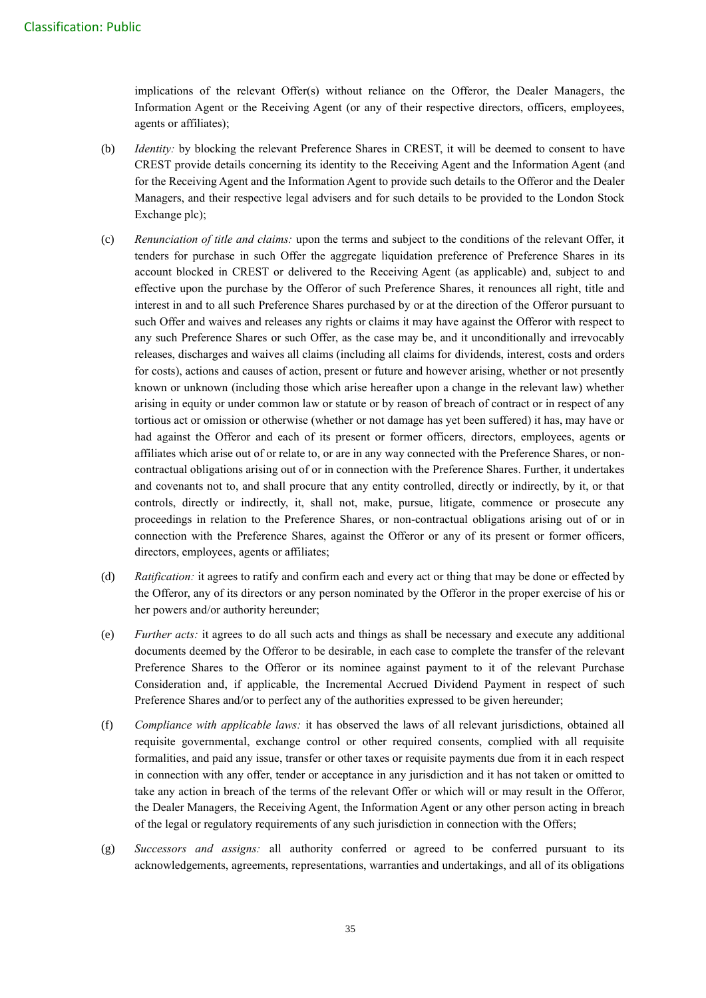implications of the relevant Offer(s) without reliance on the Offeror, the Dealer Managers, the Information Agent or the Receiving Agent (or any of their respective directors, officers, employees, agents or affiliates);

- (b) *Identity:* by blocking the relevant Preference Shares in CREST, it will be deemed to consent to have CREST provide details concerning its identity to the Receiving Agent and the Information Agent (and for the Receiving Agent and the Information Agent to provide such details to the Offeror and the Dealer Managers, and their respective legal advisers and for such details to be provided to the London Stock Exchange plc);
- (c) *Renunciation of title and claims:* upon the terms and subject to the conditions of the relevant Offer, it tenders for purchase in such Offer the aggregate liquidation preference of Preference Shares in its account blocked in CREST or delivered to the Receiving Agent (as applicable) and, subject to and effective upon the purchase by the Offeror of such Preference Shares, it renounces all right, title and interest in and to all such Preference Shares purchased by or at the direction of the Offeror pursuant to such Offer and waives and releases any rights or claims it may have against the Offeror with respect to any such Preference Shares or such Offer, as the case may be, and it unconditionally and irrevocably releases, discharges and waives all claims (including all claims for dividends, interest, costs and orders for costs), actions and causes of action, present or future and however arising, whether or not presently known or unknown (including those which arise hereafter upon a change in the relevant law) whether arising in equity or under common law or statute or by reason of breach of contract or in respect of any tortious act or omission or otherwise (whether or not damage has yet been suffered) it has, may have or had against the Offeror and each of its present or former officers, directors, employees, agents or affiliates which arise out of or relate to, or are in any way connected with the Preference Shares, or noncontractual obligations arising out of or in connection with the Preference Shares. Further, it undertakes and covenants not to, and shall procure that any entity controlled, directly or indirectly, by it, or that controls, directly or indirectly, it, shall not, make, pursue, litigate, commence or prosecute any proceedings in relation to the Preference Shares, or non-contractual obligations arising out of or in connection with the Preference Shares, against the Offeror or any of its present or former officers, directors, employees, agents or affiliates;
- (d) *Ratification:* it agrees to ratify and confirm each and every act or thing that may be done or effected by the Offeror, any of its directors or any person nominated by the Offeror in the proper exercise of his or her powers and/or authority hereunder;
- (e) *Further acts:* it agrees to do all such acts and things as shall be necessary and execute any additional documents deemed by the Offeror to be desirable, in each case to complete the transfer of the relevant Preference Shares to the Offeror or its nominee against payment to it of the relevant Purchase Consideration and, if applicable, the Incremental Accrued Dividend Payment in respect of such Preference Shares and/or to perfect any of the authorities expressed to be given hereunder;
- (f) *Compliance with applicable laws:* it has observed the laws of all relevant jurisdictions, obtained all requisite governmental, exchange control or other required consents, complied with all requisite formalities, and paid any issue, transfer or other taxes or requisite payments due from it in each respect in connection with any offer, tender or acceptance in any jurisdiction and it has not taken or omitted to take any action in breach of the terms of the relevant Offer or which will or may result in the Offeror, the Dealer Managers, the Receiving Agent, the Information Agent or any other person acting in breach of the legal or regulatory requirements of any such jurisdiction in connection with the Offers;
- (g) *Successors and assigns:* all authority conferred or agreed to be conferred pursuant to its acknowledgements, agreements, representations, warranties and undertakings, and all of its obligations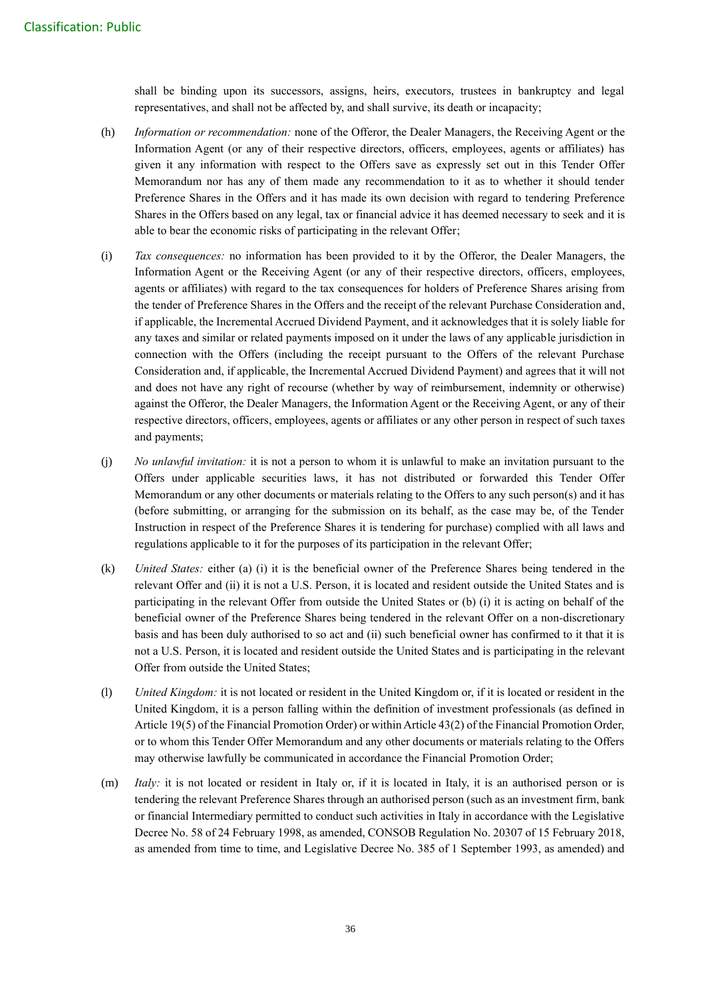shall be binding upon its successors, assigns, heirs, executors, trustees in bankruptcy and legal representatives, and shall not be affected by, and shall survive, its death or incapacity;

- (h) *Information or recommendation:* none of the Offeror, the Dealer Managers, the Receiving Agent or the Information Agent (or any of their respective directors, officers, employees, agents or affiliates) has given it any information with respect to the Offers save as expressly set out in this Tender Offer Memorandum nor has any of them made any recommendation to it as to whether it should tender Preference Shares in the Offers and it has made its own decision with regard to tendering Preference Shares in the Offers based on any legal, tax or financial advice it has deemed necessary to seek and it is able to bear the economic risks of participating in the relevant Offer;
- (i) *Tax consequences:* no information has been provided to it by the Offeror, the Dealer Managers, the Information Agent or the Receiving Agent (or any of their respective directors, officers, employees, agents or affiliates) with regard to the tax consequences for holders of Preference Shares arising from the tender of Preference Shares in the Offers and the receipt of the relevant Purchase Consideration and, if applicable, the Incremental Accrued Dividend Payment, and it acknowledges that it is solely liable for any taxes and similar or related payments imposed on it under the laws of any applicable jurisdiction in connection with the Offers (including the receipt pursuant to the Offers of the relevant Purchase Consideration and, if applicable, the Incremental Accrued Dividend Payment) and agrees that it will not and does not have any right of recourse (whether by way of reimbursement, indemnity or otherwise) against the Offeror, the Dealer Managers, the Information Agent or the Receiving Agent, or any of their respective directors, officers, employees, agents or affiliates or any other person in respect of such taxes and payments;
- (j) *No unlawful invitation:* it is not a person to whom it is unlawful to make an invitation pursuant to the Offers under applicable securities laws, it has not distributed or forwarded this Tender Offer Memorandum or any other documents or materials relating to the Offers to any such person(s) and it has (before submitting, or arranging for the submission on its behalf, as the case may be, of the Tender Instruction in respect of the Preference Shares it is tendering for purchase) complied with all laws and regulations applicable to it for the purposes of its participation in the relevant Offer;
- (k) *United States:* either (a) (i) it is the beneficial owner of the Preference Shares being tendered in the relevant Offer and (ii) it is not a U.S. Person, it is located and resident outside the United States and is participating in the relevant Offer from outside the United States or (b) (i) it is acting on behalf of the beneficial owner of the Preference Shares being tendered in the relevant Offer on a non-discretionary basis and has been duly authorised to so act and (ii) such beneficial owner has confirmed to it that it is not a U.S. Person, it is located and resident outside the United States and is participating in the relevant Offer from outside the United States;
- (l) *United Kingdom:* it is not located or resident in the United Kingdom or, if it is located or resident in the United Kingdom, it is a person falling within the definition of investment professionals (as defined in Article 19(5) of the Financial Promotion Order) or within Article 43(2) of the Financial Promotion Order, or to whom this Tender Offer Memorandum and any other documents or materials relating to the Offers may otherwise lawfully be communicated in accordance the Financial Promotion Order;
- (m) *Italy:* it is not located or resident in Italy or, if it is located in Italy, it is an authorised person or is tendering the relevant Preference Shares through an authorised person (such as an investment firm, bank or financial Intermediary permitted to conduct such activities in Italy in accordance with the Legislative Decree No. 58 of 24 February 1998, as amended, CONSOB Regulation No. 20307 of 15 February 2018, as amended from time to time, and Legislative Decree No. 385 of 1 September 1993, as amended) and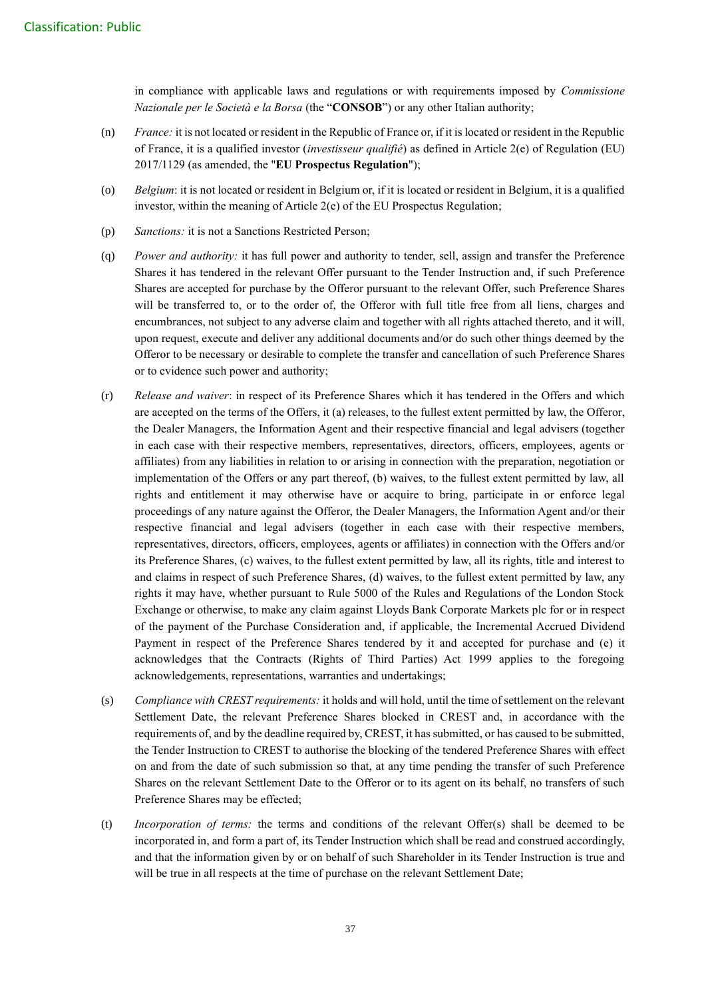in compliance with applicable laws and regulations or with requirements imposed by *Commissione Nazionale per le Società e la Borsa* (the "**CONSOB**") or any other Italian authority;

- (n) *France:* it is not located or resident in the Republic of France or, if it is located or resident in the Republic of France, it is a qualified investor (*investisseur qualifié*) as defined in Article 2(e) of Regulation (EU) 2017/1129 (as amended, the "**EU Prospectus Regulation**");
- (o) *Belgium*: it is not located or resident in Belgium or, if it is located or resident in Belgium, it is a qualified investor, within the meaning of Article 2(e) of the EU Prospectus Regulation;
- (p) *Sanctions:* it is not a Sanctions Restricted Person;
- (q) *Power and authority:* it has full power and authority to tender, sell, assign and transfer the Preference Shares it has tendered in the relevant Offer pursuant to the Tender Instruction and, if such Preference Shares are accepted for purchase by the Offeror pursuant to the relevant Offer, such Preference Shares will be transferred to, or to the order of, the Offeror with full title free from all liens, charges and encumbrances, not subject to any adverse claim and together with all rights attached thereto, and it will, upon request, execute and deliver any additional documents and/or do such other things deemed by the Offeror to be necessary or desirable to complete the transfer and cancellation of such Preference Shares or to evidence such power and authority;
- (r) *Release and waiver*: in respect of its Preference Shares which it has tendered in the Offers and which are accepted on the terms of the Offers, it (a) releases, to the fullest extent permitted by law, the Offeror, the Dealer Managers, the Information Agent and their respective financial and legal advisers (together in each case with their respective members, representatives, directors, officers, employees, agents or affiliates) from any liabilities in relation to or arising in connection with the preparation, negotiation or implementation of the Offers or any part thereof, (b) waives, to the fullest extent permitted by law, all rights and entitlement it may otherwise have or acquire to bring, participate in or enforce legal proceedings of any nature against the Offeror, the Dealer Managers, the Information Agent and/or their respective financial and legal advisers (together in each case with their respective members, representatives, directors, officers, employees, agents or affiliates) in connection with the Offers and/or its Preference Shares, (c) waives, to the fullest extent permitted by law, all its rights, title and interest to and claims in respect of such Preference Shares, (d) waives, to the fullest extent permitted by law, any rights it may have, whether pursuant to Rule 5000 of the Rules and Regulations of the London Stock Exchange or otherwise, to make any claim against Lloyds Bank Corporate Markets plc for or in respect of the payment of the Purchase Consideration and, if applicable, the Incremental Accrued Dividend Payment in respect of the Preference Shares tendered by it and accepted for purchase and (e) it acknowledges that the Contracts (Rights of Third Parties) Act 1999 applies to the foregoing acknowledgements, representations, warranties and undertakings;
- (s) *Compliance with CREST requirements:* it holds and will hold, until the time of settlement on the relevant Settlement Date, the relevant Preference Shares blocked in CREST and, in accordance with the requirements of, and by the deadline required by, CREST, it has submitted, or has caused to be submitted, the Tender Instruction to CREST to authorise the blocking of the tendered Preference Shares with effect on and from the date of such submission so that, at any time pending the transfer of such Preference Shares on the relevant Settlement Date to the Offeror or to its agent on its behalf, no transfers of such Preference Shares may be effected;
- (t) *Incorporation of terms:* the terms and conditions of the relevant Offer(s) shall be deemed to be incorporated in, and form a part of, its Tender Instruction which shall be read and construed accordingly, and that the information given by or on behalf of such Shareholder in its Tender Instruction is true and will be true in all respects at the time of purchase on the relevant Settlement Date;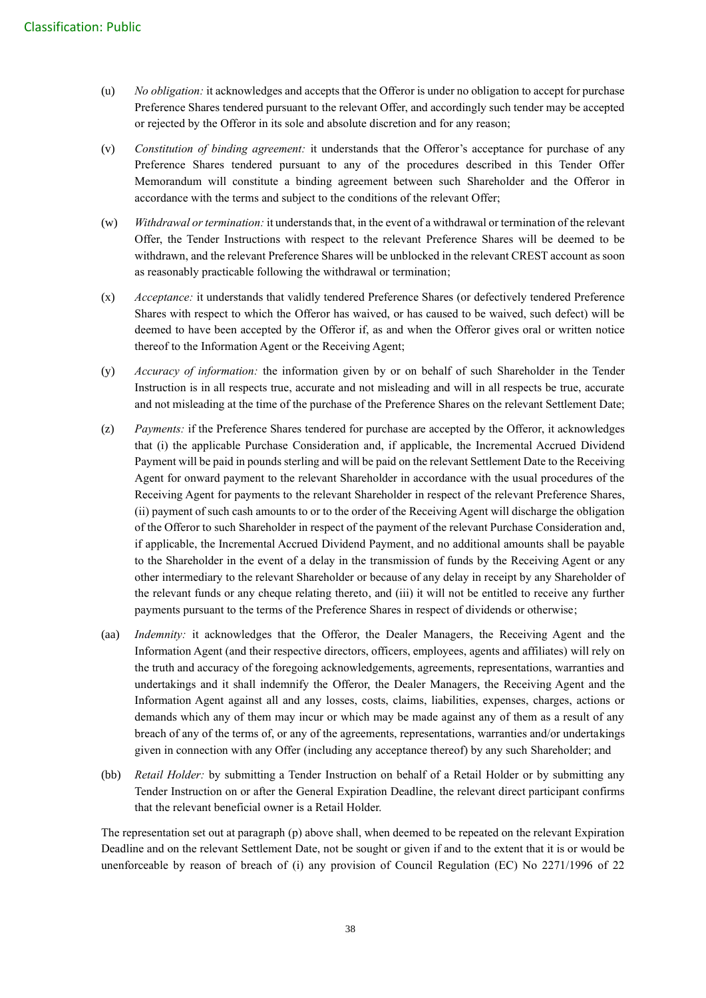- (u) *No obligation:* it acknowledges and accepts that the Offeror is under no obligation to accept for purchase Preference Shares tendered pursuant to the relevant Offer, and accordingly such tender may be accepted or rejected by the Offeror in its sole and absolute discretion and for any reason;
- (v) *Constitution of binding agreement:* it understands that the Offeror's acceptance for purchase of any Preference Shares tendered pursuant to any of the procedures described in this Tender Offer Memorandum will constitute a binding agreement between such Shareholder and the Offeror in accordance with the terms and subject to the conditions of the relevant Offer;
- (w) *Withdrawal or termination:* it understands that, in the event of a withdrawal or termination of the relevant Offer, the Tender Instructions with respect to the relevant Preference Shares will be deemed to be withdrawn, and the relevant Preference Shares will be unblocked in the relevant CREST account as soon as reasonably practicable following the withdrawal or termination;
- (x) *Acceptance:* it understands that validly tendered Preference Shares (or defectively tendered Preference Shares with respect to which the Offeror has waived, or has caused to be waived, such defect) will be deemed to have been accepted by the Offeror if, as and when the Offeror gives oral or written notice thereof to the Information Agent or the Receiving Agent;
- (y) *Accuracy of information:* the information given by or on behalf of such Shareholder in the Tender Instruction is in all respects true, accurate and not misleading and will in all respects be true, accurate and not misleading at the time of the purchase of the Preference Shares on the relevant Settlement Date;
- (z) *Payments:* if the Preference Shares tendered for purchase are accepted by the Offeror, it acknowledges that (i) the applicable Purchase Consideration and, if applicable, the Incremental Accrued Dividend Payment will be paid in pounds sterling and will be paid on the relevant Settlement Date to the Receiving Agent for onward payment to the relevant Shareholder in accordance with the usual procedures of the Receiving Agent for payments to the relevant Shareholder in respect of the relevant Preference Shares, (ii) payment of such cash amounts to or to the order of the Receiving Agent will discharge the obligation of the Offeror to such Shareholder in respect of the payment of the relevant Purchase Consideration and, if applicable, the Incremental Accrued Dividend Payment, and no additional amounts shall be payable to the Shareholder in the event of a delay in the transmission of funds by the Receiving Agent or any other intermediary to the relevant Shareholder or because of any delay in receipt by any Shareholder of the relevant funds or any cheque relating thereto, and (iii) it will not be entitled to receive any further payments pursuant to the terms of the Preference Shares in respect of dividends or otherwise;
- (aa) *Indemnity:* it acknowledges that the Offeror, the Dealer Managers, the Receiving Agent and the Information Agent (and their respective directors, officers, employees, agents and affiliates) will rely on the truth and accuracy of the foregoing acknowledgements, agreements, representations, warranties and undertakings and it shall indemnify the Offeror, the Dealer Managers, the Receiving Agent and the Information Agent against all and any losses, costs, claims, liabilities, expenses, charges, actions or demands which any of them may incur or which may be made against any of them as a result of any breach of any of the terms of, or any of the agreements, representations, warranties and/or undertakings given in connection with any Offer (including any acceptance thereof) by any such Shareholder; and
- (bb) *Retail Holder:* by submitting a Tender Instruction on behalf of a Retail Holder or by submitting any Tender Instruction on or after the General Expiration Deadline, the relevant direct participant confirms that the relevant beneficial owner is a Retail Holder.

The representation set out at paragraph (p) above shall, when deemed to be repeated on the relevant Expiration Deadline and on the relevant Settlement Date, not be sought or given if and to the extent that it is or would be unenforceable by reason of breach of (i) any provision of Council Regulation (EC) No 2271/1996 of 22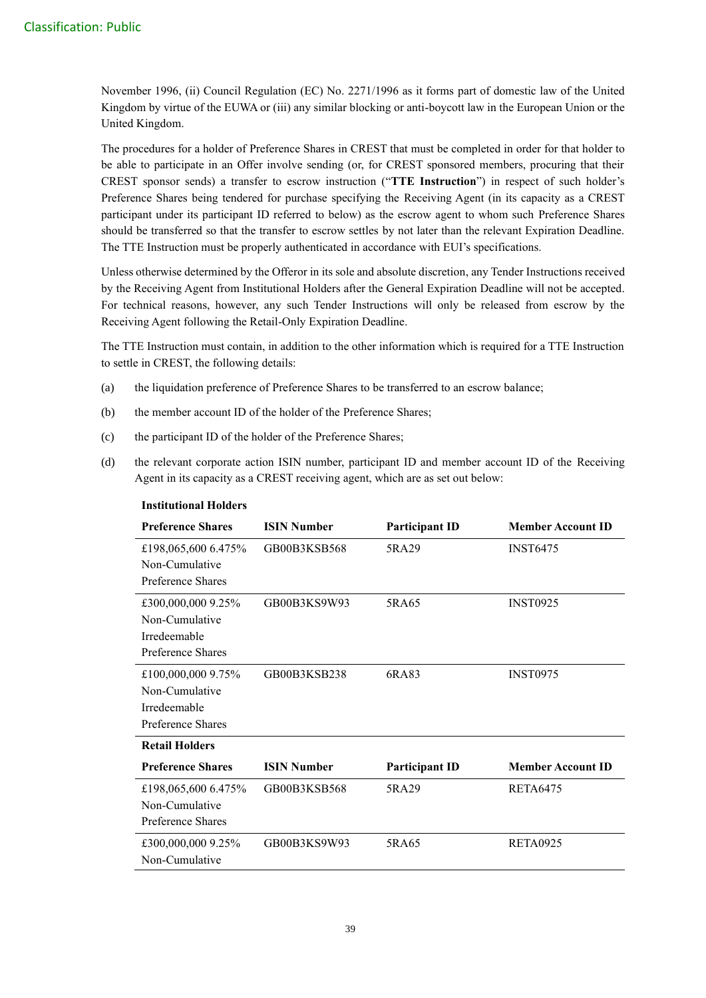November 1996, (ii) Council Regulation (EC) No. 2271/1996 as it forms part of domestic law of the United Kingdom by virtue of the EUWA or (iii) any similar blocking or anti-boycott law in the European Union or the United Kingdom.

The procedures for a holder of Preference Shares in CREST that must be completed in order for that holder to be able to participate in an Offer involve sending (or, for CREST sponsored members, procuring that their CREST sponsor sends) a transfer to escrow instruction ("**TTE Instruction**") in respect of such holder's Preference Shares being tendered for purchase specifying the Receiving Agent (in its capacity as a CREST participant under its participant ID referred to below) as the escrow agent to whom such Preference Shares should be transferred so that the transfer to escrow settles by not later than the relevant Expiration Deadline. The TTE Instruction must be properly authenticated in accordance with EUI's specifications.

Unless otherwise determined by the Offeror in its sole and absolute discretion, any Tender Instructions received by the Receiving Agent from Institutional Holders after the General Expiration Deadline will not be accepted. For technical reasons, however, any such Tender Instructions will only be released from escrow by the Receiving Agent following the Retail-Only Expiration Deadline.

The TTE Instruction must contain, in addition to the other information which is required for a TTE Instruction to settle in CREST, the following details:

- (a) the liquidation preference of Preference Shares to be transferred to an escrow balance;
- (b) the member account ID of the holder of the Preference Shares;
- (c) the participant ID of the holder of the Preference Shares;
- (d) the relevant corporate action ISIN number, participant ID and member account ID of the Receiving Agent in its capacity as a CREST receiving agent, which are as set out below:

| <b>Preference Shares</b>                                                  | <b>ISIN Number</b> | <b>Participant ID</b> | <b>Member Account ID</b> |
|---------------------------------------------------------------------------|--------------------|-----------------------|--------------------------|
| £198,065,600 6.475%<br>Non-Cumulative<br>Preference Shares                | GB00B3KSB568       | 5RA29                 | <b>INST6475</b>          |
| £300,000,000 9.25%<br>Non-Cumulative<br>Irredeemable<br>Preference Shares | GB00B3KS9W93       | 5RA65                 | <b>INST0925</b>          |
| £100,000,000 9.75%<br>Non-Cumulative<br>Irredeemable<br>Preference Shares | GB00B3KSB238       | 6RA83                 | <b>INST0975</b>          |
| <b>Retail Holders</b>                                                     |                    |                       |                          |
| <b>Preference Shares</b>                                                  | <b>ISIN Number</b> | <b>Participant ID</b> | <b>Member Account ID</b> |
| £198,065,600 6.475%<br>Non-Cumulative<br>Preference Shares                | GB00B3KSB568       | 5RA29                 | <b>RETA6475</b>          |
| £300,000,000 9.25%<br>Non-Cumulative                                      | GB00B3KS9W93       | 5RA65                 | <b>RETA0925</b>          |

#### **Institutional Holders**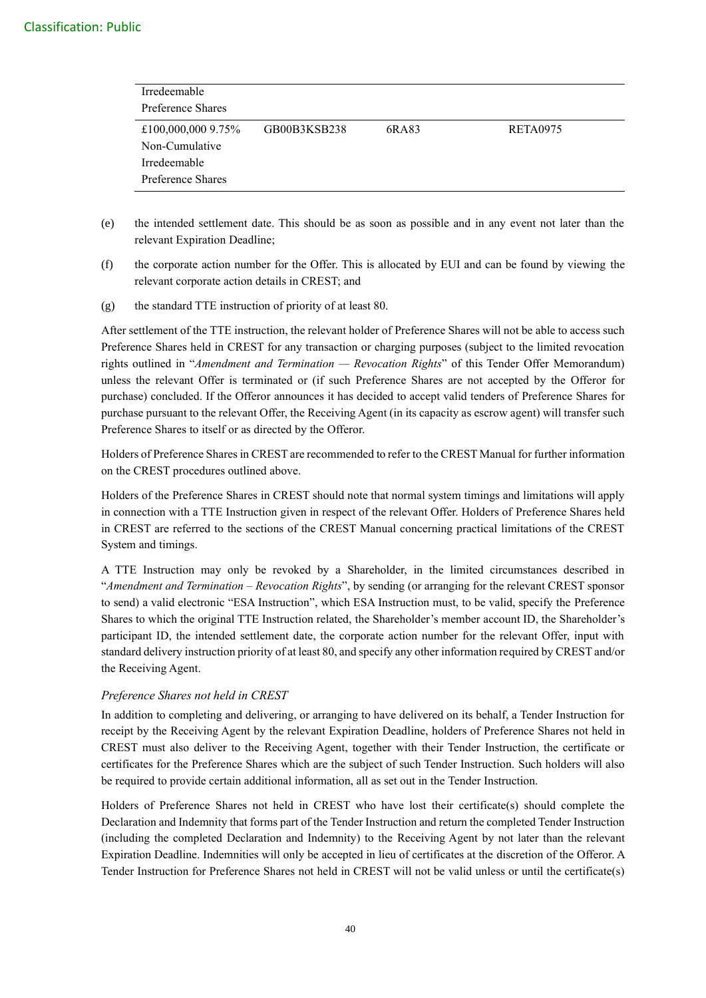## Classification: Public

| Irredeemable<br>Preference Shares                                         |              |       |                 |
|---------------------------------------------------------------------------|--------------|-------|-----------------|
| £100,000,000 9.75%<br>Non-Cumulative<br>Irredeemable<br>Preference Shares | GB00B3KSB238 | 6RA83 | <b>RETA0975</b> |

- (e) the intended settlement date. This should be as soon as possible and in any event not later than the relevant Expiration Deadline;
- (f) the corporate action number for the Offer. This is allocated by EUI and can be found by viewing the relevant corporate action details in CREST; and
- (g) the standard TTE instruction of priority of at least 80.

After settlement of the TTE instruction, the relevant holder of Preference Shares will not be able to access such Preference Shares held in CREST for any transaction or charging purposes (subject to the limited revocation rights outlined in "*Amendment and Termination — Revocation Rights*" of this Tender Offer Memorandum) unless the relevant Offer is terminated or (if such Preference Shares are not accepted by the Offeror for purchase) concluded. If the Offeror announces it has decided to accept valid tenders of Preference Shares for purchase pursuant to the relevant Offer, the Receiving Agent (in its capacity as escrow agent) will transfer such Preference Shares to itself or as directed by the Offeror.

Holders of Preference Shares in CREST are recommended to refer to the CREST Manual for further information on the CREST procedures outlined above.

Holders of the Preference Shares in CREST should note that normal system timings and limitations will apply in connection with a TTE Instruction given in respect of the relevant Offer. Holders of Preference Shares held in CREST are referred to the sections of the CREST Manual concerning practical limitations of the CREST System and timings.

A TTE Instruction may only be revoked by a Shareholder, in the limited circumstances described in "*Amendment and Termination – Revocation Rights*", by sending (or arranging for the relevant CREST sponsor to send) a valid electronic "ESA Instruction", which ESA Instruction must, to be valid, specify the Preference Shares to which the original TTE Instruction related, the Shareholder's member account ID, the Shareholder's participant ID, the intended settlement date, the corporate action number for the relevant Offer, input with standard delivery instruction priority of at least 80, and specify any other information required by CREST and/or the Receiving Agent.

## *Preference Shares not held in CREST*

In addition to completing and delivering, or arranging to have delivered on its behalf, a Tender Instruction for receipt by the Receiving Agent by the relevant Expiration Deadline, holders of Preference Shares not held in CREST must also deliver to the Receiving Agent, together with their Tender Instruction, the certificate or certificates for the Preference Shares which are the subject of such Tender Instruction. Such holders will also be required to provide certain additional information, all as set out in the Tender Instruction.

Holders of Preference Shares not held in CREST who have lost their certificate(s) should complete the Declaration and Indemnity that forms part of the Tender Instruction and return the completed Tender Instruction (including the completed Declaration and Indemnity) to the Receiving Agent by not later than the relevant Expiration Deadline. Indemnities will only be accepted in lieu of certificates at the discretion of the Offeror. A Tender Instruction for Preference Shares not held in CREST will not be valid unless or until the certificate(s)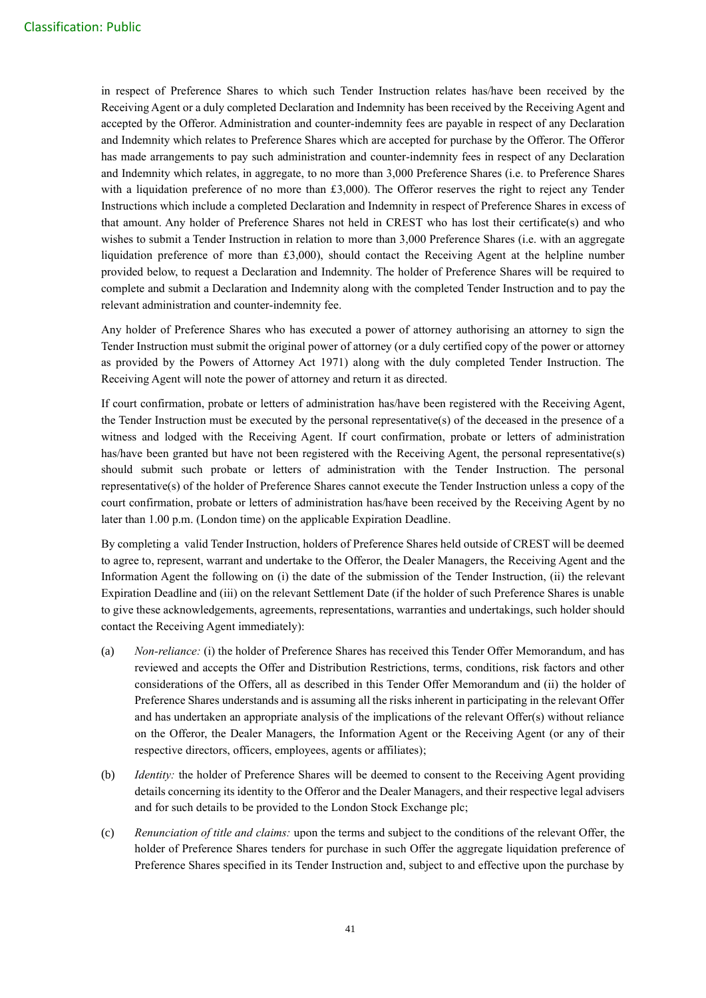in respect of Preference Shares to which such Tender Instruction relates has/have been received by the Receiving Agent or a duly completed Declaration and Indemnity has been received by the Receiving Agent and accepted by the Offeror. Administration and counter-indemnity fees are payable in respect of any Declaration and Indemnity which relates to Preference Shares which are accepted for purchase by the Offeror. The Offeror has made arrangements to pay such administration and counter-indemnity fees in respect of any Declaration and Indemnity which relates, in aggregate, to no more than 3,000 Preference Shares (i.e. to Preference Shares with a liquidation preference of no more than £3,000). The Offeror reserves the right to reject any Tender Instructions which include a completed Declaration and Indemnity in respect of Preference Shares in excess of that amount. Any holder of Preference Shares not held in CREST who has lost their certificate(s) and who wishes to submit a Tender Instruction in relation to more than 3,000 Preference Shares (i.e. with an aggregate liquidation preference of more than £3,000), should contact the Receiving Agent at the helpline number provided below, to request a Declaration and Indemnity. The holder of Preference Shares will be required to complete and submit a Declaration and Indemnity along with the completed Tender Instruction and to pay the relevant administration and counter-indemnity fee.

Any holder of Preference Shares who has executed a power of attorney authorising an attorney to sign the Tender Instruction must submit the original power of attorney (or a duly certified copy of the power or attorney as provided by the Powers of Attorney Act 1971) along with the duly completed Tender Instruction. The Receiving Agent will note the power of attorney and return it as directed.

If court confirmation, probate or letters of administration has/have been registered with the Receiving Agent, the Tender Instruction must be executed by the personal representative(s) of the deceased in the presence of a witness and lodged with the Receiving Agent. If court confirmation, probate or letters of administration has/have been granted but have not been registered with the Receiving Agent, the personal representative(s) should submit such probate or letters of administration with the Tender Instruction. The personal representative(s) of the holder of Preference Shares cannot execute the Tender Instruction unless a copy of the court confirmation, probate or letters of administration has/have been received by the Receiving Agent by no later than 1.00 p.m. (London time) on the applicable Expiration Deadline.

By completing a valid Tender Instruction, holders of Preference Shares held outside of CREST will be deemed to agree to, represent, warrant and undertake to the Offeror, the Dealer Managers, the Receiving Agent and the Information Agent the following on (i) the date of the submission of the Tender Instruction, (ii) the relevant Expiration Deadline and (iii) on the relevant Settlement Date (if the holder of such Preference Shares is unable to give these acknowledgements, agreements, representations, warranties and undertakings, such holder should contact the Receiving Agent immediately):

- (a) *Non-reliance:* (i) the holder of Preference Shares has received this Tender Offer Memorandum, and has reviewed and accepts the Offer and Distribution Restrictions, terms, conditions, risk factors and other considerations of the Offers, all as described in this Tender Offer Memorandum and (ii) the holder of Preference Shares understands and is assuming all the risks inherent in participating in the relevant Offer and has undertaken an appropriate analysis of the implications of the relevant Offer(s) without reliance on the Offeror, the Dealer Managers, the Information Agent or the Receiving Agent (or any of their respective directors, officers, employees, agents or affiliates);
- (b) *Identity:* the holder of Preference Shares will be deemed to consent to the Receiving Agent providing details concerning its identity to the Offeror and the Dealer Managers, and their respective legal advisers and for such details to be provided to the London Stock Exchange plc;
- (c) *Renunciation of title and claims:* upon the terms and subject to the conditions of the relevant Offer, the holder of Preference Shares tenders for purchase in such Offer the aggregate liquidation preference of Preference Shares specified in its Tender Instruction and, subject to and effective upon the purchase by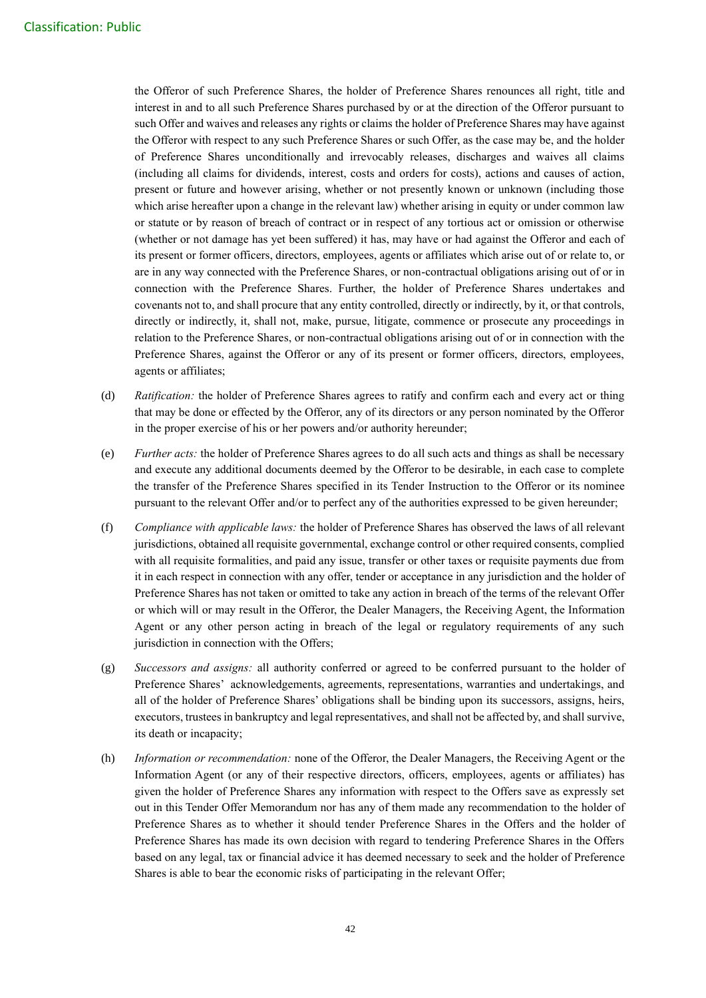the Offeror of such Preference Shares, the holder of Preference Shares renounces all right, title and interest in and to all such Preference Shares purchased by or at the direction of the Offeror pursuant to such Offer and waives and releases any rights or claims the holder of Preference Shares may have against the Offeror with respect to any such Preference Shares or such Offer, as the case may be, and the holder of Preference Shares unconditionally and irrevocably releases, discharges and waives all claims (including all claims for dividends, interest, costs and orders for costs), actions and causes of action, present or future and however arising, whether or not presently known or unknown (including those which arise hereafter upon a change in the relevant law) whether arising in equity or under common law or statute or by reason of breach of contract or in respect of any tortious act or omission or otherwise (whether or not damage has yet been suffered) it has, may have or had against the Offeror and each of its present or former officers, directors, employees, agents or affiliates which arise out of or relate to, or are in any way connected with the Preference Shares, or non-contractual obligations arising out of or in connection with the Preference Shares. Further, the holder of Preference Shares undertakes and covenants not to, and shall procure that any entity controlled, directly or indirectly, by it, or that controls, directly or indirectly, it, shall not, make, pursue, litigate, commence or prosecute any proceedings in relation to the Preference Shares, or non-contractual obligations arising out of or in connection with the Preference Shares, against the Offeror or any of its present or former officers, directors, employees, agents or affiliates;

- (d) *Ratification:* the holder of Preference Shares agrees to ratify and confirm each and every act or thing that may be done or effected by the Offeror, any of its directors or any person nominated by the Offeror in the proper exercise of his or her powers and/or authority hereunder;
- (e) *Further acts:* the holder of Preference Shares agrees to do all such acts and things as shall be necessary and execute any additional documents deemed by the Offeror to be desirable, in each case to complete the transfer of the Preference Shares specified in its Tender Instruction to the Offeror or its nominee pursuant to the relevant Offer and/or to perfect any of the authorities expressed to be given hereunder;
- (f) *Compliance with applicable laws:* the holder of Preference Shares has observed the laws of all relevant jurisdictions, obtained all requisite governmental, exchange control or other required consents, complied with all requisite formalities, and paid any issue, transfer or other taxes or requisite payments due from it in each respect in connection with any offer, tender or acceptance in any jurisdiction and the holder of Preference Shares has not taken or omitted to take any action in breach of the terms of the relevant Offer or which will or may result in the Offeror, the Dealer Managers, the Receiving Agent, the Information Agent or any other person acting in breach of the legal or regulatory requirements of any such jurisdiction in connection with the Offers;
- (g) *Successors and assigns:* all authority conferred or agreed to be conferred pursuant to the holder of Preference Shares' acknowledgements, agreements, representations, warranties and undertakings, and all of the holder of Preference Shares' obligations shall be binding upon its successors, assigns, heirs, executors, trustees in bankruptcy and legal representatives, and shall not be affected by, and shall survive, its death or incapacity;
- (h) *Information or recommendation:* none of the Offeror, the Dealer Managers, the Receiving Agent or the Information Agent (or any of their respective directors, officers, employees, agents or affiliates) has given the holder of Preference Shares any information with respect to the Offers save as expressly set out in this Tender Offer Memorandum nor has any of them made any recommendation to the holder of Preference Shares as to whether it should tender Preference Shares in the Offers and the holder of Preference Shares has made its own decision with regard to tendering Preference Shares in the Offers based on any legal, tax or financial advice it has deemed necessary to seek and the holder of Preference Shares is able to bear the economic risks of participating in the relevant Offer;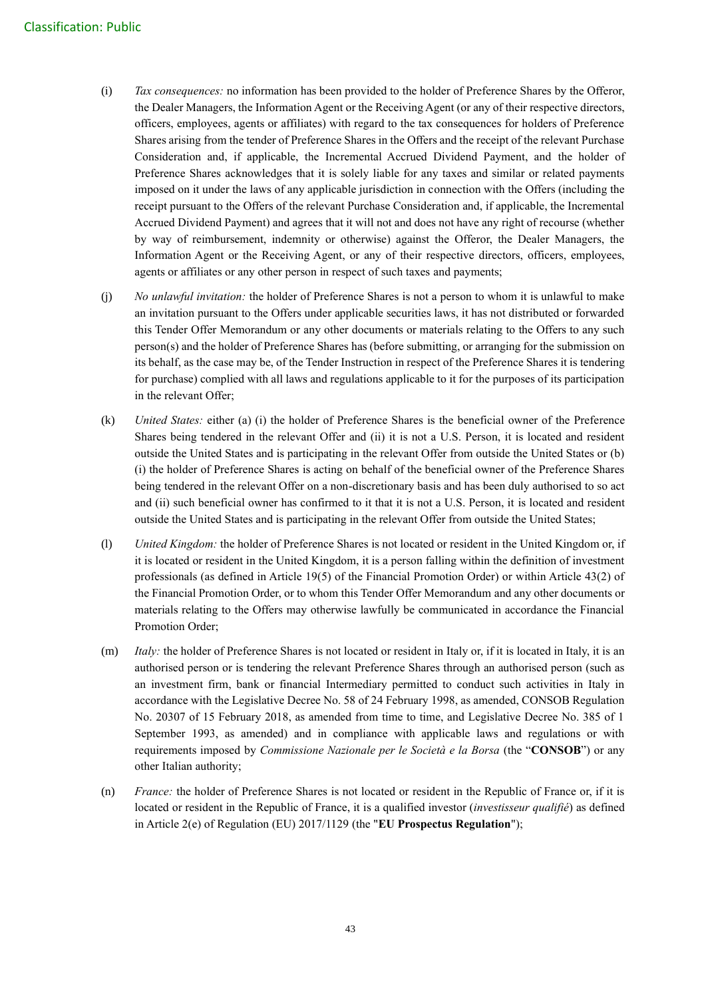- (i) *Tax consequences:* no information has been provided to the holder of Preference Shares by the Offeror, the Dealer Managers, the Information Agent or the Receiving Agent (or any of their respective directors, officers, employees, agents or affiliates) with regard to the tax consequences for holders of Preference Shares arising from the tender of Preference Shares in the Offers and the receipt of the relevant Purchase Consideration and, if applicable, the Incremental Accrued Dividend Payment, and the holder of Preference Shares acknowledges that it is solely liable for any taxes and similar or related payments imposed on it under the laws of any applicable jurisdiction in connection with the Offers (including the receipt pursuant to the Offers of the relevant Purchase Consideration and, if applicable, the Incremental Accrued Dividend Payment) and agrees that it will not and does not have any right of recourse (whether by way of reimbursement, indemnity or otherwise) against the Offeror, the Dealer Managers, the Information Agent or the Receiving Agent, or any of their respective directors, officers, employees, agents or affiliates or any other person in respect of such taxes and payments;
- (j) *No unlawful invitation:* the holder of Preference Shares is not a person to whom it is unlawful to make an invitation pursuant to the Offers under applicable securities laws, it has not distributed or forwarded this Tender Offer Memorandum or any other documents or materials relating to the Offers to any such person(s) and the holder of Preference Shares has (before submitting, or arranging for the submission on its behalf, as the case may be, of the Tender Instruction in respect of the Preference Shares it is tendering for purchase) complied with all laws and regulations applicable to it for the purposes of its participation in the relevant Offer;
- (k) *United States:* either (a) (i) the holder of Preference Shares is the beneficial owner of the Preference Shares being tendered in the relevant Offer and (ii) it is not a U.S. Person, it is located and resident outside the United States and is participating in the relevant Offer from outside the United States or (b) (i) the holder of Preference Shares is acting on behalf of the beneficial owner of the Preference Shares being tendered in the relevant Offer on a non-discretionary basis and has been duly authorised to so act and (ii) such beneficial owner has confirmed to it that it is not a U.S. Person, it is located and resident outside the United States and is participating in the relevant Offer from outside the United States;
- (l) *United Kingdom:* the holder of Preference Shares is not located or resident in the United Kingdom or, if it is located or resident in the United Kingdom, it is a person falling within the definition of investment professionals (as defined in Article 19(5) of the Financial Promotion Order) or within Article 43(2) of the Financial Promotion Order, or to whom this Tender Offer Memorandum and any other documents or materials relating to the Offers may otherwise lawfully be communicated in accordance the Financial Promotion Order;
- (m) *Italy:* the holder of Preference Shares is not located or resident in Italy or, if it is located in Italy, it is an authorised person or is tendering the relevant Preference Shares through an authorised person (such as an investment firm, bank or financial Intermediary permitted to conduct such activities in Italy in accordance with the Legislative Decree No. 58 of 24 February 1998, as amended, CONSOB Regulation No. 20307 of 15 February 2018, as amended from time to time, and Legislative Decree No. 385 of 1 September 1993, as amended) and in compliance with applicable laws and regulations or with requirements imposed by *Commissione Nazionale per le Società e la Borsa* (the "**CONSOB**") or any other Italian authority;
- (n) *France:* the holder of Preference Shares is not located or resident in the Republic of France or, if it is located or resident in the Republic of France, it is a qualified investor (*investisseur qualifié*) as defined in Article 2(e) of Regulation (EU) 2017/1129 (the "**EU Prospectus Regulation**");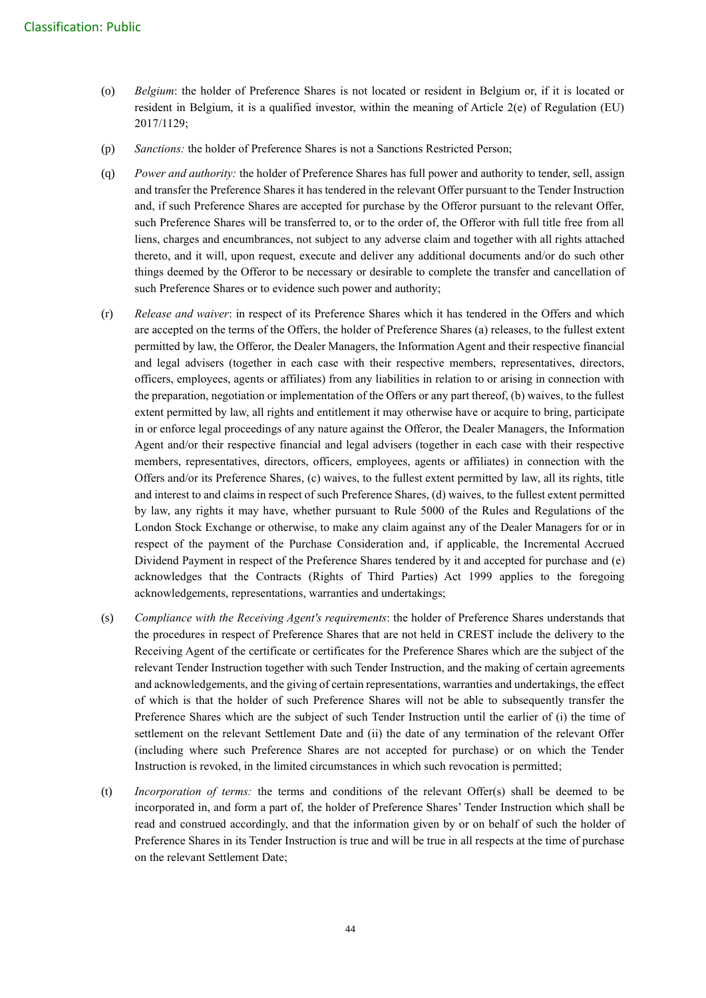- (o) *Belgium*: the holder of Preference Shares is not located or resident in Belgium or, if it is located or resident in Belgium, it is a qualified investor, within the meaning of Article 2(e) of Regulation (EU) 2017/1129;
- (p) *Sanctions:* the holder of Preference Shares is not a Sanctions Restricted Person;
- (q) *Power and authority:* the holder of Preference Shares has full power and authority to tender, sell, assign and transfer the Preference Shares it has tendered in the relevant Offer pursuant to the Tender Instruction and, if such Preference Shares are accepted for purchase by the Offeror pursuant to the relevant Offer, such Preference Shares will be transferred to, or to the order of, the Offeror with full title free from all liens, charges and encumbrances, not subject to any adverse claim and together with all rights attached thereto, and it will, upon request, execute and deliver any additional documents and/or do such other things deemed by the Offeror to be necessary or desirable to complete the transfer and cancellation of such Preference Shares or to evidence such power and authority;
- (r) *Release and waiver*: in respect of its Preference Shares which it has tendered in the Offers and which are accepted on the terms of the Offers, the holder of Preference Shares (a) releases, to the fullest extent permitted by law, the Offeror, the Dealer Managers, the Information Agent and their respective financial and legal advisers (together in each case with their respective members, representatives, directors, officers, employees, agents or affiliates) from any liabilities in relation to or arising in connection with the preparation, negotiation or implementation of the Offers or any part thereof, (b) waives, to the fullest extent permitted by law, all rights and entitlement it may otherwise have or acquire to bring, participate in or enforce legal proceedings of any nature against the Offeror, the Dealer Managers, the Information Agent and/or their respective financial and legal advisers (together in each case with their respective members, representatives, directors, officers, employees, agents or affiliates) in connection with the Offers and/or its Preference Shares, (c) waives, to the fullest extent permitted by law, all its rights, title and interest to and claims in respect of such Preference Shares, (d) waives, to the fullest extent permitted by law, any rights it may have, whether pursuant to Rule 5000 of the Rules and Regulations of the London Stock Exchange or otherwise, to make any claim against any of the Dealer Managers for or in respect of the payment of the Purchase Consideration and, if applicable, the Incremental Accrued Dividend Payment in respect of the Preference Shares tendered by it and accepted for purchase and (e) acknowledges that the Contracts (Rights of Third Parties) Act 1999 applies to the foregoing acknowledgements, representations, warranties and undertakings;
- (s) *Compliance with the Receiving Agent's requirements*: the holder of Preference Shares understands that the procedures in respect of Preference Shares that are not held in CREST include the delivery to the Receiving Agent of the certificate or certificates for the Preference Shares which are the subject of the relevant Tender Instruction together with such Tender Instruction, and the making of certain agreements and acknowledgements, and the giving of certain representations, warranties and undertakings, the effect of which is that the holder of such Preference Shares will not be able to subsequently transfer the Preference Shares which are the subject of such Tender Instruction until the earlier of (i) the time of settlement on the relevant Settlement Date and (ii) the date of any termination of the relevant Offer (including where such Preference Shares are not accepted for purchase) or on which the Tender Instruction is revoked, in the limited circumstances in which such revocation is permitted;
- (t) *Incorporation of terms:* the terms and conditions of the relevant Offer(s) shall be deemed to be incorporated in, and form a part of, the holder of Preference Shares' Tender Instruction which shall be read and construed accordingly, and that the information given by or on behalf of such the holder of Preference Shares in its Tender Instruction is true and will be true in all respects at the time of purchase on the relevant Settlement Date;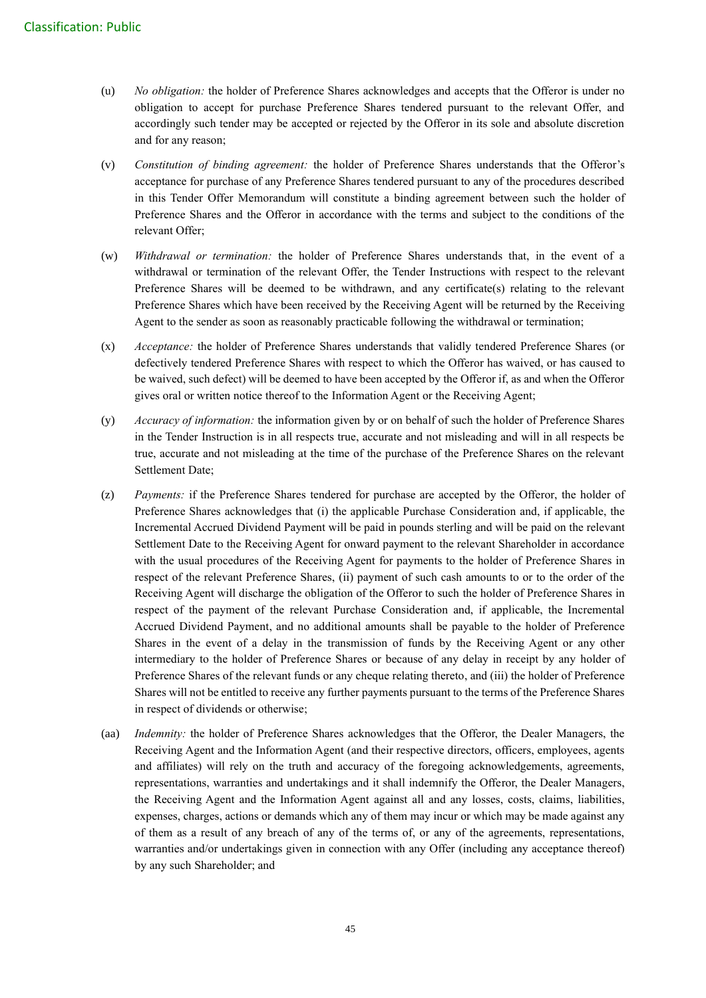- (u) *No obligation:* the holder of Preference Shares acknowledges and accepts that the Offeror is under no obligation to accept for purchase Preference Shares tendered pursuant to the relevant Offer, and accordingly such tender may be accepted or rejected by the Offeror in its sole and absolute discretion and for any reason;
- (v) *Constitution of binding agreement:* the holder of Preference Shares understands that the Offeror's acceptance for purchase of any Preference Shares tendered pursuant to any of the procedures described in this Tender Offer Memorandum will constitute a binding agreement between such the holder of Preference Shares and the Offeror in accordance with the terms and subject to the conditions of the relevant Offer;
- (w) *Withdrawal or termination:* the holder of Preference Shares understands that, in the event of a withdrawal or termination of the relevant Offer, the Tender Instructions with respect to the relevant Preference Shares will be deemed to be withdrawn, and any certificate(s) relating to the relevant Preference Shares which have been received by the Receiving Agent will be returned by the Receiving Agent to the sender as soon as reasonably practicable following the withdrawal or termination;
- (x) *Acceptance:* the holder of Preference Shares understands that validly tendered Preference Shares (or defectively tendered Preference Shares with respect to which the Offeror has waived, or has caused to be waived, such defect) will be deemed to have been accepted by the Offeror if, as and when the Offeror gives oral or written notice thereof to the Information Agent or the Receiving Agent;
- (y) *Accuracy of information:* the information given by or on behalf of such the holder of Preference Shares in the Tender Instruction is in all respects true, accurate and not misleading and will in all respects be true, accurate and not misleading at the time of the purchase of the Preference Shares on the relevant Settlement Date;
- (z) *Payments:* if the Preference Shares tendered for purchase are accepted by the Offeror, the holder of Preference Shares acknowledges that (i) the applicable Purchase Consideration and, if applicable, the Incremental Accrued Dividend Payment will be paid in pounds sterling and will be paid on the relevant Settlement Date to the Receiving Agent for onward payment to the relevant Shareholder in accordance with the usual procedures of the Receiving Agent for payments to the holder of Preference Shares in respect of the relevant Preference Shares, (ii) payment of such cash amounts to or to the order of the Receiving Agent will discharge the obligation of the Offeror to such the holder of Preference Shares in respect of the payment of the relevant Purchase Consideration and, if applicable, the Incremental Accrued Dividend Payment, and no additional amounts shall be payable to the holder of Preference Shares in the event of a delay in the transmission of funds by the Receiving Agent or any other intermediary to the holder of Preference Shares or because of any delay in receipt by any holder of Preference Shares of the relevant funds or any cheque relating thereto, and (iii) the holder of Preference Shares will not be entitled to receive any further payments pursuant to the terms of the Preference Shares in respect of dividends or otherwise;
- (aa) *Indemnity:* the holder of Preference Shares acknowledges that the Offeror, the Dealer Managers, the Receiving Agent and the Information Agent (and their respective directors, officers, employees, agents and affiliates) will rely on the truth and accuracy of the foregoing acknowledgements, agreements, representations, warranties and undertakings and it shall indemnify the Offeror, the Dealer Managers, the Receiving Agent and the Information Agent against all and any losses, costs, claims, liabilities, expenses, charges, actions or demands which any of them may incur or which may be made against any of them as a result of any breach of any of the terms of, or any of the agreements, representations, warranties and/or undertakings given in connection with any Offer (including any acceptance thereof) by any such Shareholder; and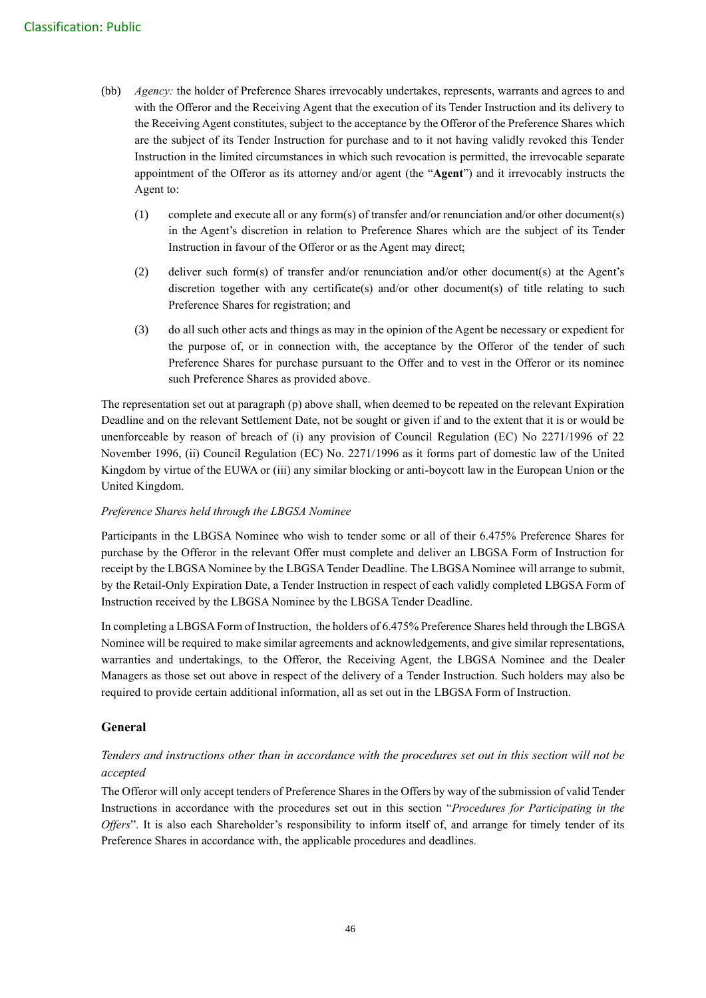- (bb) *Agency:* the holder of Preference Shares irrevocably undertakes, represents, warrants and agrees to and with the Offeror and the Receiving Agent that the execution of its Tender Instruction and its delivery to the Receiving Agent constitutes, subject to the acceptance by the Offeror of the Preference Shares which are the subject of its Tender Instruction for purchase and to it not having validly revoked this Tender Instruction in the limited circumstances in which such revocation is permitted, the irrevocable separate appointment of the Offeror as its attorney and/or agent (the "**Agent**") and it irrevocably instructs the Agent to:
	- (1) complete and execute all or any form(s) of transfer and/or renunciation and/or other document(s) in the Agent's discretion in relation to Preference Shares which are the subject of its Tender Instruction in favour of the Offeror or as the Agent may direct;
	- (2) deliver such form(s) of transfer and/or renunciation and/or other document(s) at the Agent's discretion together with any certificate(s) and/or other document(s) of title relating to such Preference Shares for registration; and
	- (3) do all such other acts and things as may in the opinion of the Agent be necessary or expedient for the purpose of, or in connection with, the acceptance by the Offeror of the tender of such Preference Shares for purchase pursuant to the Offer and to vest in the Offeror or its nominee such Preference Shares as provided above.

The representation set out at paragraph (p) above shall, when deemed to be repeated on the relevant Expiration Deadline and on the relevant Settlement Date, not be sought or given if and to the extent that it is or would be unenforceable by reason of breach of (i) any provision of Council Regulation (EC) No 2271/1996 of 22 November 1996, (ii) Council Regulation (EC) No. 2271/1996 as it forms part of domestic law of the United Kingdom by virtue of the EUWA or (iii) any similar blocking or anti-boycott law in the European Union or the United Kingdom.

## *Preference Shares held through the LBGSA Nominee*

Participants in the LBGSA Nominee who wish to tender some or all of their 6.475% Preference Shares for purchase by the Offeror in the relevant Offer must complete and deliver an LBGSA Form of Instruction for receipt by the LBGSA Nominee by the LBGSA Tender Deadline. The LBGSA Nominee will arrange to submit, by the Retail-Only Expiration Date, a Tender Instruction in respect of each validly completed LBGSA Form of Instruction received by the LBGSA Nominee by the LBGSA Tender Deadline.

In completing a LBGSA Form of Instruction, the holders of 6.475% Preference Shares held through the LBGSA Nominee will be required to make similar agreements and acknowledgements, and give similar representations, warranties and undertakings, to the Offeror, the Receiving Agent, the LBGSA Nominee and the Dealer Managers as those set out above in respect of the delivery of a Tender Instruction. Such holders may also be required to provide certain additional information, all as set out in the LBGSA Form of Instruction.

## **General**

## *Tenders and instructions other than in accordance with the procedures set out in this section will not be accepted*

The Offeror will only accept tenders of Preference Shares in the Offers by way of the submission of valid Tender Instructions in accordance with the procedures set out in this section "*Procedures for Participating in the Offers*". It is also each Shareholder's responsibility to inform itself of, and arrange for timely tender of its Preference Shares in accordance with, the applicable procedures and deadlines.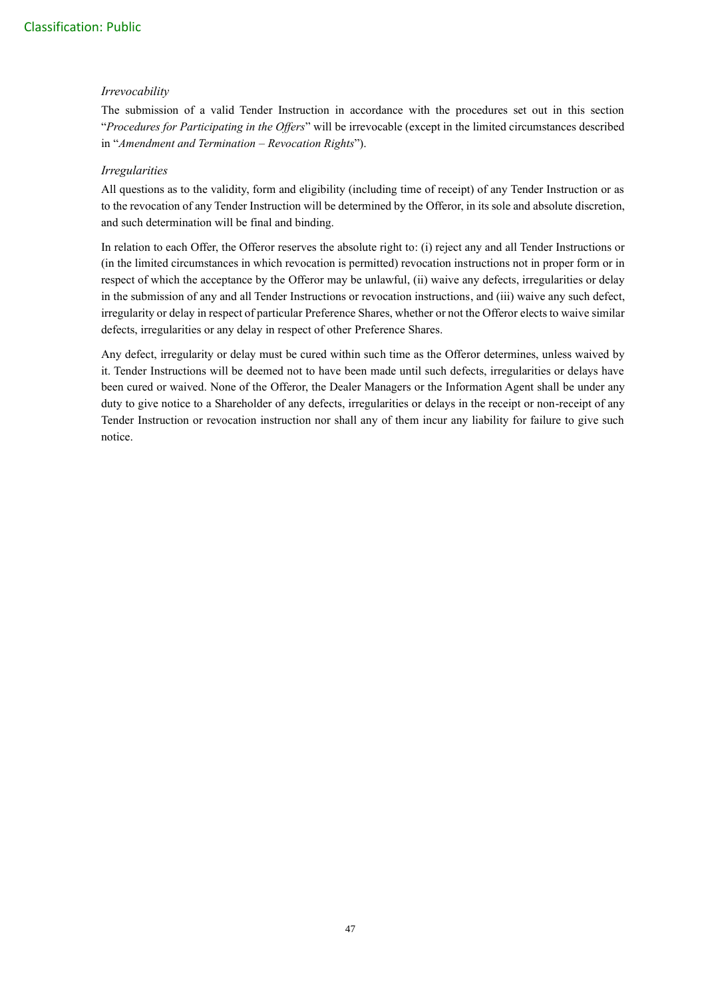## *Irrevocability*

The submission of a valid Tender Instruction in accordance with the procedures set out in this section "*Procedures for Participating in the Offers*" will be irrevocable (except in the limited circumstances described in "*Amendment and Termination – Revocation Rights*").

## *Irregularities*

All questions as to the validity, form and eligibility (including time of receipt) of any Tender Instruction or as to the revocation of any Tender Instruction will be determined by the Offeror, in its sole and absolute discretion, and such determination will be final and binding.

In relation to each Offer, the Offeror reserves the absolute right to: (i) reject any and all Tender Instructions or (in the limited circumstances in which revocation is permitted) revocation instructions not in proper form or in respect of which the acceptance by the Offeror may be unlawful, (ii) waive any defects, irregularities or delay in the submission of any and all Tender Instructions or revocation instructions, and (iii) waive any such defect, irregularity or delay in respect of particular Preference Shares, whether or not the Offeror elects to waive similar defects, irregularities or any delay in respect of other Preference Shares.

Any defect, irregularity or delay must be cured within such time as the Offeror determines, unless waived by it. Tender Instructions will be deemed not to have been made until such defects, irregularities or delays have been cured or waived. None of the Offeror, the Dealer Managers or the Information Agent shall be under any duty to give notice to a Shareholder of any defects, irregularities or delays in the receipt or non-receipt of any Tender Instruction or revocation instruction nor shall any of them incur any liability for failure to give such notice.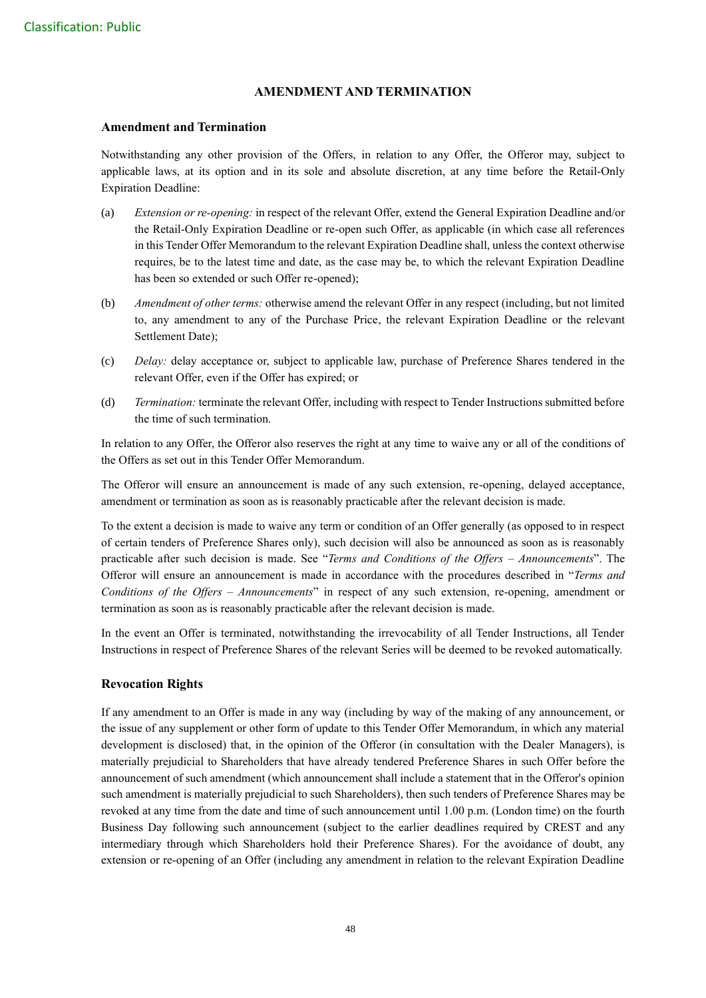## **AMENDMENT AND TERMINATION**

#### **Amendment and Termination**

Notwithstanding any other provision of the Offers, in relation to any Offer, the Offeror may, subject to applicable laws, at its option and in its sole and absolute discretion, at any time before the Retail-Only Expiration Deadline:

- (a) *Extension or re-opening:* in respect of the relevant Offer, extend the General Expiration Deadline and/or the Retail-Only Expiration Deadline or re-open such Offer, as applicable (in which case all references in this Tender Offer Memorandum to the relevant Expiration Deadline shall, unless the context otherwise requires, be to the latest time and date, as the case may be, to which the relevant Expiration Deadline has been so extended or such Offer re-opened);
- (b) *Amendment of other terms:* otherwise amend the relevant Offer in any respect (including, but not limited to, any amendment to any of the Purchase Price, the relevant Expiration Deadline or the relevant Settlement Date);
- (c) *Delay:* delay acceptance or, subject to applicable law, purchase of Preference Shares tendered in the relevant Offer, even if the Offer has expired; or
- (d) *Termination:* terminate the relevant Offer, including with respect to Tender Instructions submitted before the time of such termination.

In relation to any Offer, the Offeror also reserves the right at any time to waive any or all of the conditions of the Offers as set out in this Tender Offer Memorandum.

The Offeror will ensure an announcement is made of any such extension, re-opening, delayed acceptance, amendment or termination as soon as is reasonably practicable after the relevant decision is made.

To the extent a decision is made to waive any term or condition of an Offer generally (as opposed to in respect of certain tenders of Preference Shares only), such decision will also be announced as soon as is reasonably practicable after such decision is made. See "*Terms and Conditions of the Offers – Announcements*". The Offeror will ensure an announcement is made in accordance with the procedures described in "*Terms and Conditions of the Offers – Announcements*" in respect of any such extension, re-opening, amendment or termination as soon as is reasonably practicable after the relevant decision is made.

In the event an Offer is terminated, notwithstanding the irrevocability of all Tender Instructions, all Tender Instructions in respect of Preference Shares of the relevant Series will be deemed to be revoked automatically.

## **Revocation Rights**

If any amendment to an Offer is made in any way (including by way of the making of any announcement, or the issue of any supplement or other form of update to this Tender Offer Memorandum, in which any material development is disclosed) that, in the opinion of the Offeror (in consultation with the Dealer Managers), is materially prejudicial to Shareholders that have already tendered Preference Shares in such Offer before the announcement of such amendment (which announcement shall include a statement that in the Offeror's opinion such amendment is materially prejudicial to such Shareholders), then such tenders of Preference Shares may be revoked at any time from the date and time of such announcement until 1.00 p.m. (London time) on the fourth Business Day following such announcement (subject to the earlier deadlines required by CREST and any intermediary through which Shareholders hold their Preference Shares). For the avoidance of doubt, any extension or re-opening of an Offer (including any amendment in relation to the relevant Expiration Deadline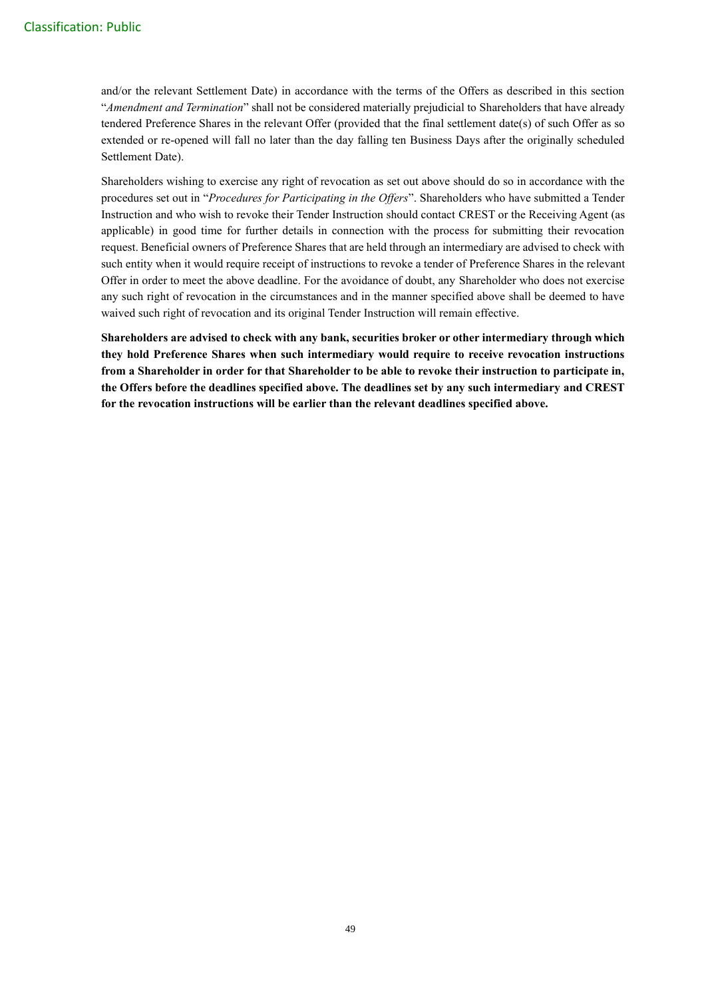and/or the relevant Settlement Date) in accordance with the terms of the Offers as described in this section "*Amendment and Termination*" shall not be considered materially prejudicial to Shareholders that have already tendered Preference Shares in the relevant Offer (provided that the final settlement date(s) of such Offer as so extended or re-opened will fall no later than the day falling ten Business Days after the originally scheduled Settlement Date).

Shareholders wishing to exercise any right of revocation as set out above should do so in accordance with the procedures set out in "*Procedures for Participating in the Offers*". Shareholders who have submitted a Tender Instruction and who wish to revoke their Tender Instruction should contact CREST or the Receiving Agent (as applicable) in good time for further details in connection with the process for submitting their revocation request. Beneficial owners of Preference Shares that are held through an intermediary are advised to check with such entity when it would require receipt of instructions to revoke a tender of Preference Shares in the relevant Offer in order to meet the above deadline. For the avoidance of doubt, any Shareholder who does not exercise any such right of revocation in the circumstances and in the manner specified above shall be deemed to have waived such right of revocation and its original Tender Instruction will remain effective.

**Shareholders are advised to check with any bank, securities broker or other intermediary through which they hold Preference Shares when such intermediary would require to receive revocation instructions from a Shareholder in order for that Shareholder to be able to revoke their instruction to participate in, the Offers before the deadlines specified above. The deadlines set by any such intermediary and CREST for the revocation instructions will be earlier than the relevant deadlines specified above.**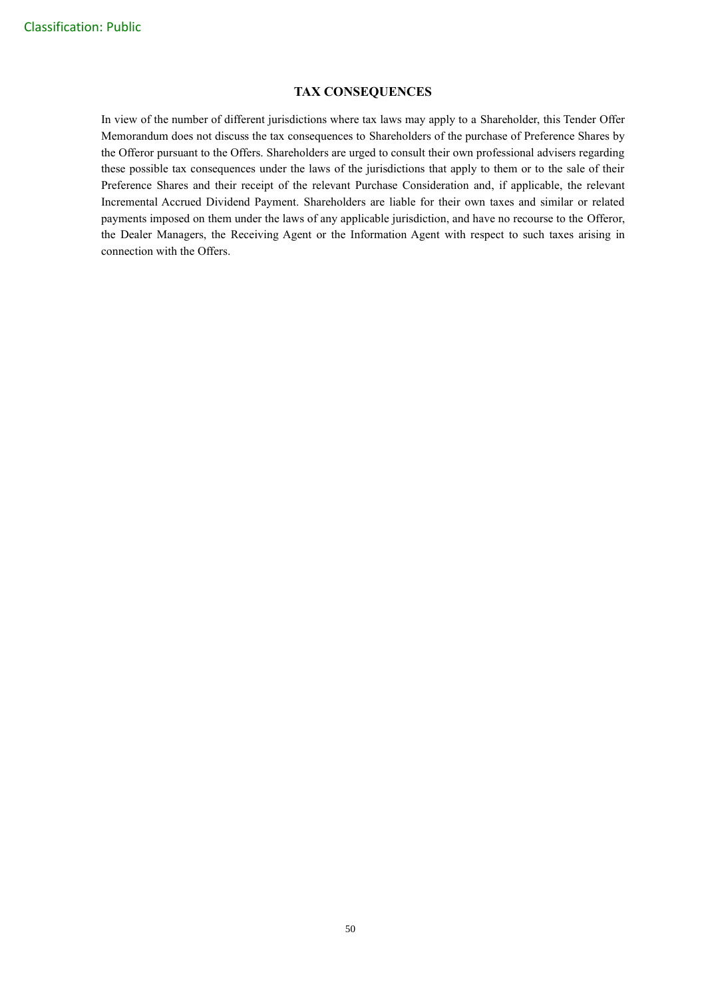## **TAX CONSEQUENCES**

In view of the number of different jurisdictions where tax laws may apply to a Shareholder, this Tender Offer Memorandum does not discuss the tax consequences to Shareholders of the purchase of Preference Shares by the Offeror pursuant to the Offers. Shareholders are urged to consult their own professional advisers regarding these possible tax consequences under the laws of the jurisdictions that apply to them or to the sale of their Preference Shares and their receipt of the relevant Purchase Consideration and, if applicable, the relevant Incremental Accrued Dividend Payment. Shareholders are liable for their own taxes and similar or related payments imposed on them under the laws of any applicable jurisdiction, and have no recourse to the Offeror, the Dealer Managers, the Receiving Agent or the Information Agent with respect to such taxes arising in connection with the Offers.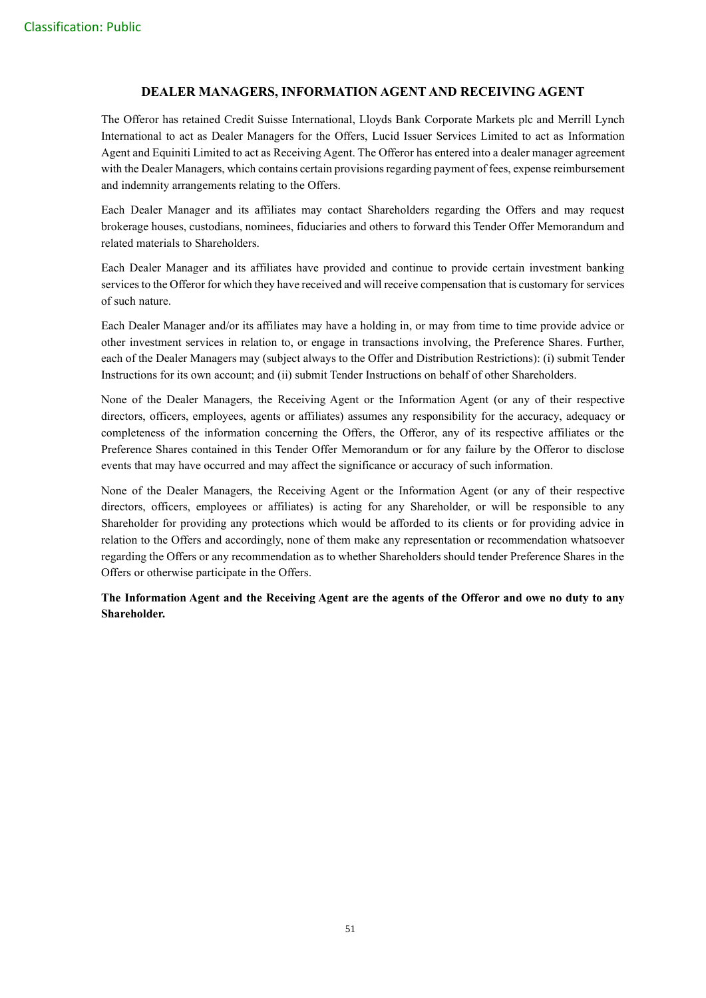## **DEALER MANAGERS, INFORMATION AGENT AND RECEIVING AGENT**

The Offeror has retained Credit Suisse International, Lloyds Bank Corporate Markets plc and Merrill Lynch International to act as Dealer Managers for the Offers, Lucid Issuer Services Limited to act as Information Agent and Equiniti Limited to act as Receiving Agent. The Offeror has entered into a dealer manager agreement with the Dealer Managers, which contains certain provisions regarding payment of fees, expense reimbursement and indemnity arrangements relating to the Offers.

Each Dealer Manager and its affiliates may contact Shareholders regarding the Offers and may request brokerage houses, custodians, nominees, fiduciaries and others to forward this Tender Offer Memorandum and related materials to Shareholders.

Each Dealer Manager and its affiliates have provided and continue to provide certain investment banking services to the Offeror for which they have received and will receive compensation that is customary for services of such nature.

Each Dealer Manager and/or its affiliates may have a holding in, or may from time to time provide advice or other investment services in relation to, or engage in transactions involving, the Preference Shares. Further, each of the Dealer Managers may (subject always to the Offer and Distribution Restrictions): (i) submit Tender Instructions for its own account; and (ii) submit Tender Instructions on behalf of other Shareholders.

None of the Dealer Managers, the Receiving Agent or the Information Agent (or any of their respective directors, officers, employees, agents or affiliates) assumes any responsibility for the accuracy, adequacy or completeness of the information concerning the Offers, the Offeror, any of its respective affiliates or the Preference Shares contained in this Tender Offer Memorandum or for any failure by the Offeror to disclose events that may have occurred and may affect the significance or accuracy of such information.

None of the Dealer Managers, the Receiving Agent or the Information Agent (or any of their respective directors, officers, employees or affiliates) is acting for any Shareholder, or will be responsible to any Shareholder for providing any protections which would be afforded to its clients or for providing advice in relation to the Offers and accordingly, none of them make any representation or recommendation whatsoever regarding the Offers or any recommendation as to whether Shareholders should tender Preference Shares in the Offers or otherwise participate in the Offers.

**The Information Agent and the Receiving Agent are the agents of the Offeror and owe no duty to any Shareholder.**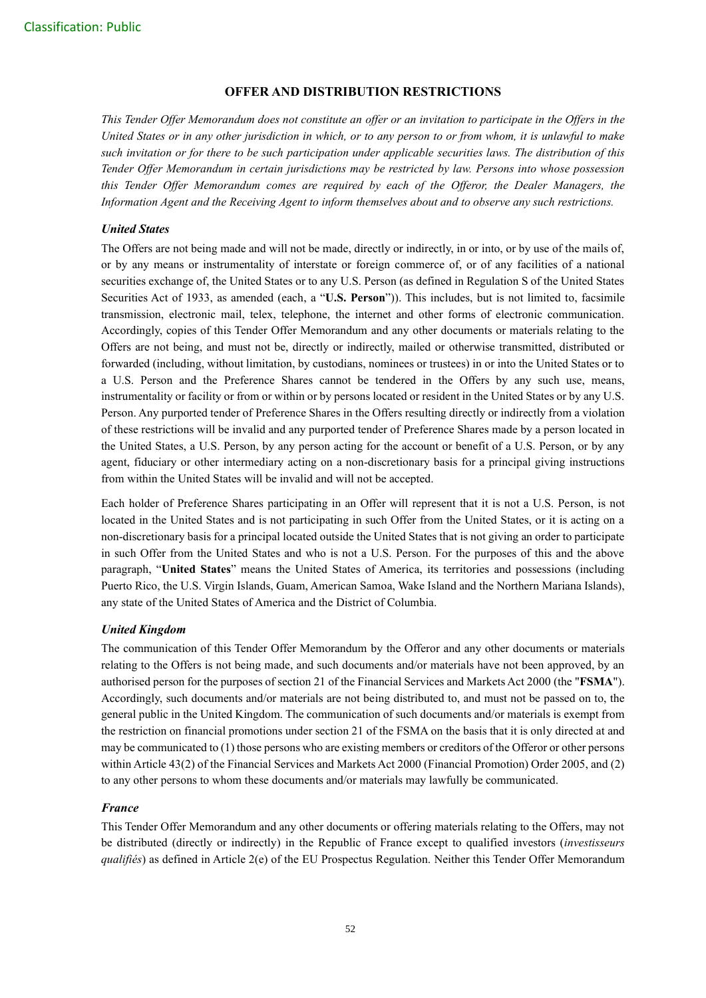## **OFFER AND DISTRIBUTION RESTRICTIONS**

*This Tender Offer Memorandum does not constitute an offer or an invitation to participate in the Offers in the United States or in any other jurisdiction in which, or to any person to or from whom, it is unlawful to make such invitation or for there to be such participation under applicable securities laws. The distribution of this Tender Offer Memorandum in certain jurisdictions may be restricted by law. Persons into whose possession this Tender Offer Memorandum comes are required by each of the Offeror, the Dealer Managers, the Information Agent and the Receiving Agent to inform themselves about and to observe any such restrictions.*

## *United States*

The Offers are not being made and will not be made, directly or indirectly, in or into, or by use of the mails of, or by any means or instrumentality of interstate or foreign commerce of, or of any facilities of a national securities exchange of, the United States or to any U.S. Person (as defined in Regulation S of the United States Securities Act of 1933, as amended (each, a "**U.S. Person**")). This includes, but is not limited to, facsimile transmission, electronic mail, telex, telephone, the internet and other forms of electronic communication. Accordingly, copies of this Tender Offer Memorandum and any other documents or materials relating to the Offers are not being, and must not be, directly or indirectly, mailed or otherwise transmitted, distributed or forwarded (including, without limitation, by custodians, nominees or trustees) in or into the United States or to a U.S. Person and the Preference Shares cannot be tendered in the Offers by any such use, means, instrumentality or facility or from or within or by persons located or resident in the United States or by any U.S. Person. Any purported tender of Preference Shares in the Offers resulting directly or indirectly from a violation of these restrictions will be invalid and any purported tender of Preference Shares made by a person located in the United States, a U.S. Person, by any person acting for the account or benefit of a U.S. Person, or by any agent, fiduciary or other intermediary acting on a non-discretionary basis for a principal giving instructions from within the United States will be invalid and will not be accepted.

Each holder of Preference Shares participating in an Offer will represent that it is not a U.S. Person, is not located in the United States and is not participating in such Offer from the United States, or it is acting on a non-discretionary basis for a principal located outside the United States that is not giving an order to participate in such Offer from the United States and who is not a U.S. Person. For the purposes of this and the above paragraph, "**United States**" means the United States of America, its territories and possessions (including Puerto Rico, the U.S. Virgin Islands, Guam, American Samoa, Wake Island and the Northern Mariana Islands), any state of the United States of America and the District of Columbia.

## *United Kingdom*

The communication of this Tender Offer Memorandum by the Offeror and any other documents or materials relating to the Offers is not being made, and such documents and/or materials have not been approved, by an authorised person for the purposes of section 21 of the Financial Services and Markets Act 2000 (the "**FSMA**"). Accordingly, such documents and/or materials are not being distributed to, and must not be passed on to, the general public in the United Kingdom. The communication of such documents and/or materials is exempt from the restriction on financial promotions under section 21 of the FSMA on the basis that it is only directed at and may be communicated to (1) those persons who are existing members or creditors of the Offeror or other persons within Article 43(2) of the Financial Services and Markets Act 2000 (Financial Promotion) Order 2005, and (2) to any other persons to whom these documents and/or materials may lawfully be communicated.

## *France*

This Tender Offer Memorandum and any other documents or offering materials relating to the Offers, may not be distributed (directly or indirectly) in the Republic of France except to qualified investors (*investisseurs qualifiés*) as defined in Article 2(e) of the EU Prospectus Regulation. Neither this Tender Offer Memorandum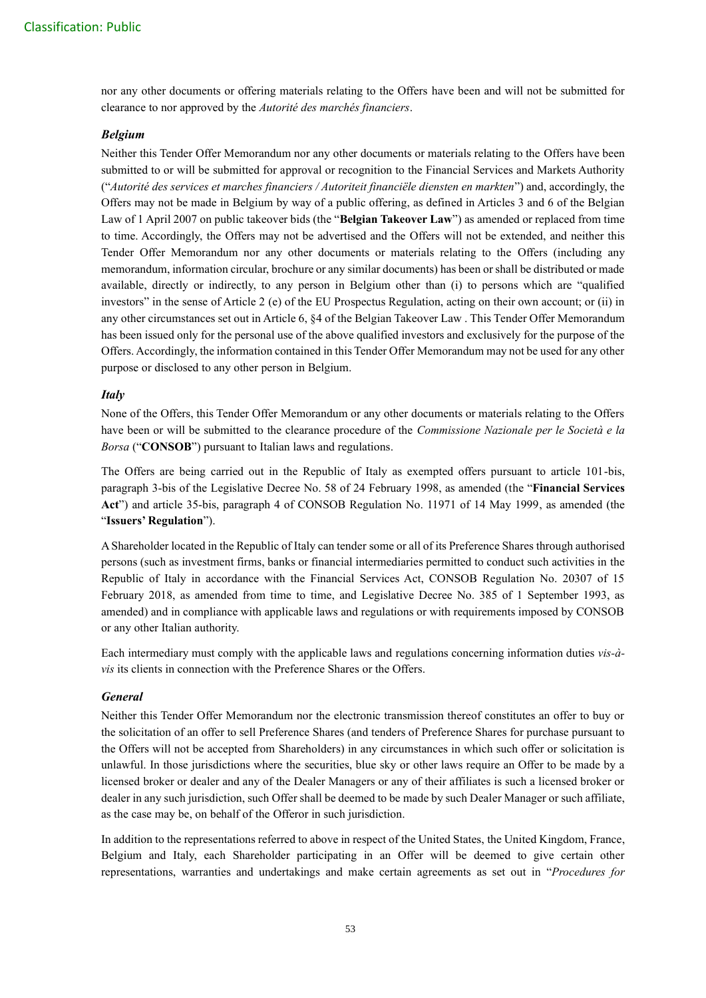nor any other documents or offering materials relating to the Offers have been and will not be submitted for clearance to nor approved by the *Autorité des marchés financiers*.

## *Belgium*

Neither this Tender Offer Memorandum nor any other documents or materials relating to the Offers have been submitted to or will be submitted for approval or recognition to the Financial Services and Markets Authority ("*Autorité des services et marches financiers / Autoriteit financiële diensten en markten*") and, accordingly, the Offers may not be made in Belgium by way of a public offering, as defined in Articles 3 and 6 of the Belgian Law of 1 April 2007 on public takeover bids (the "**Belgian Takeover Law**") as amended or replaced from time to time. Accordingly, the Offers may not be advertised and the Offers will not be extended, and neither this Tender Offer Memorandum nor any other documents or materials relating to the Offers (including any memorandum, information circular, brochure or any similar documents) has been or shall be distributed or made available, directly or indirectly, to any person in Belgium other than (i) to persons which are "qualified investors" in the sense of Article 2 (e) of the EU Prospectus Regulation, acting on their own account; or (ii) in any other circumstances set out in Article 6, §4 of the Belgian Takeover Law . This Tender Offer Memorandum has been issued only for the personal use of the above qualified investors and exclusively for the purpose of the Offers. Accordingly, the information contained in this Tender Offer Memorandum may not be used for any other purpose or disclosed to any other person in Belgium.

#### *Italy*

None of the Offers, this Tender Offer Memorandum or any other documents or materials relating to the Offers have been or will be submitted to the clearance procedure of the *Commissione Nazionale per le Società e la Borsa* ("**CONSOB**") pursuant to Italian laws and regulations.

The Offers are being carried out in the Republic of Italy as exempted offers pursuant to article 101-bis, paragraph 3-bis of the Legislative Decree No. 58 of 24 February 1998, as amended (the "**Financial Services Act**") and article 35-bis, paragraph 4 of CONSOB Regulation No. 11971 of 14 May 1999, as amended (the "**Issuers' Regulation**").

A Shareholder located in the Republic of Italy can tender some or all of its Preference Shares through authorised persons (such as investment firms, banks or financial intermediaries permitted to conduct such activities in the Republic of Italy in accordance with the Financial Services Act, CONSOB Regulation No. 20307 of 15 February 2018, as amended from time to time, and Legislative Decree No. 385 of 1 September 1993, as amended) and in compliance with applicable laws and regulations or with requirements imposed by CONSOB or any other Italian authority.

Each intermediary must comply with the applicable laws and regulations concerning information duties *vis-àvis* its clients in connection with the Preference Shares or the Offers.

#### *General*

Neither this Tender Offer Memorandum nor the electronic transmission thereof constitutes an offer to buy or the solicitation of an offer to sell Preference Shares (and tenders of Preference Shares for purchase pursuant to the Offers will not be accepted from Shareholders) in any circumstances in which such offer or solicitation is unlawful. In those jurisdictions where the securities, blue sky or other laws require an Offer to be made by a licensed broker or dealer and any of the Dealer Managers or any of their affiliates is such a licensed broker or dealer in any such jurisdiction, such Offer shall be deemed to be made by such Dealer Manager or such affiliate, as the case may be, on behalf of the Offeror in such jurisdiction.

In addition to the representations referred to above in respect of the United States, the United Kingdom, France, Belgium and Italy, each Shareholder participating in an Offer will be deemed to give certain other representations, warranties and undertakings and make certain agreements as set out in "*Procedures for*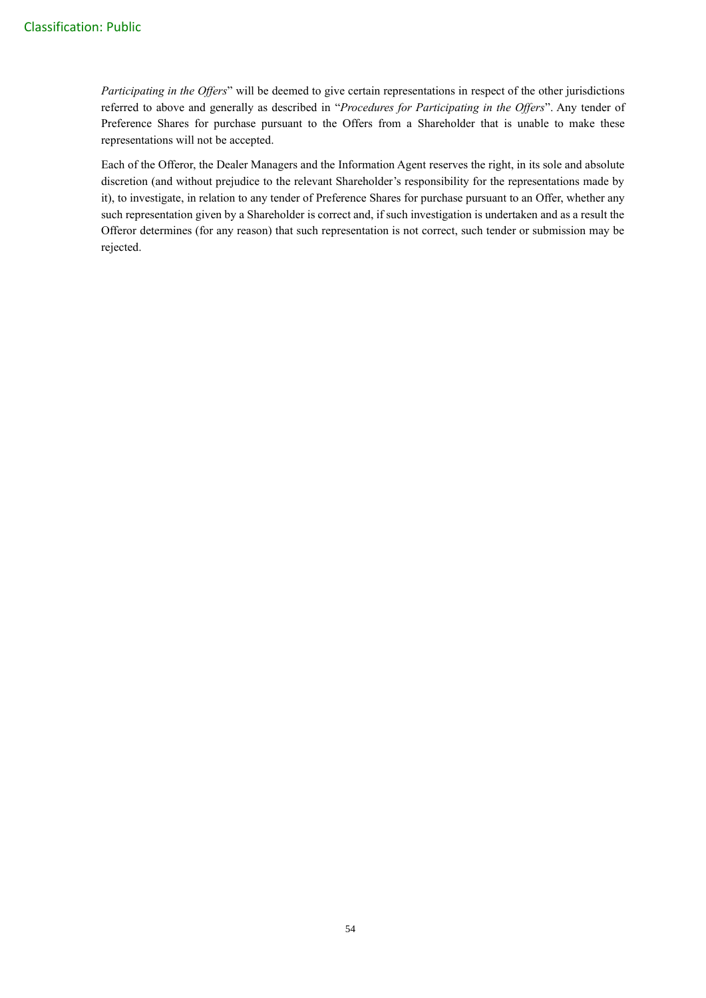*Participating in the Offers*" will be deemed to give certain representations in respect of the other jurisdictions referred to above and generally as described in "*Procedures for Participating in the Offers*". Any tender of Preference Shares for purchase pursuant to the Offers from a Shareholder that is unable to make these representations will not be accepted.

Each of the Offeror, the Dealer Managers and the Information Agent reserves the right, in its sole and absolute discretion (and without prejudice to the relevant Shareholder's responsibility for the representations made by it), to investigate, in relation to any tender of Preference Shares for purchase pursuant to an Offer, whether any such representation given by a Shareholder is correct and, if such investigation is undertaken and as a result the Offeror determines (for any reason) that such representation is not correct, such tender or submission may be rejected.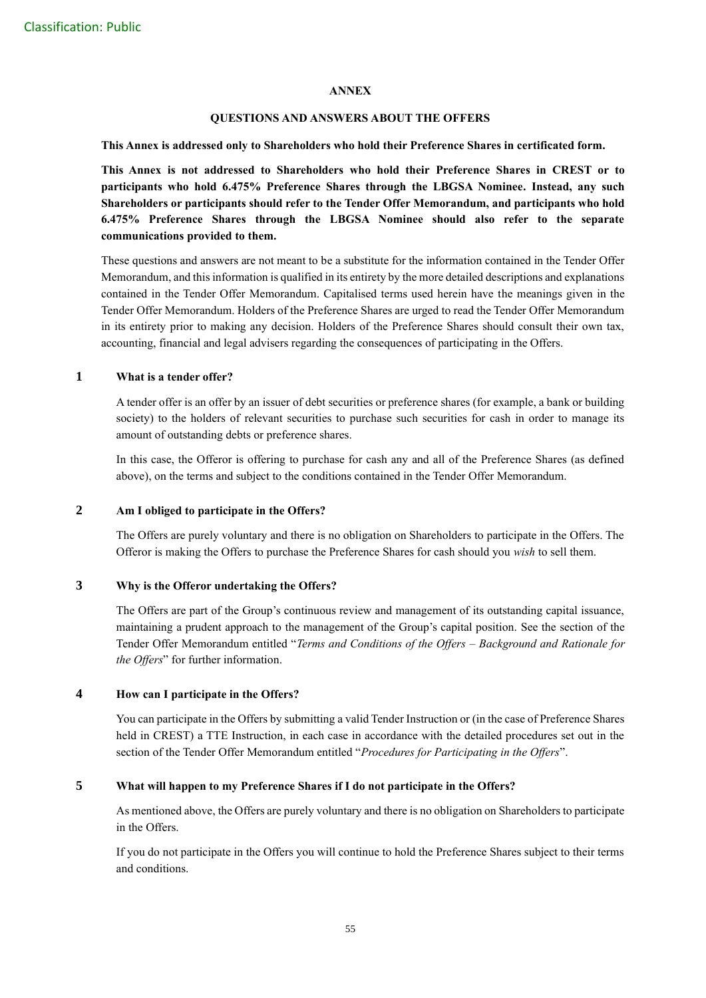#### **ANNEX**

## **QUESTIONS AND ANSWERS ABOUT THE OFFERS**

**This Annex is addressed only to Shareholders who hold their Preference Shares in certificated form.** 

**This Annex is not addressed to Shareholders who hold their Preference Shares in CREST or to participants who hold 6.475% Preference Shares through the LBGSA Nominee. Instead, any such Shareholders or participants should refer to the Tender Offer Memorandum, and participants who hold 6.475% Preference Shares through the LBGSA Nominee should also refer to the separate communications provided to them.**

These questions and answers are not meant to be a substitute for the information contained in the Tender Offer Memorandum, and this information is qualified in its entirety by the more detailed descriptions and explanations contained in the Tender Offer Memorandum. Capitalised terms used herein have the meanings given in the Tender Offer Memorandum. Holders of the Preference Shares are urged to read the Tender Offer Memorandum in its entirety prior to making any decision. Holders of the Preference Shares should consult their own tax, accounting, financial and legal advisers regarding the consequences of participating in the Offers.

## **1 What is a tender offer?**

A tender offer is an offer by an issuer of debt securities or preference shares (for example, a bank or building society) to the holders of relevant securities to purchase such securities for cash in order to manage its amount of outstanding debts or preference shares.

In this case, the Offeror is offering to purchase for cash any and all of the Preference Shares (as defined above), on the terms and subject to the conditions contained in the Tender Offer Memorandum.

## **2 Am I obliged to participate in the Offers?**

The Offers are purely voluntary and there is no obligation on Shareholders to participate in the Offers. The Offeror is making the Offers to purchase the Preference Shares for cash should you *wish* to sell them.

## **3 Why is the Offeror undertaking the Offers?**

The Offers are part of the Group's continuous review and management of its outstanding capital issuance, maintaining a prudent approach to the management of the Group's capital position. See the section of the Tender Offer Memorandum entitled "*Terms and Conditions of the Offers – Background and Rationale for the Offers*" for further information.

## **4 How can I participate in the Offers?**

You can participate in the Offers by submitting a valid Tender Instruction or (in the case of Preference Shares held in CREST) a TTE Instruction, in each case in accordance with the detailed procedures set out in the section of the Tender Offer Memorandum entitled "*Procedures for Participating in the Offers*".

## **5 What will happen to my Preference Shares if I do not participate in the Offers?**

As mentioned above, the Offers are purely voluntary and there is no obligation on Shareholders to participate in the Offers.

If you do not participate in the Offers you will continue to hold the Preference Shares subject to their terms and conditions.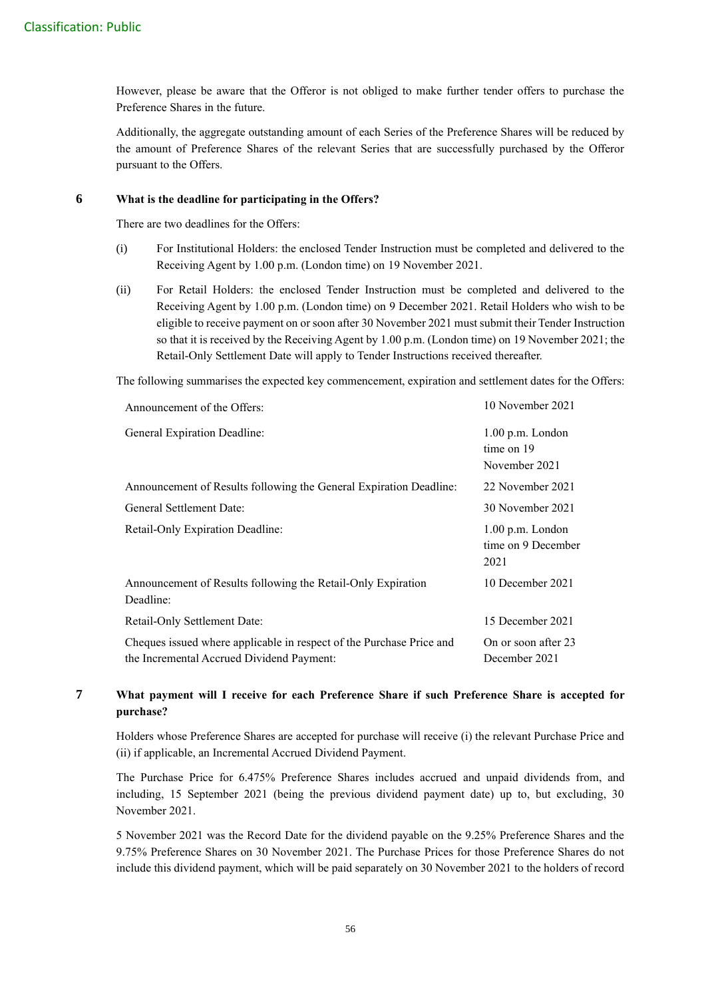However, please be aware that the Offeror is not obliged to make further tender offers to purchase the Preference Shares in the future.

Additionally, the aggregate outstanding amount of each Series of the Preference Shares will be reduced by the amount of Preference Shares of the relevant Series that are successfully purchased by the Offeror pursuant to the Offers.

## **6 What is the deadline for participating in the Offers?**

There are two deadlines for the Offers:

- (i) For Institutional Holders: the enclosed Tender Instruction must be completed and delivered to the Receiving Agent by 1.00 p.m. (London time) on 19 November 2021.
- (ii) For Retail Holders: the enclosed Tender Instruction must be completed and delivered to the Receiving Agent by 1.00 p.m. (London time) on 9 December 2021. Retail Holders who wish to be eligible to receive payment on or soon after 30 November 2021 must submit their Tender Instruction so that it is received by the Receiving Agent by 1.00 p.m. (London time) on 19 November 2021; the Retail-Only Settlement Date will apply to Tender Instructions received thereafter.

The following summarises the expected key commencement, expiration and settlement dates for the Offers:

| Announcement of the Offers:                                                                                       | 10 November 2021                                  |
|-------------------------------------------------------------------------------------------------------------------|---------------------------------------------------|
| <b>General Expiration Deadline:</b>                                                                               | $1.00$ p.m. London<br>time on 19<br>November 2021 |
| Announcement of Results following the General Expiration Deadline:                                                | 22 November 2021                                  |
| General Settlement Date:                                                                                          | 30 November 2021                                  |
| Retail-Only Expiration Deadline:                                                                                  | $1.00$ p.m. London<br>time on 9 December<br>2021  |
| Announcement of Results following the Retail-Only Expiration<br>Deadline:                                         | 10 December 2021                                  |
| Retail-Only Settlement Date:                                                                                      | 15 December 2021                                  |
| Cheques issued where applicable in respect of the Purchase Price and<br>the Incremental Accrued Dividend Payment: | On or soon after 23<br>December 2021              |

## **7 What payment will I receive for each Preference Share if such Preference Share is accepted for purchase?**

Holders whose Preference Shares are accepted for purchase will receive (i) the relevant Purchase Price and (ii) if applicable, an Incremental Accrued Dividend Payment.

The Purchase Price for 6.475% Preference Shares includes accrued and unpaid dividends from, and including, 15 September 2021 (being the previous dividend payment date) up to, but excluding, 30 November 2021.

5 November 2021 was the Record Date for the dividend payable on the 9.25% Preference Shares and the 9.75% Preference Shares on 30 November 2021. The Purchase Prices for those Preference Shares do not include this dividend payment, which will be paid separately on 30 November 2021 to the holders of record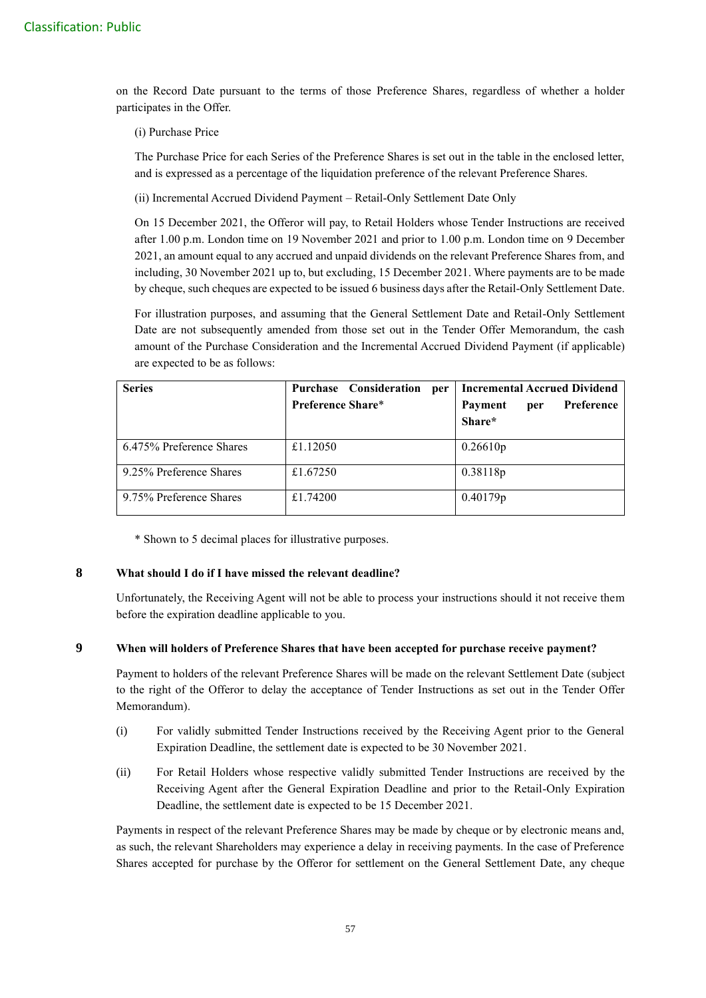on the Record Date pursuant to the terms of those Preference Shares, regardless of whether a holder participates in the Offer.

(i) Purchase Price

The Purchase Price for each Series of the Preference Shares is set out in the table in the enclosed letter, and is expressed as a percentage of the liquidation preference of the relevant Preference Shares.

(ii) Incremental Accrued Dividend Payment – Retail-Only Settlement Date Only

On 15 December 2021, the Offeror will pay, to Retail Holders whose Tender Instructions are received after 1.00 p.m. London time on 19 November 2021 and prior to 1.00 p.m. London time on 9 December 2021, an amount equal to any accrued and unpaid dividends on the relevant Preference Shares from, and including, 30 November 2021 up to, but excluding, 15 December 2021. Where payments are to be made by cheque, such cheques are expected to be issued 6 business days after the Retail-Only Settlement Date.

For illustration purposes, and assuming that the General Settlement Date and Retail-Only Settlement Date are not subsequently amended from those set out in the Tender Offer Memorandum, the cash amount of the Purchase Consideration and the Incremental Accrued Dividend Payment (if applicable) are expected to be as follows:

| <b>Series</b>            | Purchase Consideration<br>per | <b>Incremental Accrued Dividend</b> |
|--------------------------|-------------------------------|-------------------------------------|
|                          | Preference Share*             | Preference<br>Payment<br>per        |
|                          |                               | Share*                              |
| 6.475% Preference Shares | £1.12050                      | 0.26610p                            |
| 9.25% Preference Shares  | £1.67250                      | 0.38118p                            |
| 9.75% Preference Shares  | £1.74200                      | 0.40179p                            |

\* Shown to 5 decimal places for illustrative purposes.

#### **8 What should I do if I have missed the relevant deadline?**

Unfortunately, the Receiving Agent will not be able to process your instructions should it not receive them before the expiration deadline applicable to you.

#### **9 When will holders of Preference Shares that have been accepted for purchase receive payment?**

Payment to holders of the relevant Preference Shares will be made on the relevant Settlement Date (subject to the right of the Offeror to delay the acceptance of Tender Instructions as set out in the Tender Offer Memorandum).

- (i) For validly submitted Tender Instructions received by the Receiving Agent prior to the General Expiration Deadline, the settlement date is expected to be 30 November 2021.
- (ii) For Retail Holders whose respective validly submitted Tender Instructions are received by the Receiving Agent after the General Expiration Deadline and prior to the Retail-Only Expiration Deadline, the settlement date is expected to be 15 December 2021.

Payments in respect of the relevant Preference Shares may be made by cheque or by electronic means and, as such, the relevant Shareholders may experience a delay in receiving payments. In the case of Preference Shares accepted for purchase by the Offeror for settlement on the General Settlement Date, any cheque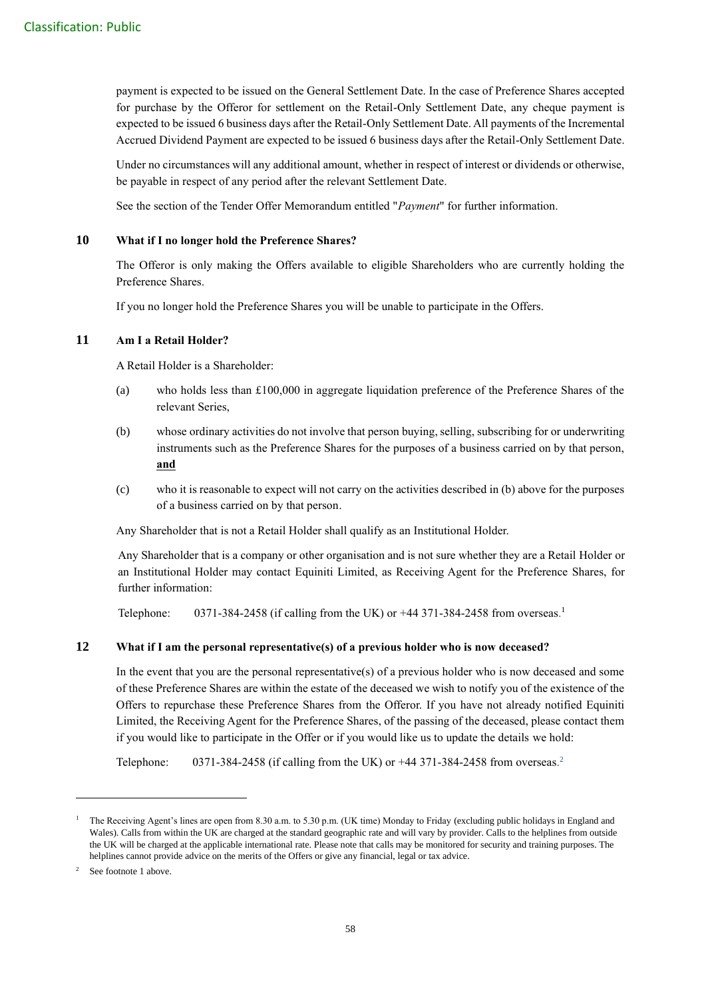payment is expected to be issued on the General Settlement Date. In the case of Preference Shares accepted for purchase by the Offeror for settlement on the Retail-Only Settlement Date, any cheque payment is expected to be issued 6 business days after the Retail-Only Settlement Date. All payments of the Incremental Accrued Dividend Payment are expected to be issued 6 business days after the Retail-Only Settlement Date.

Under no circumstances will any additional amount, whether in respect of interest or dividends or otherwise, be payable in respect of any period after the relevant Settlement Date.

See the section of the Tender Offer Memorandum entitled "*Payment*" for further information.

## **10 What if I no longer hold the Preference Shares?**

The Offeror is only making the Offers available to eligible Shareholders who are currently holding the Preference Shares.

If you no longer hold the Preference Shares you will be unable to participate in the Offers.

#### **11 Am I a Retail Holder?**

A Retail Holder is a Shareholder:

- (a) who holds less than £100,000 in aggregate liquidation preference of the Preference Shares of the relevant Series,
- (b) whose ordinary activities do not involve that person buying, selling, subscribing for or underwriting instruments such as the Preference Shares for the purposes of a business carried on by that person, **and**
- (c) who it is reasonable to expect will not carry on the activities described in (b) above for the purposes of a business carried on by that person.

Any Shareholder that is not a Retail Holder shall qualify as an Institutional Holder.

Any Shareholder that is a company or other organisation and is not sure whether they are a Retail Holder or an Institutional Holder may contact Equiniti Limited, as Receiving Agent for the Preference Shares, for further information:

Telephone:  $0371-384-2458$  (if calling from the UK) or  $+44$  371-384-2458 from overseas.<sup>1</sup>

## **12 What if I am the personal representative(s) of a previous holder who is now deceased?**

In the event that you are the personal representative(s) of a previous holder who is now deceased and some of these Preference Shares are within the estate of the deceased we wish to notify you of the existence of the Offers to repurchase these Preference Shares from the Offeror. If you have not already notified Equiniti Limited, the Receiving Agent for the Preference Shares, of the passing of the deceased, please contact them if you would like to participate in the Offer or if you would like us to update the details we hold:

Telephone:  $0371-384-2458$  (if calling from the UK) or  $+44$  371-384-2458 from overseas.<sup>2</sup>

<sup>1</sup> The Receiving Agent's lines are open from 8.30 a.m. to 5.30 p.m. (UK time) Monday to Friday (excluding public holidays in England and Wales). Calls from within the UK are charged at the standard geographic rate and will vary by provider. Calls to the helplines from outside the UK will be charged at the applicable international rate. Please note that calls may be monitored for security and training purposes. The helplines cannot provide advice on the merits of the Offers or give any financial, legal or tax advice.

<sup>&</sup>lt;sup>2</sup> See footnote 1 above.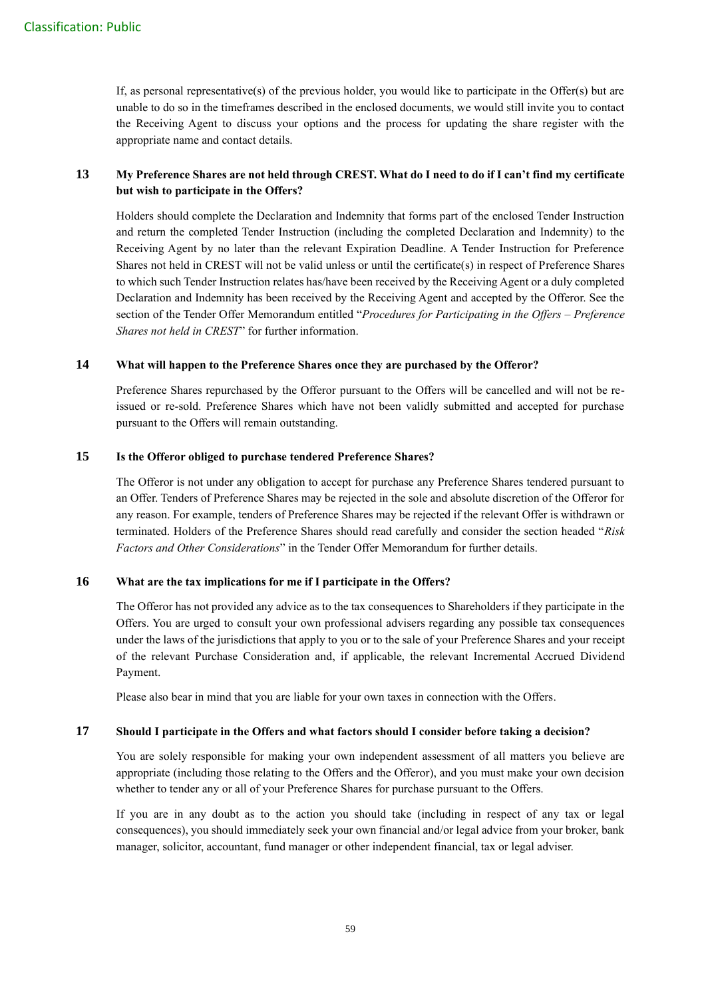If, as personal representative(s) of the previous holder, you would like to participate in the Offer(s) but are unable to do so in the timeframes described in the enclosed documents, we would still invite you to contact the Receiving Agent to discuss your options and the process for updating the share register with the appropriate name and contact details.

## **13 My Preference Shares are not held through CREST. What do I need to do if I can't find my certificate but wish to participate in the Offers?**

Holders should complete the Declaration and Indemnity that forms part of the enclosed Tender Instruction and return the completed Tender Instruction (including the completed Declaration and Indemnity) to the Receiving Agent by no later than the relevant Expiration Deadline. A Tender Instruction for Preference Shares not held in CREST will not be valid unless or until the certificate(s) in respect of Preference Shares to which such Tender Instruction relates has/have been received by the Receiving Agent or a duly completed Declaration and Indemnity has been received by the Receiving Agent and accepted by the Offeror. See the section of the Tender Offer Memorandum entitled "*Procedures for Participating in the Offers – Preference Shares not held in CREST*" for further information.

## **14 What will happen to the Preference Shares once they are purchased by the Offeror?**

Preference Shares repurchased by the Offeror pursuant to the Offers will be cancelled and will not be reissued or re-sold. Preference Shares which have not been validly submitted and accepted for purchase pursuant to the Offers will remain outstanding.

#### **15 Is the Offeror obliged to purchase tendered Preference Shares?**

The Offeror is not under any obligation to accept for purchase any Preference Shares tendered pursuant to an Offer. Tenders of Preference Shares may be rejected in the sole and absolute discretion of the Offeror for any reason. For example, tenders of Preference Shares may be rejected if the relevant Offer is withdrawn or terminated. Holders of the Preference Shares should read carefully and consider the section headed "*Risk Factors and Other Considerations*" in the Tender Offer Memorandum for further details.

## **16 What are the tax implications for me if I participate in the Offers?**

The Offeror has not provided any advice as to the tax consequences to Shareholders if they participate in the Offers. You are urged to consult your own professional advisers regarding any possible tax consequences under the laws of the jurisdictions that apply to you or to the sale of your Preference Shares and your receipt of the relevant Purchase Consideration and, if applicable, the relevant Incremental Accrued Dividend Payment.

Please also bear in mind that you are liable for your own taxes in connection with the Offers.

#### **17 Should I participate in the Offers and what factors should I consider before taking a decision?**

You are solely responsible for making your own independent assessment of all matters you believe are appropriate (including those relating to the Offers and the Offeror), and you must make your own decision whether to tender any or all of your Preference Shares for purchase pursuant to the Offers.

If you are in any doubt as to the action you should take (including in respect of any tax or legal consequences), you should immediately seek your own financial and/or legal advice from your broker, bank manager, solicitor, accountant, fund manager or other independent financial, tax or legal adviser.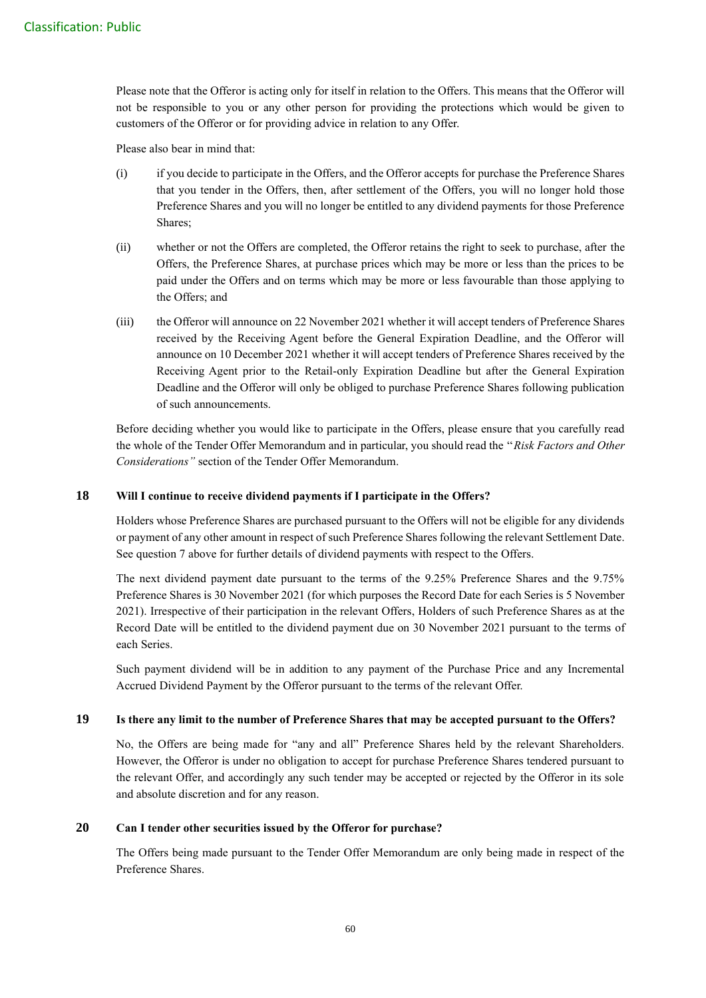Please note that the Offeror is acting only for itself in relation to the Offers. This means that the Offeror will not be responsible to you or any other person for providing the protections which would be given to customers of the Offeror or for providing advice in relation to any Offer.

Please also bear in mind that:

- (i) if you decide to participate in the Offers, and the Offeror accepts for purchase the Preference Shares that you tender in the Offers, then, after settlement of the Offers, you will no longer hold those Preference Shares and you will no longer be entitled to any dividend payments for those Preference Shares;
- (ii) whether or not the Offers are completed, the Offeror retains the right to seek to purchase, after the Offers, the Preference Shares, at purchase prices which may be more or less than the prices to be paid under the Offers and on terms which may be more or less favourable than those applying to the Offers; and
- (iii) the Offeror will announce on 22 November 2021 whether it will accept tenders of Preference Shares received by the Receiving Agent before the General Expiration Deadline, and the Offeror will announce on 10 December 2021 whether it will accept tenders of Preference Shares received by the Receiving Agent prior to the Retail-only Expiration Deadline but after the General Expiration Deadline and the Offeror will only be obliged to purchase Preference Shares following publication of such announcements.

Before deciding whether you would like to participate in the Offers, please ensure that you carefully read the whole of the Tender Offer Memorandum and in particular, you should read the ''*Risk Factors and Other Considerations''* section of the Tender Offer Memorandum.

#### **18 Will I continue to receive dividend payments if I participate in the Offers?**

Holders whose Preference Shares are purchased pursuant to the Offers will not be eligible for any dividends or payment of any other amount in respect of such Preference Shares following the relevant Settlement Date. See question 7 above for further details of dividend payments with respect to the Offers.

The next dividend payment date pursuant to the terms of the 9.25% Preference Shares and the 9.75% Preference Shares is 30 November 2021 (for which purposes the Record Date for each Series is 5 November 2021). Irrespective of their participation in the relevant Offers, Holders of such Preference Shares as at the Record Date will be entitled to the dividend payment due on 30 November 2021 pursuant to the terms of each Series.

Such payment dividend will be in addition to any payment of the Purchase Price and any Incremental Accrued Dividend Payment by the Offeror pursuant to the terms of the relevant Offer.

## **19 Is there any limit to the number of Preference Shares that may be accepted pursuant to the Offers?**

No, the Offers are being made for "any and all" Preference Shares held by the relevant Shareholders. However, the Offeror is under no obligation to accept for purchase Preference Shares tendered pursuant to the relevant Offer, and accordingly any such tender may be accepted or rejected by the Offeror in its sole and absolute discretion and for any reason.

#### **20 Can I tender other securities issued by the Offeror for purchase?**

The Offers being made pursuant to the Tender Offer Memorandum are only being made in respect of the Preference Shares.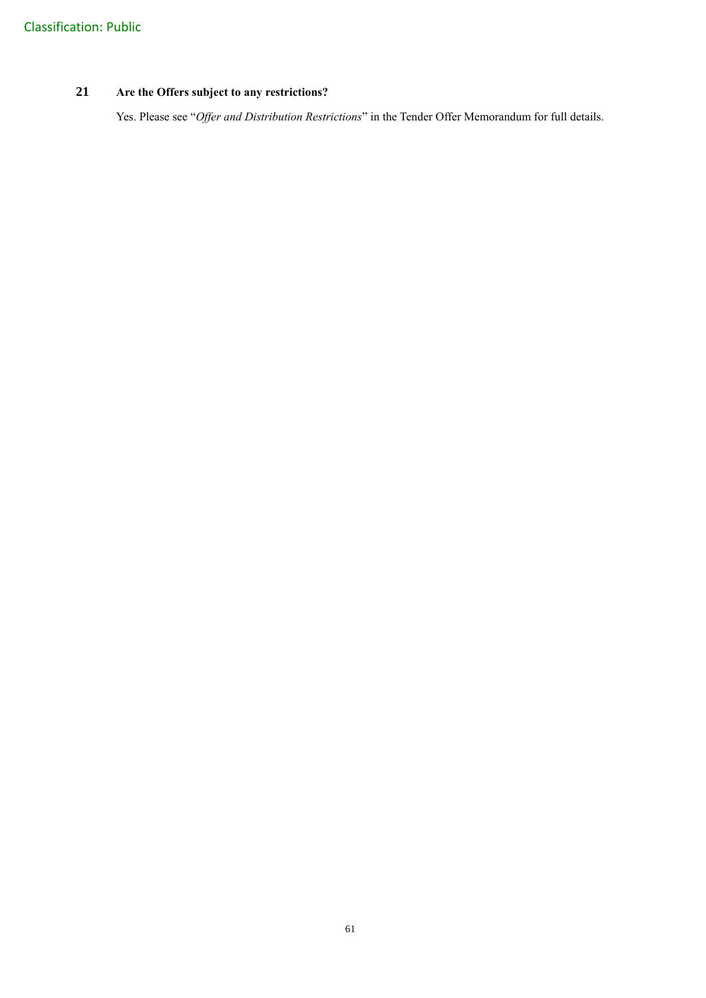# **21 Are the Offers subject to any restrictions?**

Yes. Please see "*Offer and Distribution Restrictions*" in the Tender Offer Memorandum for full details.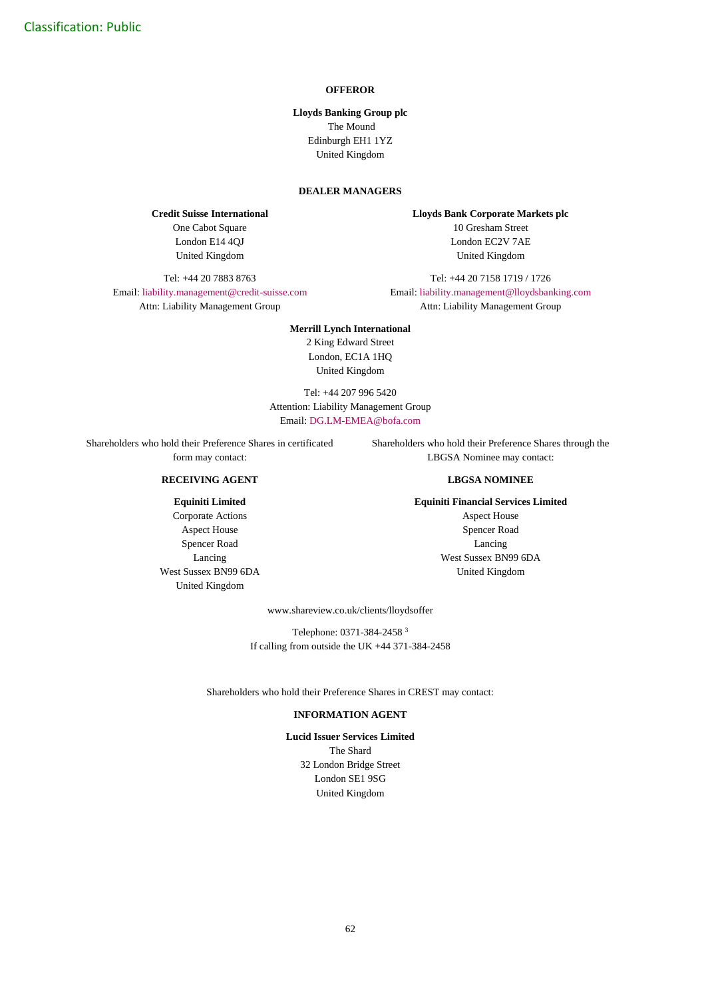#### **OFFEROR**

**Lloyds Banking Group plc** The Mound Edinburgh EH1 1YZ United Kingdom

#### **DEALER MANAGERS**

**Credit Suisse International** One Cabot Square London E14 4QJ United Kingdom

Tel: +44 20 7883 8763

Email: [liability.management@credit-suisse.com](mailto:liability.management@credit-suisse.com) Attn: Liability Management Group

**Lloyds Bank Corporate Markets plc** 10 Gresham Street London EC2V 7AE United Kingdom

Tel: +44 20 7158 1719 / 1726

Email: [liability.management@lloydsbanking.com](mailto:liability.management@lloydsbanking.com) Attn: Liability Management Group

**Merrill Lynch International** 2 King Edward Street London, EC1A 1HQ United Kingdom

Tel: +44 207 996 5420 Attention: Liability Management Group Email: [DG.LM-EMEA@bofa.com](mailto:DG.LM-EMEA@bofa.com)

Shareholders who hold their Preference Shares in certificated form may contact:

#### **RECEIVING AGENT**

#### **Equiniti Limited**

Corporate Actions Aspect House Spencer Road Lancing West Sussex BN99 6DA United Kingdom

Shareholders who hold their Preference Shares through the LBGSA Nominee may contact:

#### **LBGSA NOMINEE**

#### **Equiniti Financial Services Limited**

Aspect House Spencer Road Lancing West Sussex BN99 6DA United Kingdom

www.shareview.co.uk/clients/lloydsoffer

Telephone: 0371-384-2458 <sup>3</sup> If calling from outside the UK +44 371-384-2458

Shareholders who hold their Preference Shares in CREST may contact:

#### **INFORMATION AGENT**

**Lucid Issuer Services Limited** The Shard 32 London Bridge Street London SE1 9SG United Kingdom